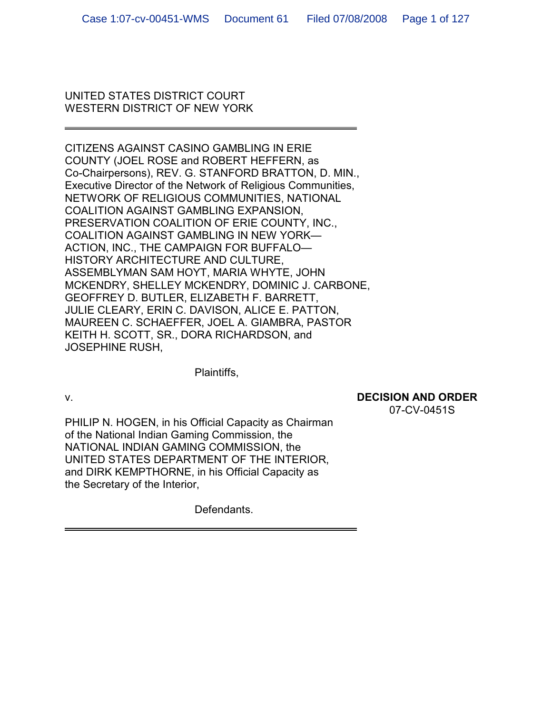## UNITED STATES DISTRICT COURT WESTERN DISTRICT OF NEW YORK

CITIZENS AGAINST CASINO GAMBLING IN ERIE COUNTY (JOEL ROSE and ROBERT HEFFERN, as Co-Chairpersons), REV. G. STANFORD BRATTON, D. MIN., Executive Director of the Network of Religious Communities, NETWORK OF RELIGIOUS COMMUNITIES, NATIONAL COALITION AGAINST GAMBLING EXPANSION, PRESERVATION COALITION OF ERIE COUNTY, INC., COALITION AGAINST GAMBLING IN NEW YORK— ACTION, INC., THE CAMPAIGN FOR BUFFALO— HISTORY ARCHITECTURE AND CULTURE, ASSEMBLYMAN SAM HOYT, MARIA WHYTE, JOHN MCKENDRY, SHELLEY MCKENDRY, DOMINIC J. CARBONE, GEOFFREY D. BUTLER, ELIZABETH F. BARRETT, JULIE CLEARY, ERIN C. DAVISON, ALICE E. PATTON, MAUREEN C. SCHAEFFER, JOEL A. GIAMBRA, PASTOR KEITH H. SCOTT, SR., DORA RICHARDSON, and JOSEPHINE RUSH,

Plaintiffs,

# v. **DECISION AND ORDER**

07-CV-0451S

PHILIP N. HOGEN, in his Official Capacity as Chairman of the National Indian Gaming Commission, the NATIONAL INDIAN GAMING COMMISSION, the UNITED STATES DEPARTMENT OF THE INTERIOR, and DIRK KEMPTHORNE, in his Official Capacity as the Secretary of the Interior,

Defendants.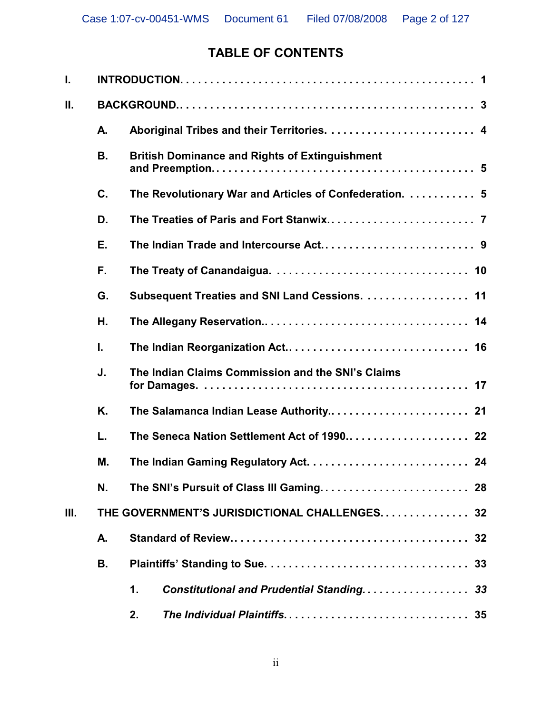# **TABLE OF CONTENTS**

| I. |                                               |                                                           |  |  |  |  |  |  |
|----|-----------------------------------------------|-----------------------------------------------------------|--|--|--|--|--|--|
| Ш. |                                               |                                                           |  |  |  |  |  |  |
|    | А.                                            |                                                           |  |  |  |  |  |  |
|    | <b>B.</b>                                     | <b>British Dominance and Rights of Extinguishment</b>     |  |  |  |  |  |  |
|    | C.                                            | The Revolutionary War and Articles of Confederation.  5   |  |  |  |  |  |  |
|    | D.                                            |                                                           |  |  |  |  |  |  |
|    | Е.                                            |                                                           |  |  |  |  |  |  |
|    | F.                                            |                                                           |  |  |  |  |  |  |
|    | G.                                            | Subsequent Treaties and SNI Land Cessions. 11             |  |  |  |  |  |  |
|    | Η.                                            |                                                           |  |  |  |  |  |  |
|    | I.                                            |                                                           |  |  |  |  |  |  |
|    | J.                                            | The Indian Claims Commission and the SNI's Claims         |  |  |  |  |  |  |
|    | K.                                            | The Salamanca Indian Lease Authority 21                   |  |  |  |  |  |  |
|    | L.                                            | The Seneca Nation Settlement Act of 1990 22               |  |  |  |  |  |  |
|    | М.                                            |                                                           |  |  |  |  |  |  |
|    | N.                                            |                                                           |  |  |  |  |  |  |
| Ш. | THE GOVERNMENT'S JURISDICTIONAL CHALLENGES 32 |                                                           |  |  |  |  |  |  |
|    | А.                                            |                                                           |  |  |  |  |  |  |
|    | В.                                            | 33                                                        |  |  |  |  |  |  |
|    |                                               | 1.<br><b>Constitutional and Prudential Standing</b><br>33 |  |  |  |  |  |  |
|    |                                               | 2.                                                        |  |  |  |  |  |  |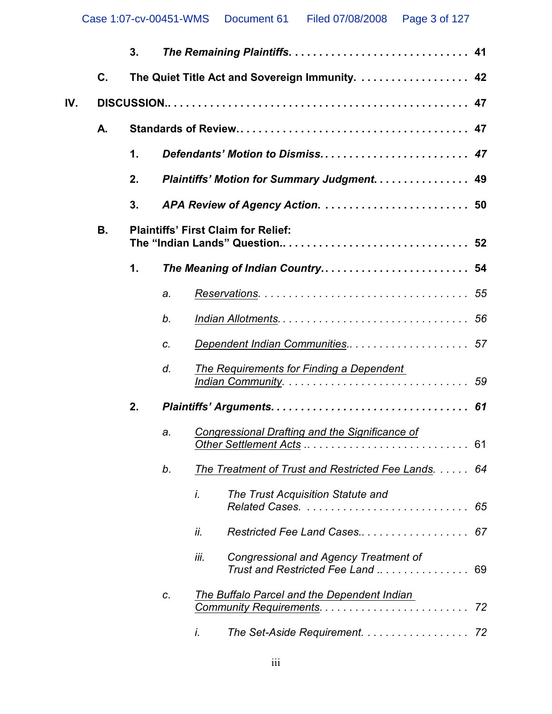|     |    | 3. |                                                 |                                                                                |    |  |  |
|-----|----|----|-------------------------------------------------|--------------------------------------------------------------------------------|----|--|--|
|     | C. |    | The Quiet Title Act and Sovereign Immunity.  42 |                                                                                |    |  |  |
| IV. |    |    |                                                 |                                                                                |    |  |  |
|     | А. |    |                                                 |                                                                                |    |  |  |
|     |    | 1. |                                                 | Defendants' Motion to Dismiss 47                                               |    |  |  |
|     |    | 2. | Plaintiffs' Motion for Summary Judgment. 49     |                                                                                |    |  |  |
|     |    | 3. |                                                 |                                                                                |    |  |  |
|     | В. |    | <b>Plaintiffs' First Claim for Relief:</b>      |                                                                                |    |  |  |
|     |    | 1. |                                                 | The Meaning of Indian Country 54                                               |    |  |  |
|     |    |    | a.                                              |                                                                                |    |  |  |
|     |    |    | b.                                              |                                                                                |    |  |  |
|     |    |    | c.                                              | Dependent Indian Communities 57                                                |    |  |  |
|     |    |    | d.                                              | The Requirements for Finding a Dependent                                       |    |  |  |
|     |    | 2. |                                                 |                                                                                |    |  |  |
|     |    |    | a.                                              | Congressional Drafting and the Significance of                                 |    |  |  |
|     |    |    | b.                                              | The Treatment of Trust and Restricted Fee Lands.                               | 64 |  |  |
|     |    |    |                                                 | i.<br>The Trust Acquisition Statute and<br>Related Cases.                      | 65 |  |  |
|     |    |    |                                                 | ii.<br>Restricted Fee Land Cases                                               | 67 |  |  |
|     |    |    |                                                 | iii.<br>Congressional and Agency Treatment of<br>Trust and Restricted Fee Land | 69 |  |  |
|     |    |    | C.                                              | The Buffalo Parcel and the Dependent Indian                                    | 72 |  |  |
|     |    |    |                                                 | The Set-Aside Requirement. 72<br>i.                                            |    |  |  |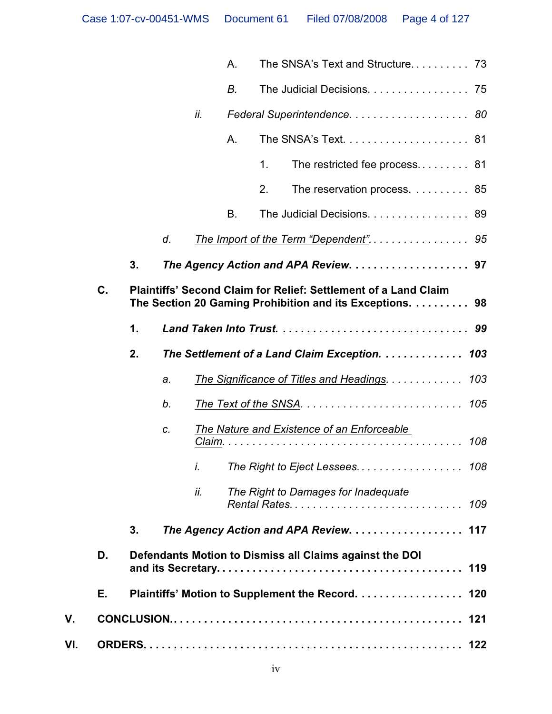|     |    |    |    |     | А. |    | The SNSA's Text and Structure 73                                                                                            |
|-----|----|----|----|-----|----|----|-----------------------------------------------------------------------------------------------------------------------------|
|     |    |    |    |     | В. |    | The Judicial Decisions. 75                                                                                                  |
|     |    |    |    | ii. |    |    |                                                                                                                             |
|     |    |    |    |     | Α. |    |                                                                                                                             |
|     |    |    |    |     |    | 1. | The restricted fee process 81                                                                                               |
|     |    |    |    |     |    | 2. | The reservation process. 85                                                                                                 |
|     |    |    |    |     | В. |    | The Judicial Decisions. 89                                                                                                  |
|     |    |    | d. |     |    |    |                                                                                                                             |
|     |    | 3. |    |     |    |    |                                                                                                                             |
|     | C. |    |    |     |    |    | Plaintiffs' Second Claim for Relief: Settlement of a Land Claim<br>The Section 20 Gaming Prohibition and its Exceptions. 98 |
|     |    | 1. |    |     |    |    |                                                                                                                             |
|     |    | 2. |    |     |    |    | The Settlement of a Land Claim Exception.<br>103                                                                            |
|     |    |    | a. |     |    |    | The Significance of Titles and Headings.<br>103                                                                             |
|     |    |    | b. |     |    |    | 105                                                                                                                         |
|     |    |    | C. |     |    |    | <b>The Nature and Existence of an Enforceable</b><br>108                                                                    |
|     |    |    |    | İ.  |    |    | The Right to Eject Lessees 108                                                                                              |
|     |    |    |    | ii. |    |    | The Right to Damages for Inadequate<br>109                                                                                  |
|     |    | 3. |    |     |    |    | The Agency Action and APA Review. 117                                                                                       |
|     | D. |    |    |     |    |    | Defendants Motion to Dismiss all Claims against the DOI<br>119                                                              |
|     | Е. |    |    |     |    |    | Plaintiffs' Motion to Supplement the Record.<br>120                                                                         |
| V.  |    |    |    |     |    |    |                                                                                                                             |
| VI. |    |    |    |     |    |    |                                                                                                                             |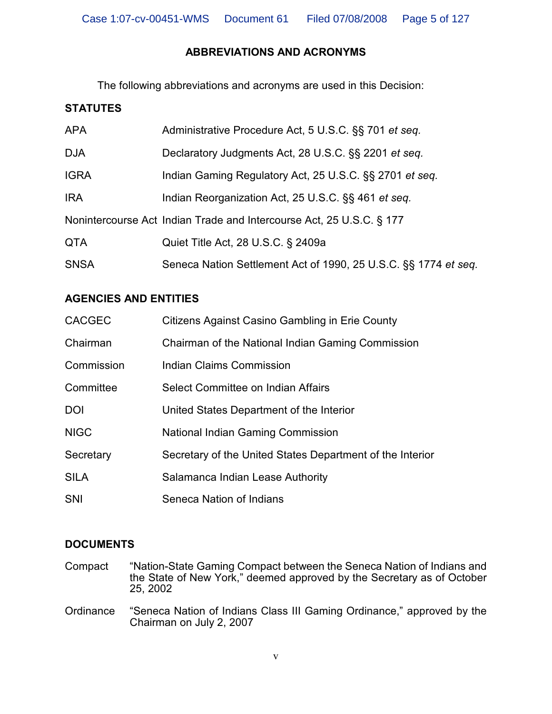# **ABBREVIATIONS AND ACRONYMS**

The following abbreviations and acronyms are used in this Decision:

# **STATUTES**

| <b>APA</b>  | Administrative Procedure Act, 5 U.S.C. §§ 701 et seq.                |
|-------------|----------------------------------------------------------------------|
| <b>DJA</b>  | Declaratory Judgments Act, 28 U.S.C. §§ 2201 et seq.                 |
| <b>IGRA</b> | Indian Gaming Regulatory Act, 25 U.S.C. §§ 2701 et seq.              |
| <b>IRA</b>  | Indian Reorganization Act, 25 U.S.C. §§ 461 et seq.                  |
|             | Nonintercourse Act Indian Trade and Intercourse Act, 25 U.S.C. § 177 |
| <b>QTA</b>  | Quiet Title Act, 28 U.S.C. § 2409a                                   |
| <b>SNSA</b> | Seneca Nation Settlement Act of 1990, 25 U.S.C. §§ 1774 et seq.      |

# **AGENCIES AND ENTITIES**

| <b>CACGEC</b> | Citizens Against Casino Gambling in Erie County           |
|---------------|-----------------------------------------------------------|
| Chairman      | Chairman of the National Indian Gaming Commission         |
| Commission    | Indian Claims Commission                                  |
| Committee     | Select Committee on Indian Affairs                        |
| <b>DOI</b>    | United States Department of the Interior                  |
| <b>NIGC</b>   | <b>National Indian Gaming Commission</b>                  |
| Secretary     | Secretary of the United States Department of the Interior |
| <b>SILA</b>   | Salamanca Indian Lease Authority                          |
| <b>SNI</b>    | Seneca Nation of Indians                                  |

# **DOCUMENTS**

- Compact "Nation-State Gaming Compact between the Seneca Nation of Indians and the State of New York," deemed approved by the Secretary as of October 25, 2002
- Ordinance "Seneca Nation of Indians Class III Gaming Ordinance," approved by the Chairman on July 2, 2007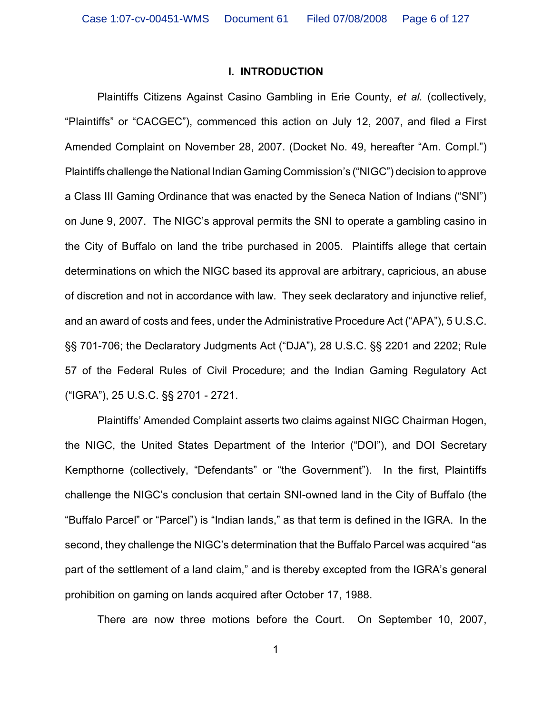#### **I. INTRODUCTION**

Plaintiffs Citizens Against Casino Gambling in Erie County, *et al.* (collectively, "Plaintiffs" or "CACGEC"), commenced this action on July 12, 2007, and filed a First Amended Complaint on November 28, 2007. (Docket No. 49, hereafter "Am. Compl.") Plaintiffs challenge the National Indian Gaming Commission's ("NIGC") decision to approve a Class III Gaming Ordinance that was enacted by the Seneca Nation of Indians ("SNI") on June 9, 2007. The NIGC's approval permits the SNI to operate a gambling casino in the City of Buffalo on land the tribe purchased in 2005. Plaintiffs allege that certain determinations on which the NIGC based its approval are arbitrary, capricious, an abuse of discretion and not in accordance with law. They seek declaratory and injunctive relief, and an award of costs and fees, under the Administrative Procedure Act ("APA"), 5 U.S.C. §§ 701-706; the Declaratory Judgments Act ("DJA"), 28 U.S.C. §§ 2201 and 2202; Rule 57 of the Federal Rules of Civil Procedure; and the Indian Gaming Regulatory Act ("IGRA"), 25 U.S.C. §§ 2701 - 2721.

Plaintiffs' Amended Complaint asserts two claims against NIGC Chairman Hogen, the NIGC, the United States Department of the Interior ("DOI"), and DOI Secretary Kempthorne (collectively, "Defendants" or "the Government"). In the first, Plaintiffs challenge the NIGC's conclusion that certain SNI-owned land in the City of Buffalo (the "Buffalo Parcel" or "Parcel") is "Indian lands," as that term is defined in the IGRA. In the second, they challenge the NIGC's determination that the Buffalo Parcel was acquired "as part of the settlement of a land claim," and is thereby excepted from the IGRA's general prohibition on gaming on lands acquired after October 17, 1988.

There are now three motions before the Court. On September 10, 2007,

1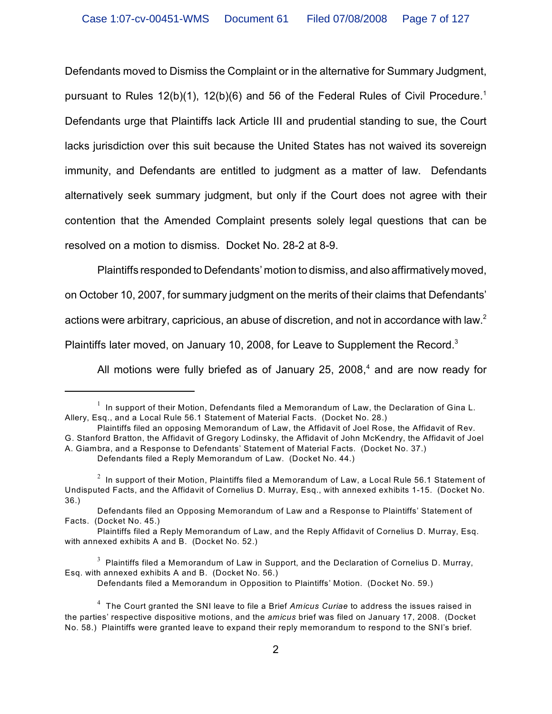Defendants moved to Dismiss the Complaint or in the alternative for Summary Judgment, pursuant to Rules  $12(b)(1)$ ,  $12(b)(6)$  and 56 of the Federal Rules of Civil Procedure.<sup>1</sup> Defendants urge that Plaintiffs lack Article III and prudential standing to sue, the Court lacks jurisdiction over this suit because the United States has not waived its sovereign immunity, and Defendants are entitled to judgment as a matter of law. Defendants alternatively seek summary judgment, but only if the Court does not agree with their contention that the Amended Complaint presents solely legal questions that can be resolved on a motion to dismiss. Docket No. 28-2 at 8-9.

Plaintiffs responded to Defendants' motion to dismiss, and also affirmatively moved,

on October 10, 2007, for summary judgment on the merits of their claims that Defendants'

actions were arbitrary, capricious, an abuse of discretion, and not in accordance with law.<sup>2</sup>

Plaintiffs later moved, on January 10, 2008, for Leave to Supplement the Record. $3$ 

All motions were fully briefed as of January 25, 2008, $4$  and are now ready for

Defendants filed a Memorandum in Opposition to Plaintiffs' Motion. (Docket No. 59.)

 $^{\rm 1}$  In support of their Motion, Defendants filed a Memorandum of Law, the Declaration of Gina L. Allery, Esq., and a Local Rule 56.1 Statement of Material Facts. (Docket No. 28.)

Plaintiffs filed an opposing Memorandum of Law, the Affidavit of Joel Rose, the Affidavit of Rev. G. Stanford Bratton, the Affidavit of Gregory Lodinsky, the Affidavit of John McKendry, the Affidavit of Joel A. Giambra, and a Response to Defendants' Statement of Material Facts. (Docket No. 37.)

Defendants filed a Reply Memorandum of Law. (Docket No. 44.)

 $1<sup>2</sup>$  In support of their Motion, Plaintiffs filed a Memorandum of Law, a Local Rule 56.1 Statement of Undisputed Facts, and the Affidavit of Cornelius D. Murray, Esq., with annexed exhibits 1-15. (Docket No. 36.)

Defendants filed an Opposing Memorandum of Law and a Response to Plaintiffs' Statement of Facts. (Docket No. 45.)

Plaintiffs filed a Reply Memorandum of Law, and the Reply Affidavit of Cornelius D. Murray, Esq. with annexed exhibits A and B. (Docket No. 52.)

 $^3$  Plaintiffs filed a Memorandum of Law in Support, and the Declaration of Cornelius D. Murray, Esq. with annexed exhibits A and B. (Docket No. 56.)

The Court granted the SNI leave to file a Brief *Amicus Curiae* to address the issues raised in <sup>4</sup> the parties' respective dispositive motions, and the *amicus* brief was filed on January 17, 2008. (Docket No. 58.) Plaintiffs were granted leave to expand their reply memorandum to respond to the SNI's brief.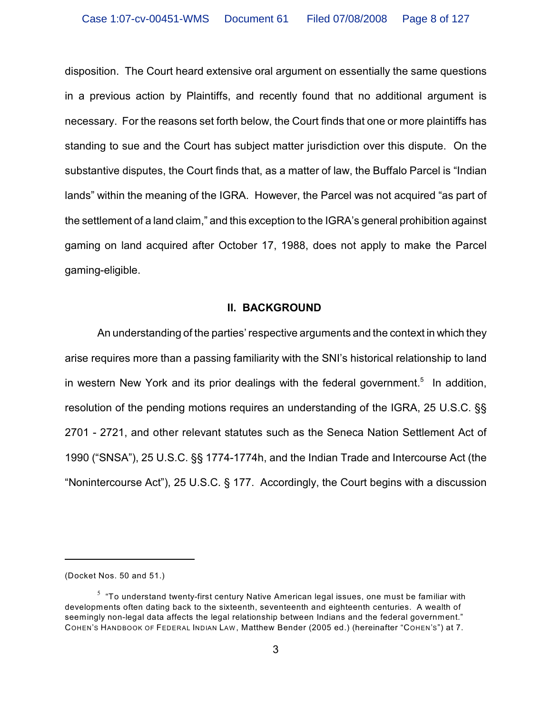disposition. The Court heard extensive oral argument on essentially the same questions in a previous action by Plaintiffs, and recently found that no additional argument is necessary. For the reasons set forth below, the Court finds that one or more plaintiffs has standing to sue and the Court has subject matter jurisdiction over this dispute. On the substantive disputes, the Court finds that, as a matter of law, the Buffalo Parcel is "Indian lands" within the meaning of the IGRA. However, the Parcel was not acquired "as part of the settlement of a land claim," and this exception to the IGRA's general prohibition against gaming on land acquired after October 17, 1988, does not apply to make the Parcel gaming-eligible.

#### **II. BACKGROUND**

An understanding of the parties' respective arguments and the context in which they arise requires more than a passing familiarity with the SNI's historical relationship to land in western New York and its prior dealings with the federal government.<sup>5</sup> In addition, resolution of the pending motions requires an understanding of the IGRA, 25 U.S.C. §§ 2701 - 2721, and other relevant statutes such as the Seneca Nation Settlement Act of 1990 ("SNSA"), 25 U.S.C. §§ 1774-1774h, and the Indian Trade and Intercourse Act (the "Nonintercourse Act"), 25 U.S.C. § 177. Accordingly, the Court begins with a discussion

<sup>(</sup>Docket Nos. 50 and 51.)

 $5\text{ }$  "To understand twenty-first century Native American legal issues, one must be familiar with developments often dating back to the sixteenth, seventeenth and eighteenth centuries. A wealth of seemingly non-legal data affects the legal relationship between Indians and the federal government." COHEN'S HANDBOOK OF FEDERAL INDIAN LAW , Matthew Bender (2005 ed.) (hereinafter "COHEN'S") at 7.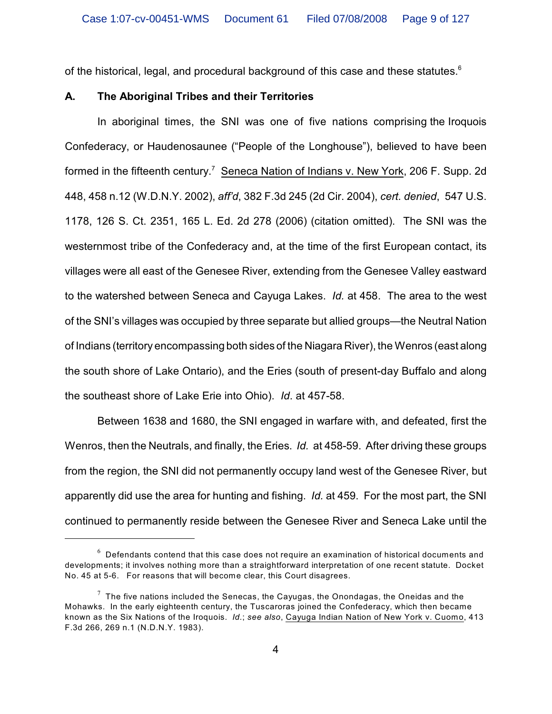of the historical, legal, and procedural background of this case and these statutes. $^6$ 

#### **A. The Aboriginal Tribes and their Territories**

In aboriginal times, the SNI was one of five nations comprising the Iroquois Confederacy, or Haudenosaunee ("People of the Longhouse"), believed to have been formed in the fifteenth century.<sup>7</sup> Seneca Nation of Indians v. New York, 206 F. Supp. 2d 448, 458 n.12 (W.D.N.Y. 2002), *aff'd*, 382 F.3d 245 (2d Cir. 2004), *cert. denied*, 547 U.S. 1178, 126 S. Ct. 2351, 165 L. Ed. 2d 278 (2006) (citation omitted). The SNI was the westernmost tribe of the Confederacy and, at the time of the first European contact, its villages were all east of the Genesee River, extending from the Genesee Valley eastward to the watershed between Seneca and Cayuga Lakes. *Id.* at 458. The area to the west of the SNI's villages was occupied by three separate but allied groups—the Neutral Nation of Indians (territory encompassing both sides of the Niagara River), the Wenros (east along the south shore of Lake Ontario), and the Eries (south of present-day Buffalo and along the southeast shore of Lake Erie into Ohio). *Id*. at 457-58.

Between 1638 and 1680, the SNI engaged in warfare with, and defeated, first the Wenros, then the Neutrals, and finally, the Eries. *Id.* at 458-59. After driving these groups from the region, the SNI did not permanently occupy land west of the Genesee River, but apparently did use the area for hunting and fishing. *Id.* at 459. For the most part, the SNI continued to permanently reside between the Genesee River and Seneca Lake until the

 $6$  Defendants contend that this case does not require an examination of historical documents and developments; it involves nothing more than a straightforward interpretation of one recent statute. Docket No. 45 at 5-6. For reasons that will become clear, this Court disagrees.

 $7$  The five nations included the Senecas, the Cayugas, the Onondagas, the Oneidas and the Mohawks. In the early eighteenth century, the Tuscaroras joined the Confederacy, which then became known as the Six Nations of the Iroquois. *Id.*; *see also*, Cayuga Indian Nation of New York v. Cuomo, 413 F.3d 266, 269 n.1 (N.D.N.Y. 1983).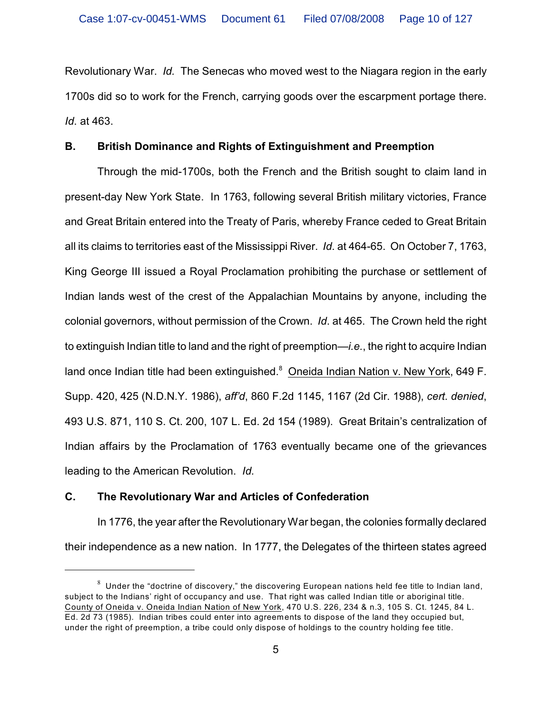Revolutionary War. *Id.* The Senecas who moved west to the Niagara region in the early 1700s did so to work for the French, carrying goods over the escarpment portage there. *Id*. at 463.

## **B. British Dominance and Rights of Extinguishment and Preemption**

Through the mid-1700s, both the French and the British sought to claim land in present-day New York State. In 1763, following several British military victories, France and Great Britain entered into the Treaty of Paris, whereby France ceded to Great Britain all its claims to territories east of the Mississippi River. *Id*. at 464-65. On October 7, 1763, King George III issued a Royal Proclamation prohibiting the purchase or settlement of Indian lands west of the crest of the Appalachian Mountains by anyone, including the colonial governors, without permission of the Crown. *Id*. at 465. The Crown held the right to extinguish Indian title to land and the right of preemption—*i.e.*, the right to acquire Indian land once Indian title had been extinguished.<sup>8</sup> Oneida Indian Nation v. New York, 649 F. Supp. 420, 425 (N.D.N.Y. 1986), *aff'd*, 860 F.2d 1145, 1167 (2d Cir. 1988), *cert. denied*, 493 U.S. 871, 110 S. Ct. 200, 107 L. Ed. 2d 154 (1989). Great Britain's centralization of Indian affairs by the Proclamation of 1763 eventually became one of the grievances leading to the American Revolution. *Id.*

## **C. The Revolutionary War and Articles of Confederation**

In 1776, the year after the Revolutionary War began, the colonies formally declared their independence as a new nation. In 1777, the Delegates of the thirteen states agreed

 $8$  Under the "doctrine of discovery," the discovering European nations held fee title to Indian land, subject to the Indians' right of occupancy and use. That right was called Indian title or aboriginal title. County of Oneida v. Oneida Indian Nation of New York, 470 U.S. 226, 234 & n.3, 105 S. Ct. 1245, 84 L. Ed. 2d 73 (1985). Indian tribes could enter into agreements to dispose of the land they occupied but, under the right of preemption, a tribe could only dispose of holdings to the country holding fee title.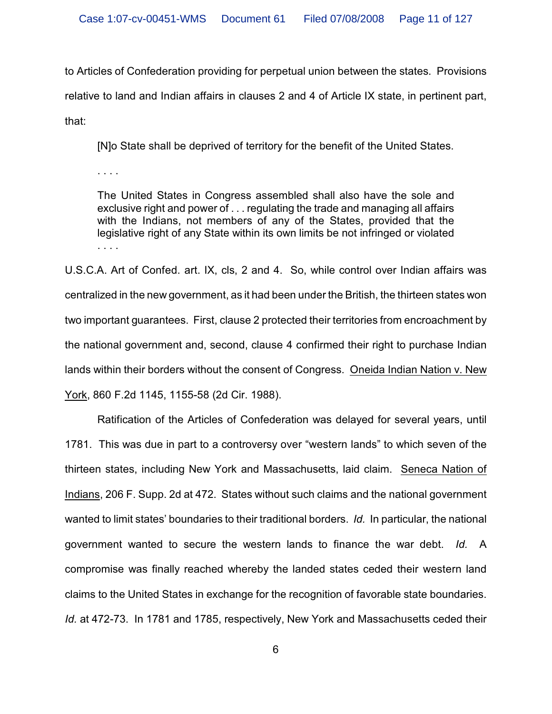to Articles of Confederation providing for perpetual union between the states. Provisions relative to land and Indian affairs in clauses 2 and 4 of Article IX state, in pertinent part, that:

[N]o State shall be deprived of territory for the benefit of the United States.

. . . .

The United States in Congress assembled shall also have the sole and exclusive right and power of . . . regulating the trade and managing all affairs with the Indians, not members of any of the States, provided that the legislative right of any State within its own limits be not infringed or violated . . . .

U.S.C.A. Art of Confed. art. IX, cls, 2 and 4. So, while control over Indian affairs was centralized in the new government, as it had been under the British, the thirteen states won two important guarantees. First, clause 2 protected their territories from encroachment by the national government and, second, clause 4 confirmed their right to purchase Indian lands within their borders without the consent of Congress. Oneida Indian Nation v. New York, 860 F.2d 1145, 1155-58 (2d Cir. 1988).

Ratification of the Articles of Confederation was delayed for several years, until 1781. This was due in part to a controversy over "western lands" to which seven of the thirteen states, including New York and Massachusetts, laid claim. Seneca Nation of Indians, 206 F. Supp. 2d at 472. States without such claims and the national government wanted to limit states' boundaries to their traditional borders. *Id.* In particular, the national government wanted to secure the western lands to finance the war debt. *Id.* A compromise was finally reached whereby the landed states ceded their western land claims to the United States in exchange for the recognition of favorable state boundaries. *Id.* at 472-73. In 1781 and 1785, respectively, New York and Massachusetts ceded their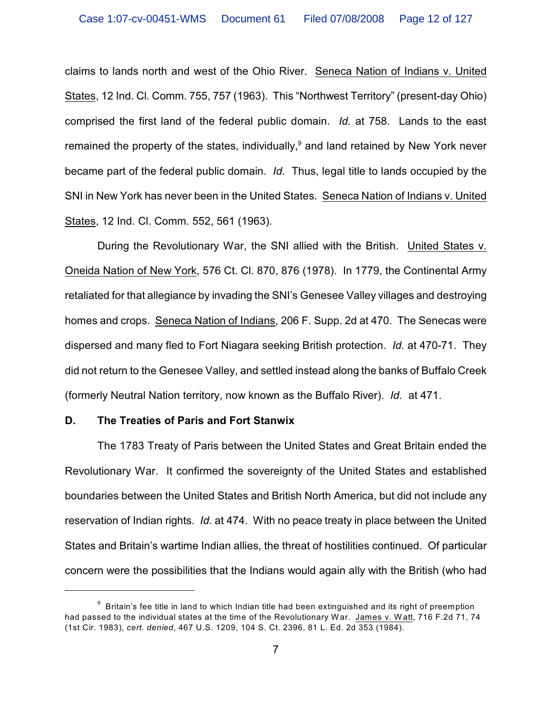claims to lands north and west of the Ohio River. Seneca Nation of Indians v. United States, 12 Ind. Cl. Comm. 755, 757 (1963). This "Northwest Territory" (present-day Ohio) comprised the first land of the federal public domain. *Id.* at 758. Lands to the east remained the property of the states, individually, $9$  and land retained by New York never became part of the federal public domain. *Id.* Thus, legal title to lands occupied by the SNI in New York has never been in the United States. Seneca Nation of Indians v. United States, 12 Ind. Cl. Comm. 552, 561 (1963).

During the Revolutionary War, the SNI allied with the British. United States v. Oneida Nation of New York, 576 Ct. Cl. 870, 876 (1978). In 1779, the Continental Army retaliated for that allegiance by invading the SNI's Genesee Valley villages and destroying homes and crops. Seneca Nation of Indians, 206 F. Supp. 2d at 470. The Senecas were dispersed and many fled to Fort Niagara seeking British protection. *Id.* at 470-71. They did not return to the Genesee Valley, and settled instead along the banks of Buffalo Creek (formerly Neutral Nation territory, now known as the Buffalo River). *Id.* at 471.

#### **D. The Treaties of Paris and Fort Stanwix**

The 1783 Treaty of Paris between the United States and Great Britain ended the Revolutionary War. It confirmed the sovereignty of the United States and established boundaries between the United States and British North America, but did not include any reservation of Indian rights. *Id.* at 474. With no peace treaty in place between the United States and Britain's wartime Indian allies, the threat of hostilities continued. Of particular concern were the possibilities that the Indians would again ally with the British (who had

 $^9\,$  Britain's fee title in land to which Indian title had been extinguished and its right of preemption had passed to the individual states at the time of the Revolutionary War. James v. Watt, 716 F.2d 71, 74 (1st Cir. 1983), *cert. denied*, 467 U.S. 1209, 104 S. Ct. 2396, 81 L. Ed. 2d 353 (1984).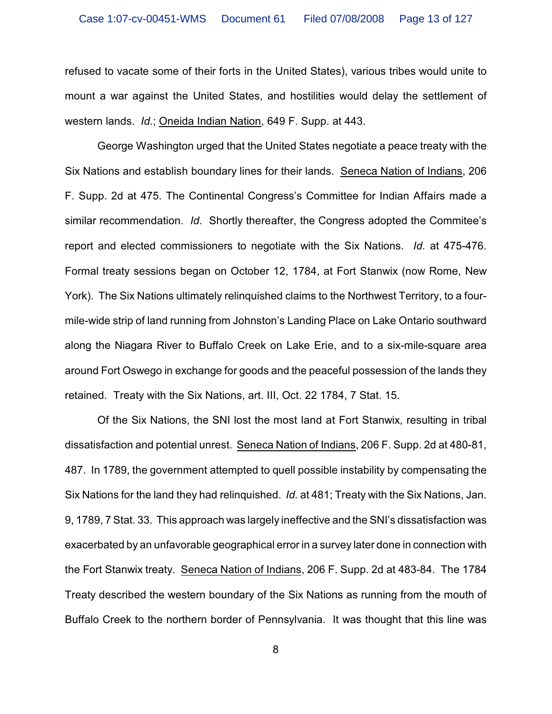refused to vacate some of their forts in the United States), various tribes would unite to mount a war against the United States, and hostilities would delay the settlement of western lands. *Id.*; Oneida Indian Nation, 649 F. Supp. at 443.

George Washington urged that the United States negotiate a peace treaty with the Six Nations and establish boundary lines for their lands. Seneca Nation of Indians, 206 F. Supp. 2d at 475. The Continental Congress's Committee for Indian Affairs made a similar recommendation. *Id.* Shortly thereafter, the Congress adopted the Commitee's report and elected commissioners to negotiate with the Six Nations. *Id.* at 475-476. Formal treaty sessions began on October 12, 1784, at Fort Stanwix (now Rome, New York). The Six Nations ultimately relinquished claims to the Northwest Territory, to a fourmile-wide strip of land running from Johnston's Landing Place on Lake Ontario southward along the Niagara River to Buffalo Creek on Lake Erie, and to a six-mile-square area around Fort Oswego in exchange for goods and the peaceful possession of the lands they retained. Treaty with the Six Nations, art. III, Oct. 22 1784, 7 Stat. 15.

Of the Six Nations, the SNI lost the most land at Fort Stanwix, resulting in tribal dissatisfaction and potential unrest. Seneca Nation of Indians, 206 F. Supp. 2d at 480-81, 487. In 1789, the government attempted to quell possible instability by compensating the Six Nations for the land they had relinquished. *Id.* at 481; Treaty with the Six Nations, Jan. 9, 1789, 7 Stat. 33. This approach was largely ineffective and the SNI's dissatisfaction was exacerbated by an unfavorable geographical error in a survey later done in connection with the Fort Stanwix treaty. Seneca Nation of Indians, 206 F. Supp. 2d at 483-84. The 1784 Treaty described the western boundary of the Six Nations as running from the mouth of Buffalo Creek to the northern border of Pennsylvania. It was thought that this line was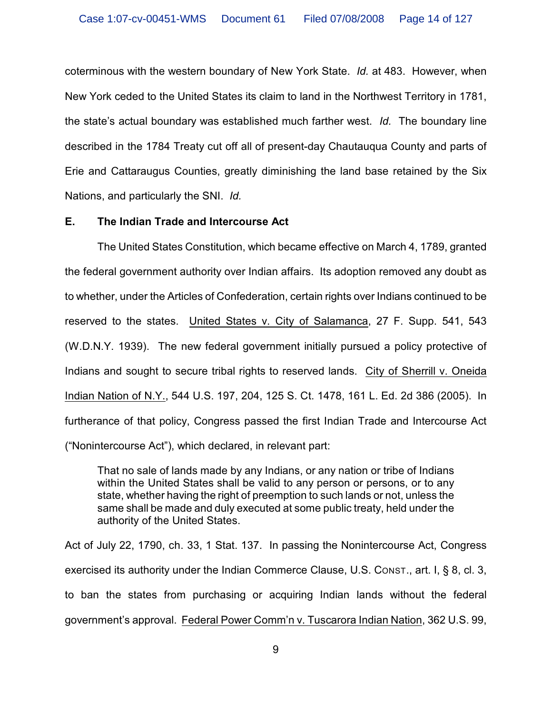coterminous with the western boundary of New York State. *Id.* at 483. However, when New York ceded to the United States its claim to land in the Northwest Territory in 1781, the state's actual boundary was established much farther west. *Id.* The boundary line described in the 1784 Treaty cut off all of present-day Chautauqua County and parts of Erie and Cattaraugus Counties, greatly diminishing the land base retained by the Six Nations, and particularly the SNI. *Id.*

#### **E. The Indian Trade and Intercourse Act**

The United States Constitution, which became effective on March 4, 1789, granted the federal government authority over Indian affairs. Its adoption removed any doubt as to whether, under the Articles of Confederation, certain rights over Indians continued to be reserved to the states. United States v. City of Salamanca, 27 F. Supp. 541, 543 (W.D.N.Y. 1939). The new federal government initially pursued a policy protective of Indians and sought to secure tribal rights to reserved lands. City of Sherrill v. Oneida Indian Nation of N.Y., 544 U.S. 197, 204, 125 S. Ct. 1478, 161 L. Ed. 2d 386 (2005). In furtherance of that policy, Congress passed the first Indian Trade and Intercourse Act ("Nonintercourse Act"), which declared, in relevant part:

That no sale of lands made by any Indians, or any nation or tribe of Indians within the United States shall be valid to any person or persons, or to any state, whether having the right of preemption to such lands or not, unless the same shall be made and duly executed at some public treaty, held under the authority of the United States.

Act of July 22, 1790, ch. 33, 1 Stat. 137. In passing the Nonintercourse Act, Congress exercised its authority under the Indian Commerce Clause, U.S. CONST., art. I, § 8, cl. 3, to ban the states from purchasing or acquiring Indian lands without the federal government's approval. Federal Power Comm'n v. Tuscarora Indian Nation, 362 U.S. 99,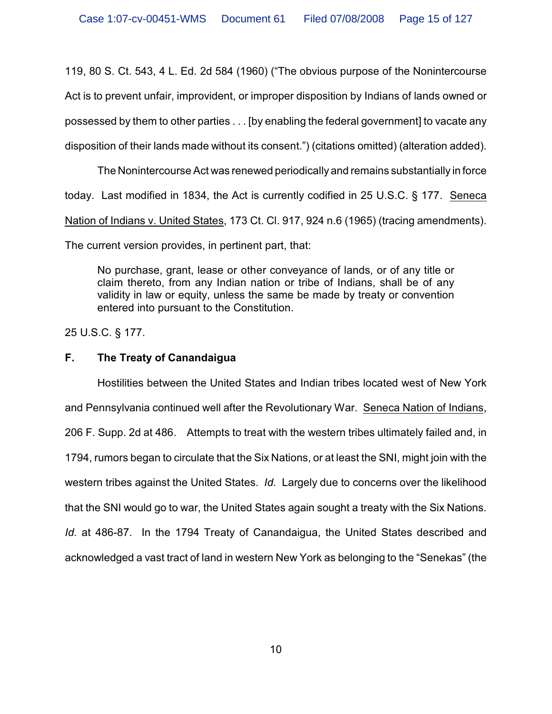119, 80 S. Ct. 543, 4 L. Ed. 2d 584 (1960) ("The obvious purpose of the Nonintercourse Act is to prevent unfair, improvident, or improper disposition by Indians of lands owned or possessed by them to other parties . . . [by enabling the federal government] to vacate any disposition of their lands made without its consent.") (citations omitted) (alteration added).

The Nonintercourse Act was renewed periodically and remains substantially in force today. Last modified in 1834, the Act is currently codified in 25 U.S.C. § 177. Seneca Nation of Indians v. United States, 173 Ct. Cl. 917, 924 n.6 (1965) (tracing amendments). The current version provides, in pertinent part, that:

No purchase, grant, lease or other conveyance of lands, or of any title or claim thereto, from any Indian nation or tribe of Indians, shall be of any validity in law or equity, unless the same be made by treaty or convention entered into pursuant to the Constitution.

25 U.S.C. § 177.

# **F. The Treaty of Canandaigua**

Hostilities between the United States and Indian tribes located west of New York and Pennsylvania continued well after the Revolutionary War. Seneca Nation of Indians, 206 F. Supp. 2d at 486. Attempts to treat with the western tribes ultimately failed and, in 1794, rumors began to circulate that the Six Nations, or at least the SNI, might join with the western tribes against the United States. *Id.* Largely due to concerns over the likelihood that the SNI would go to war, the United States again sought a treaty with the Six Nations. *Id.* at 486-87. In the 1794 Treaty of Canandaigua, the United States described and acknowledged a vast tract of land in western New York as belonging to the "Senekas" (the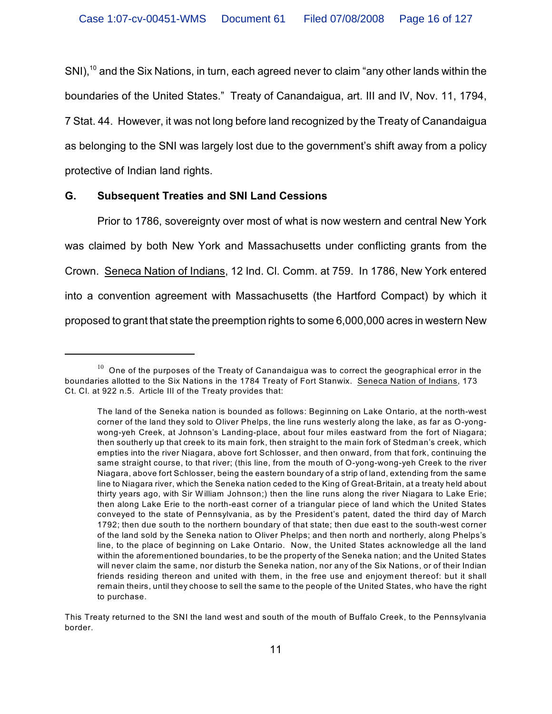SNI),<sup>10</sup> and the Six Nations, in turn, each agreed never to claim "any other lands within the boundaries of the United States." Treaty of Canandaigua, art. III and IV, Nov. 11, 1794, 7 Stat. 44. However, it was not long before land recognized by the Treaty of Canandaigua as belonging to the SNI was largely lost due to the government's shift away from a policy protective of Indian land rights.

# **G. Subsequent Treaties and SNI Land Cessions**

Prior to 1786, sovereignty over most of what is now western and central New York was claimed by both New York and Massachusetts under conflicting grants from the Crown. Seneca Nation of Indians, 12 Ind. Cl. Comm. at 759. In 1786, New York entered into a convention agreement with Massachusetts (the Hartford Compact) by which it proposed to grant that state the preemption rights to some 6,000,000 acres in western New

 $10$  One of the purposes of the Treaty of Canandaigua was to correct the geographical error in the boundaries allotted to the Six Nations in the 1784 Treaty of Fort Stanwix. Seneca Nation of Indians, 173 Ct. Cl. at 922 n.5. Article III of the Treaty provides that:

The land of the Seneka nation is bounded as follows: Beginning on Lake Ontario, at the north-west corner of the land they sold to Oliver Phelps, the line runs westerly along the lake, as far as O-yongwong-yeh Creek, at Johnson's Landing-place, about four miles eastward from the fort of Niagara; then southerly up that creek to its main fork, then straight to the main fork of Stedman's creek, which empties into the river Niagara, above fort Schlosser, and then onward, from that fork, continuing the same straight course, to that river; (this line, from the mouth of O-yong-wong-yeh Creek to the river Niagara, above fort Schlosser, being the eastern boundary of a strip of land, extending from the same line to Niagara river, which the Seneka nation ceded to the King of Great-Britain, at a treaty held about thirty years ago, with Sir W illiam Johnson;) then the line runs along the river Niagara to Lake Erie; then along Lake Erie to the north-east corner of a triangular piece of land which the United States conveyed to the state of Pennsylvania, as by the President's patent, dated the third day of March 1792; then due south to the northern boundary of that state; then due east to the south-west corner of the land sold by the Seneka nation to Oliver Phelps; and then north and northerly, along Phelps's line, to the place of beginning on Lake Ontario. Now, the United States acknowledge all the land within the aforementioned boundaries, to be the property of the Seneka nation; and the United States will never claim the same, nor disturb the Seneka nation, nor any of the Six Nations, or of their Indian friends residing thereon and united with them, in the free use and enjoyment thereof: but it shall remain theirs, until they choose to sell the same to the people of the United States, who have the right to purchase.

This Treaty returned to the SNI the land west and south of the mouth of Buffalo Creek, to the Pennsylvania border.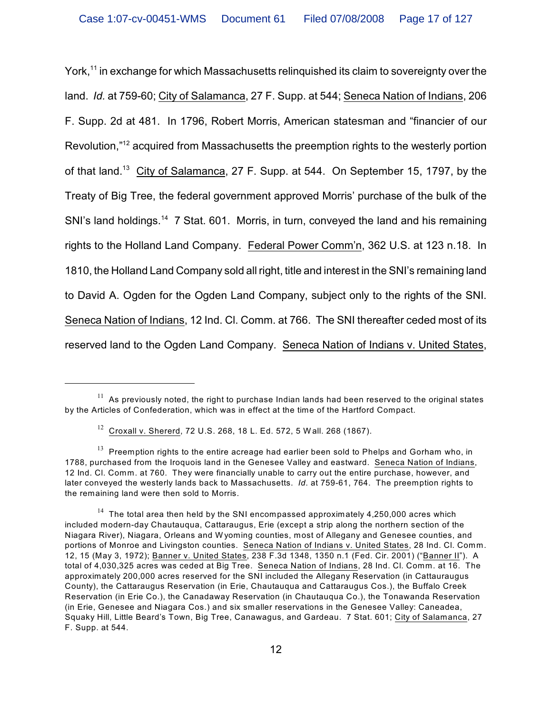York,<sup>11</sup> in exchange for which Massachusetts relinguished its claim to sovereignty over the land. *Id.* at 759-60; City of Salamanca, 27 F. Supp. at 544; Seneca Nation of Indians, 206 F. Supp. 2d at 481. In 1796, Robert Morris, American statesman and "financier of our Revolution,"<sup>12</sup> acquired from Massachusetts the preemption rights to the westerly portion of that land.<sup>13</sup> City of Salamanca, 27 F. Supp. at 544. On September 15, 1797, by the Treaty of Big Tree, the federal government approved Morris' purchase of the bulk of the SNI's land holdings.<sup>14</sup> 7 Stat. 601. Morris, in turn, conveyed the land and his remaining rights to the Holland Land Company. Federal Power Comm'n, 362 U.S. at 123 n.18. In 1810, the Holland Land Company sold all right, title and interest in the SNI's remaining land to David A. Ogden for the Ogden Land Company, subject only to the rights of the SNI. Seneca Nation of Indians, 12 Ind. Cl. Comm. at 766. The SNI thereafter ceded most of its reserved land to the Ogden Land Company. Seneca Nation of Indians v. United States,

 $^{11}$  As previously noted, the right to purchase Indian lands had been reserved to the original states by the Articles of Confederation, which was in effect at the time of the Hartford Compact.

 $12$  Croxall v. Shererd, 72 U.S. 268, 18 L. Ed. 572, 5 Wall. 268 (1867).

 $13$  Preemption rights to the entire acreage had earlier been sold to Phelps and Gorham who, in 1788, purchased from the Iroquois land in the Genesee Valley and eastward. Seneca Nation of Indians, 12 Ind. Cl. Comm. at 760. They were financially unable to carry out the entire purchase, however, and later conveyed the westerly lands back to Massachusetts. *Id*. at 759-61, 764. The preemption rights to the remaining land were then sold to Morris.

 $14$  The total area then held by the SNI encompassed approximately 4,250,000 acres which included modern-day Chautauqua, Cattaraugus, Erie (except a strip along the northern section of the Niagara River), Niagara, Orleans and W yoming counties, most of Allegany and Genesee counties, and portions of Monroe and Livingston counties. Seneca Nation of Indians v. United States, 28 Ind. Cl. Comm. 12, 15 (May 3, 1972); Banner v. United States, 238 F.3d 1348, 1350 n.1 (Fed. Cir. 2001) ("Banner II"). A total of 4,030,325 acres was ceded at Big Tree. Seneca Nation of Indians, 28 Ind. Cl. Comm. at 16. The approximately 200,000 acres reserved for the SNI included the Allegany Reservation (in Cattauraugus County), the Cattaraugus Reservation (in Erie, Chautauqua and Cattaraugus Cos.), the Buffalo Creek Reservation (in Erie Co.), the Canadaway Reservation (in Chautauqua Co.), the Tonawanda Reservation (in Erie, Genesee and Niagara Cos.) and six smaller reservations in the Genesee Valley: Caneadea, Squaky Hill, Little Beard's Town, Big Tree, Canawagus, and Gardeau. 7 Stat. 601; City of Salamanca, 27 F. Supp. at 544.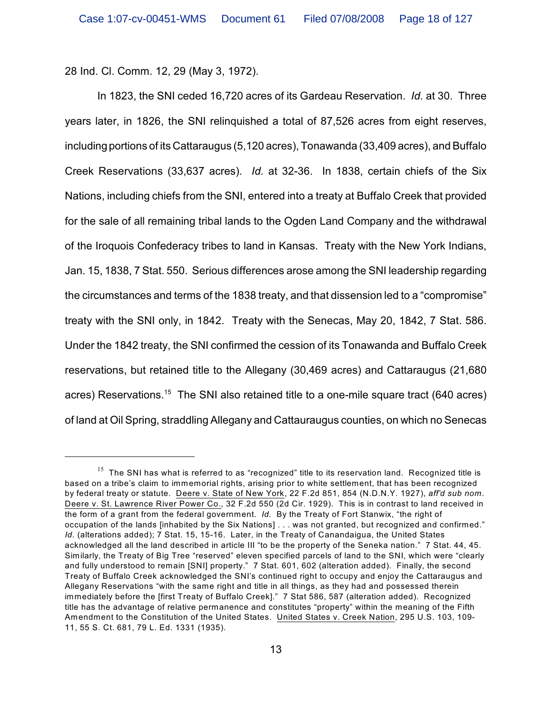28 Ind. Cl. Comm. 12, 29 (May 3, 1972).

In 1823, the SNI ceded 16,720 acres of its Gardeau Reservation. *Id.* at 30. Three years later, in 1826, the SNI relinquished a total of 87,526 acres from eight reserves, including portions of its Cattaraugus (5,120 acres), Tonawanda (33,409 acres), and Buffalo Creek Reservations (33,637 acres). *Id.* at 32-36. In 1838, certain chiefs of the Six Nations, including chiefs from the SNI, entered into a treaty at Buffalo Creek that provided for the sale of all remaining tribal lands to the Ogden Land Company and the withdrawal of the Iroquois Confederacy tribes to land in Kansas. Treaty with the New York Indians, Jan. 15, 1838, 7 Stat. 550. Serious differences arose among the SNI leadership regarding the circumstances and terms of the 1838 treaty, and that dissension led to a "compromise" treaty with the SNI only, in 1842. Treaty with the Senecas, May 20, 1842, 7 Stat. 586. Under the 1842 treaty, the SNI confirmed the cession of its Tonawanda and Buffalo Creek reservations, but retained title to the Allegany (30,469 acres) and Cattaraugus (21,680 acres) Reservations.<sup>15</sup> The SNI also retained title to a one-mile square tract (640 acres) of land at Oil Spring, straddling Allegany and Cattauraugus counties, on which no Senecas

 $15$  The SNI has what is referred to as "recognized" title to its reservation land. Recognized title is based on a tribe's claim to immemorial rights, arising prior to white settlement, that has been recognized by federal treaty or statute. Deere v. State of New York, 22 F.2d 851, 854 (N.D.N.Y. 1927), *aff'd sub nom.* Deere v. St. Lawrence River Power Co., 32 F.2d 550 (2d Cir. 1929). This is in contrast to land received in the form of a grant from the federal government. *Id.* By the Treaty of Fort Stanwix, "the right of occupation of the lands [inhabited by the Six Nations] . . . was not granted, but recognized and confirmed." *Id.* (alterations added); 7 Stat. 15, 15-16. Later, in the Treaty of Canandaigua, the United States acknowledged all the land described in article III "to be the property of the Seneka nation." 7 Stat. 44, 45. Similarly, the Treaty of Big Tree "reserved" eleven specified parcels of land to the SNI, which were "clearly and fully understood to remain [SNI] property." 7 Stat. 601, 602 (alteration added). Finally, the second Treaty of Buffalo Creek acknowledged the SNI's continued right to occupy and enjoy the Cattaraugus and Allegany Reservations "with the same right and title in all things, as they had and possessed therein immediately before the [first Treaty of Buffalo Creek]." 7 Stat 586, 587 (alteration added). Recognized title has the advantage of relative permanence and constitutes "property" within the meaning of the Fifth Amendment to the Constitution of the United States. United States v. Creek Nation, 295 U.S. 103, 109- 11, 55 S. Ct. 681, 79 L. Ed. 1331 (1935).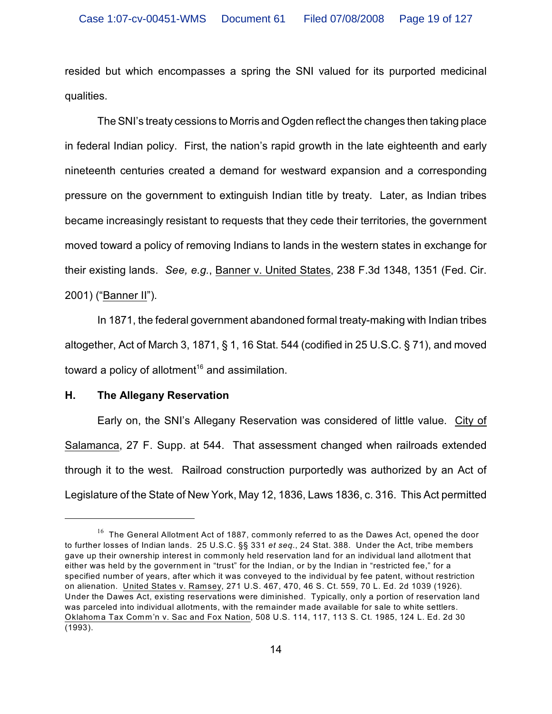resided but which encompasses a spring the SNI valued for its purported medicinal qualities.

The SNI's treaty cessions to Morris and Ogden reflect the changes then taking place in federal Indian policy. First, the nation's rapid growth in the late eighteenth and early nineteenth centuries created a demand for westward expansion and a corresponding pressure on the government to extinguish Indian title by treaty. Later, as Indian tribes became increasingly resistant to requests that they cede their territories, the government moved toward a policy of removing Indians to lands in the western states in exchange for their existing lands. *See, e.g.*, Banner v. United States, 238 F.3d 1348, 1351 (Fed. Cir. 2001) ("Banner II").

In 1871, the federal government abandoned formal treaty-making with Indian tribes altogether, Act of March 3, 1871, § 1, 16 Stat. 544 (codified in 25 U.S.C. § 71), and moved toward a policy of allotment<sup>16</sup> and assimilation.

#### **H. The Allegany Reservation**

Early on, the SNI's Allegany Reservation was considered of little value. City of Salamanca, 27 F. Supp. at 544. That assessment changed when railroads extended through it to the west. Railroad construction purportedly was authorized by an Act of Legislature of the State of New York, May 12, 1836, Laws 1836, c. 316. This Act permitted

 $^{16}$  The General Allotment Act of 1887, commonly referred to as the Dawes Act, opened the door to further losses of Indian lands. 25 U.S.C. §§ 331 *et seq.*, 24 Stat. 388. Under the Act, tribe members gave up their ownership interest in commonly held reservation land for an individual land allotment that either was held by the government in "trust" for the Indian, or by the Indian in "restricted fee," for a specified number of years, after which it was conveyed to the individual by fee patent, without restriction on alienation. United States v. Ramsey, 271 U.S. 467, 470, 46 S. Ct. 559, 70 L. Ed. 2d 1039 (1926). Under the Dawes Act, existing reservations were diminished. Typically, only a portion of reservation land was parceled into individual allotments, with the remainder made available for sale to white settlers. Oklahoma Tax Comm'n v. Sac and Fox Nation, 508 U.S. 114, 117, 113 S. Ct. 1985, 124 L. Ed. 2d 30 (1993).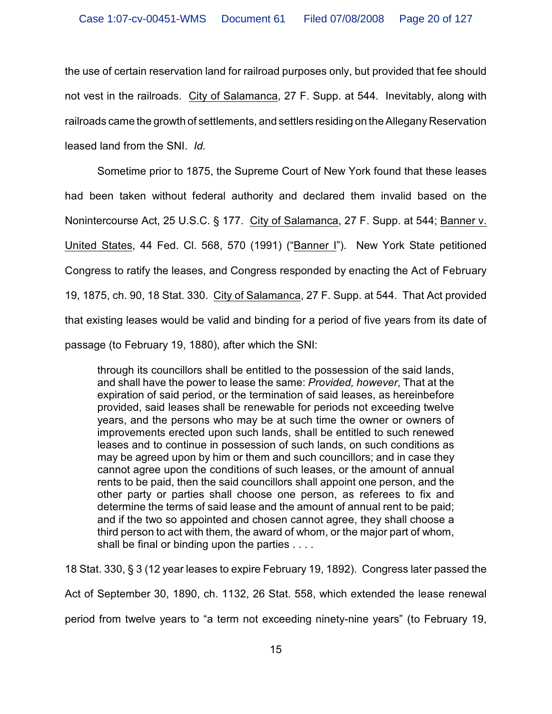the use of certain reservation land for railroad purposes only, but provided that fee should not vest in the railroads. City of Salamanca, 27 F. Supp. at 544. Inevitably, along with railroads came the growth of settlements, and settlers residing on the Allegany Reservation leased land from the SNI. *Id.* 

Sometime prior to 1875, the Supreme Court of New York found that these leases had been taken without federal authority and declared them invalid based on the Nonintercourse Act, 25 U.S.C. § 177. City of Salamanca, 27 F. Supp. at 544; Banner v. United States, 44 Fed. Cl. 568, 570 (1991) ("Banner I"). New York State petitioned Congress to ratify the leases, and Congress responded by enacting the Act of February 19, 1875, ch. 90, 18 Stat. 330. City of Salamanca, 27 F. Supp. at 544. That Act provided that existing leases would be valid and binding for a period of five years from its date of passage (to February 19, 1880), after which the SNI:

through its councillors shall be entitled to the possession of the said lands, and shall have the power to lease the same: *Provided, however*, That at the expiration of said period, or the termination of said leases, as hereinbefore provided, said leases shall be renewable for periods not exceeding twelve years, and the persons who may be at such time the owner or owners of improvements erected upon such lands, shall be entitled to such renewed leases and to continue in possession of such lands, on such conditions as may be agreed upon by him or them and such councillors; and in case they cannot agree upon the conditions of such leases, or the amount of annual rents to be paid, then the said councillors shall appoint one person, and the other party or parties shall choose one person, as referees to fix and determine the terms of said lease and the amount of annual rent to be paid; and if the two so appointed and chosen cannot agree, they shall choose a third person to act with them, the award of whom, or the major part of whom, shall be final or binding upon the parties . . . .

18 Stat. 330, § 3 (12 year leases to expire February 19, 1892). Congress later passed the Act of September 30, 1890, ch. 1132, 26 Stat. 558, which extended the lease renewal period from twelve years to "a term not exceeding ninety-nine years" (to February 19,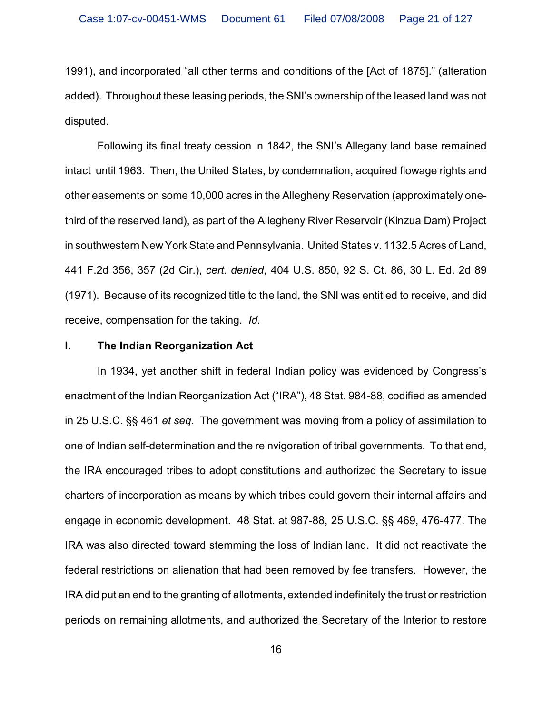1991), and incorporated "all other terms and conditions of the [Act of 1875]." (alteration added). Throughout these leasing periods, the SNI's ownership of the leased land was not disputed.

Following its final treaty cession in 1842, the SNI's Allegany land base remained intact until 1963. Then, the United States, by condemnation, acquired flowage rights and other easements on some 10,000 acres in the Allegheny Reservation (approximately onethird of the reserved land), as part of the Allegheny River Reservoir (Kinzua Dam) Project in southwestern New York State and Pennsylvania. United States v. 1132.5 Acres of Land, 441 F.2d 356, 357 (2d Cir.), *cert. denied*, 404 U.S. 850, 92 S. Ct. 86, 30 L. Ed. 2d 89 (1971). Because of its recognized title to the land, the SNI was entitled to receive, and did receive, compensation for the taking. *Id.*

#### **I. The Indian Reorganization Act**

In 1934, yet another shift in federal Indian policy was evidenced by Congress's enactment of the Indian Reorganization Act ("IRA"), 48 Stat. 984-88, codified as amended in 25 U.S.C. §§ 461 *et seq.* The government was moving from a policy of assimilation to one of Indian self-determination and the reinvigoration of tribal governments. To that end, the IRA encouraged tribes to adopt constitutions and authorized the Secretary to issue charters of incorporation as means by which tribes could govern their internal affairs and engage in economic development. 48 Stat. at 987-88, 25 U.S.C. §§ 469, 476-477. The IRA was also directed toward stemming the loss of Indian land. It did not reactivate the federal restrictions on alienation that had been removed by fee transfers. However, the IRA did put an end to the granting of allotments, extended indefinitely the trust or restriction periods on remaining allotments, and authorized the Secretary of the Interior to restore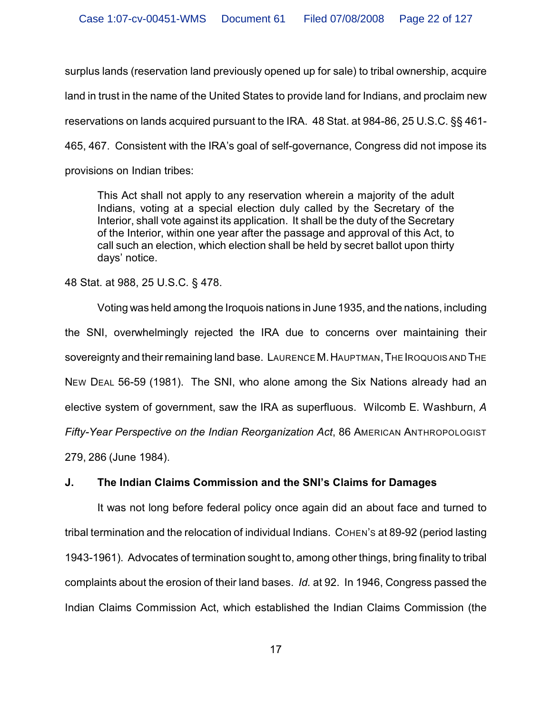surplus lands (reservation land previously opened up for sale) to tribal ownership, acquire land in trust in the name of the United States to provide land for Indians, and proclaim new reservations on lands acquired pursuant to the IRA. 48 Stat. at 984-86, 25 U.S.C. §§ 461- 465, 467. Consistent with the IRA's goal of self-governance, Congress did not impose its provisions on Indian tribes:

This Act shall not apply to any reservation wherein a majority of the adult Indians, voting at a special election duly called by the Secretary of the Interior, shall vote against its application. It shall be the duty of the Secretary of the Interior, within one year after the passage and approval of this Act, to call such an election, which election shall be held by secret ballot upon thirty days' notice.

48 Stat. at 988, 25 U.S.C. § 478.

Voting was held among the Iroquois nations in June 1935, and the nations, including the SNI, overwhelmingly rejected the IRA due to concerns over maintaining their sovereignty and their remaining land base. LAURENCE M.HAUPTMAN,THE IROQUOIS AND THE NEW DEAL 56-59 (1981). The SNI, who alone among the Six Nations already had an elective system of government, saw the IRA as superfluous. Wilcomb E. Washburn, *A Fifty-Year Perspective on the Indian Reorganization Act*, 86 AMERICAN ANTHROPOLOGIST 279, 286 (June 1984).

## **J. The Indian Claims Commission and the SNI's Claims for Damages**

It was not long before federal policy once again did an about face and turned to tribal termination and the relocation of individual Indians. COHEN's at 89-92 (period lasting 1943-1961). Advocates of termination sought to, among other things, bring finality to tribal complaints about the erosion of their land bases. *Id.* at 92. In 1946, Congress passed the Indian Claims Commission Act, which established the Indian Claims Commission (the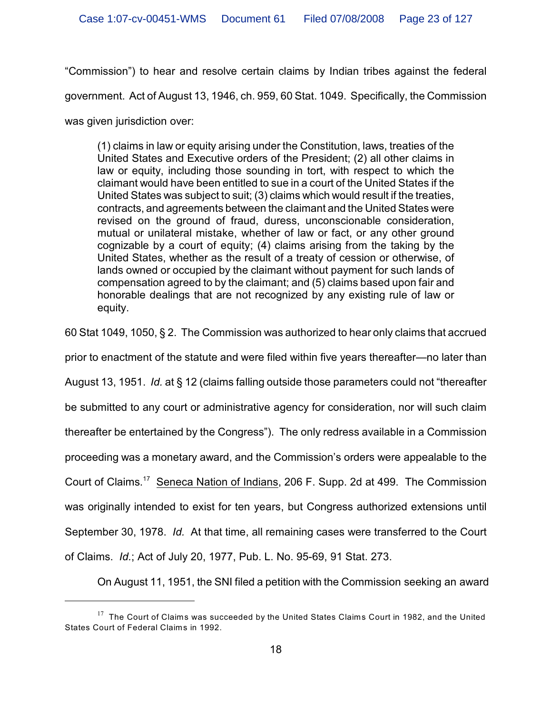"Commission") to hear and resolve certain claims by Indian tribes against the federal

government. Act of August 13, 1946, ch. 959, 60 Stat. 1049. Specifically, the Commission

was given jurisdiction over:

(1) claims in law or equity arising under the Constitution, laws, treaties of the United States and Executive orders of the President; (2) all other claims in law or equity, including those sounding in tort, with respect to which the claimant would have been entitled to sue in a court of the United States if the United States was subject to suit; (3) claims which would result if the treaties, contracts, and agreements between the claimant and the United States were revised on the ground of fraud, duress, unconscionable consideration, mutual or unilateral mistake, whether of law or fact, or any other ground cognizable by a court of equity; (4) claims arising from the taking by the United States, whether as the result of a treaty of cession or otherwise, of lands owned or occupied by the claimant without payment for such lands of compensation agreed to by the claimant; and (5) claims based upon fair and honorable dealings that are not recognized by any existing rule of law or equity.

60 Stat 1049, 1050, § 2. The Commission was authorized to hear only claims that accrued

prior to enactment of the statute and were filed within five years thereafter—no later than

August 13, 1951. *Id.* at § 12 (claims falling outside those parameters could not "thereafter

be submitted to any court or administrative agency for consideration, nor will such claim

thereafter be entertained by the Congress"). The only redress available in a Commission

proceeding was a monetary award, and the Commission's orders were appealable to the

Court of Claims.<sup>17</sup> Seneca Nation of Indians, 206 F. Supp. 2d at 499. The Commission

was originally intended to exist for ten years, but Congress authorized extensions until

September 30, 1978. *Id.* At that time, all remaining cases were transferred to the Court

of Claims. *Id.*; Act of July 20, 1977, Pub. L. No. 95-69, 91 Stat. 273.

On August 11, 1951, the SNI filed a petition with the Commission seeking an award

 $17$  The Court of Claims was succeeded by the United States Claims Court in 1982, and the United States Court of Federal Claims in 1992.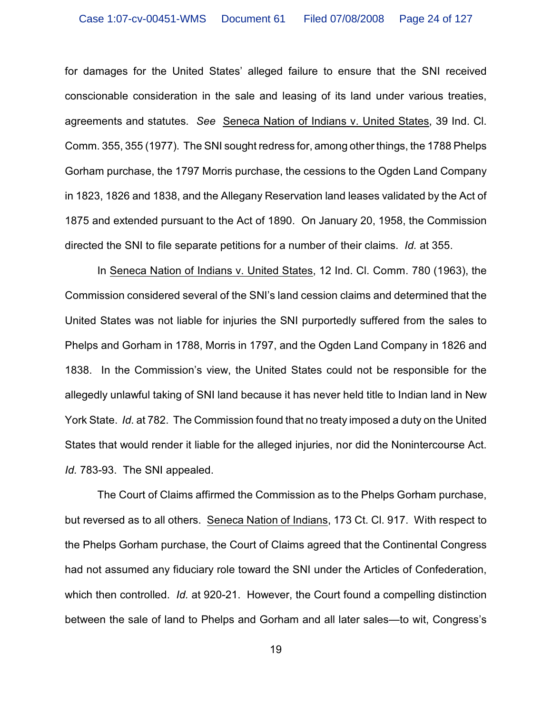for damages for the United States' alleged failure to ensure that the SNI received conscionable consideration in the sale and leasing of its land under various treaties, agreements and statutes. *See* Seneca Nation of Indians v. United States, 39 Ind. Cl. Comm. 355, 355 (1977). The SNI sought redress for, among other things, the 1788 Phelps Gorham purchase, the 1797 Morris purchase, the cessions to the Ogden Land Company in 1823, 1826 and 1838, and the Allegany Reservation land leases validated by the Act of 1875 and extended pursuant to the Act of 1890. On January 20, 1958, the Commission directed the SNI to file separate petitions for a number of their claims. *Id.* at 355.

 In Seneca Nation of Indians v. United States, 12 Ind. Cl. Comm. 780 (1963), the Commission considered several of the SNI's land cession claims and determined that the United States was not liable for injuries the SNI purportedly suffered from the sales to Phelps and Gorham in 1788, Morris in 1797, and the Ogden Land Company in 1826 and 1838. In the Commission's view, the United States could not be responsible for the allegedly unlawful taking of SNI land because it has never held title to Indian land in New York State. *Id*. at 782. The Commission found that no treaty imposed a duty on the United States that would render it liable for the alleged injuries, nor did the Nonintercourse Act. *Id.* 783-93. The SNI appealed.

The Court of Claims affirmed the Commission as to the Phelps Gorham purchase, but reversed as to all others. Seneca Nation of Indians, 173 Ct. Cl. 917. With respect to the Phelps Gorham purchase, the Court of Claims agreed that the Continental Congress had not assumed any fiduciary role toward the SNI under the Articles of Confederation, which then controlled. *Id.* at 920-21. However, the Court found a compelling distinction between the sale of land to Phelps and Gorham and all later sales—to wit, Congress's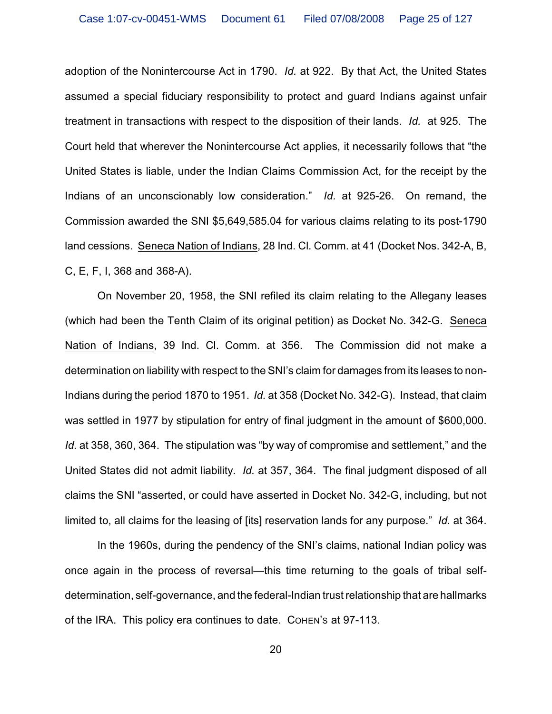adoption of the Nonintercourse Act in 1790. *Id.* at 922. By that Act, the United States assumed a special fiduciary responsibility to protect and guard Indians against unfair treatment in transactions with respect to the disposition of their lands. *Id.* at 925. The Court held that wherever the Nonintercourse Act applies, it necessarily follows that "the United States is liable, under the Indian Claims Commission Act, for the receipt by the Indians of an unconscionably low consideration." *Id.* at 925-26. On remand, the Commission awarded the SNI \$5,649,585.04 for various claims relating to its post-1790 land cessions. Seneca Nation of Indians, 28 Ind. Cl. Comm. at 41 (Docket Nos. 342-A, B, C, E, F, I, 368 and 368-A).

On November 20, 1958, the SNI refiled its claim relating to the Allegany leases (which had been the Tenth Claim of its original petition) as Docket No. 342-G. Seneca Nation of Indians, 39 Ind. Cl. Comm. at 356. The Commission did not make a determination on liability with respect to the SNI's claim for damages from its leases to non-Indians during the period 1870 to 1951. *Id.* at 358 (Docket No. 342-G). Instead, that claim was settled in 1977 by stipulation for entry of final judgment in the amount of \$600,000. *Id.* at 358, 360, 364. The stipulation was "by way of compromise and settlement," and the United States did not admit liability. *Id.* at 357, 364. The final judgment disposed of all claims the SNI "asserted, or could have asserted in Docket No. 342-G, including, but not limited to, all claims for the leasing of [its] reservation lands for any purpose." *Id.* at 364.

In the 1960s, during the pendency of the SNI's claims, national Indian policy was once again in the process of reversal—this time returning to the goals of tribal selfdetermination, self-governance, and the federal-Indian trust relationship that are hallmarks of the IRA. This policy era continues to date. COHEN'S at 97-113.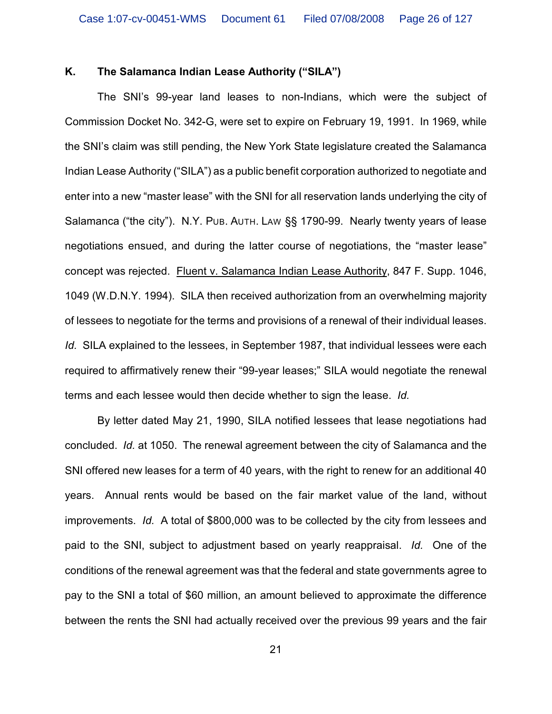## **K. The Salamanca Indian Lease Authority ("SILA")**

The SNI's 99-year land leases to non-Indians, which were the subject of Commission Docket No. 342-G, were set to expire on February 19, 1991. In 1969, while the SNI's claim was still pending, the New York State legislature created the Salamanca Indian Lease Authority ("SILA") as a public benefit corporation authorized to negotiate and enter into a new "master lease" with the SNI for all reservation lands underlying the city of Salamanca ("the city"). N.Y. PUB. AUTH. LAW §§ 1790-99. Nearly twenty years of lease negotiations ensued, and during the latter course of negotiations, the "master lease" concept was rejected. Fluent v. Salamanca Indian Lease Authority, 847 F. Supp. 1046, 1049 (W.D.N.Y. 1994). SILA then received authorization from an overwhelming majority of lessees to negotiate for the terms and provisions of a renewal of their individual leases. *Id.* SILA explained to the lessees, in September 1987, that individual lessees were each required to affirmatively renew their "99-year leases;" SILA would negotiate the renewal terms and each lessee would then decide whether to sign the lease. *Id.* 

By letter dated May 21, 1990, SILA notified lessees that lease negotiations had concluded. *Id.* at 1050. The renewal agreement between the city of Salamanca and the SNI offered new leases for a term of 40 years, with the right to renew for an additional 40 years. Annual rents would be based on the fair market value of the land, without improvements. *Id.* A total of \$800,000 was to be collected by the city from lessees and paid to the SNI, subject to adjustment based on yearly reappraisal. *Id.* One of the conditions of the renewal agreement was that the federal and state governments agree to pay to the SNI a total of \$60 million, an amount believed to approximate the difference between the rents the SNI had actually received over the previous 99 years and the fair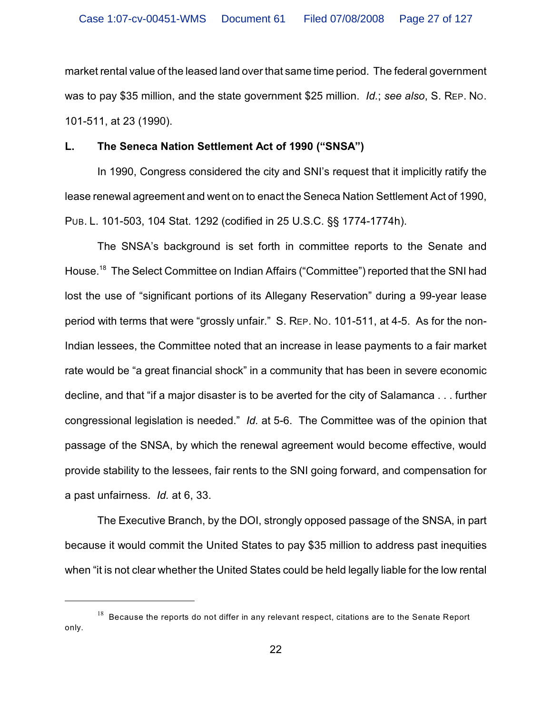market rental value of the leased land over that same time period. The federal government was to pay \$35 million, and the state government \$25 million. *Id.*; *see also*, S. REP. NO. 101-511, at 23 (1990).

## **L. The Seneca Nation Settlement Act of 1990 ("SNSA")**

In 1990, Congress considered the city and SNI's request that it implicitly ratify the lease renewal agreement and went on to enact the Seneca Nation Settlement Act of 1990, PUB. L. 101-503, 104 Stat. 1292 (codified in 25 U.S.C. §§ 1774-1774h).

The SNSA's background is set forth in committee reports to the Senate and House.<sup>18</sup> The Select Committee on Indian Affairs ("Committee") reported that the SNI had lost the use of "significant portions of its Allegany Reservation" during a 99-year lease period with terms that were "grossly unfair." S. REP. NO. 101-511, at 4-5. As for the non-Indian lessees, the Committee noted that an increase in lease payments to a fair market rate would be "a great financial shock" in a community that has been in severe economic decline, and that "if a major disaster is to be averted for the city of Salamanca . . . further congressional legislation is needed." *Id.* at 5-6. The Committee was of the opinion that passage of the SNSA, by which the renewal agreement would become effective, would provide stability to the lessees, fair rents to the SNI going forward, and compensation for a past unfairness. *Id.* at 6, 33.

The Executive Branch, by the DOI, strongly opposed passage of the SNSA, in part because it would commit the United States to pay \$35 million to address past inequities when "it is not clear whether the United States could be held legally liable for the low rental

 $18$  Because the reports do not differ in any relevant respect, citations are to the Senate Report only.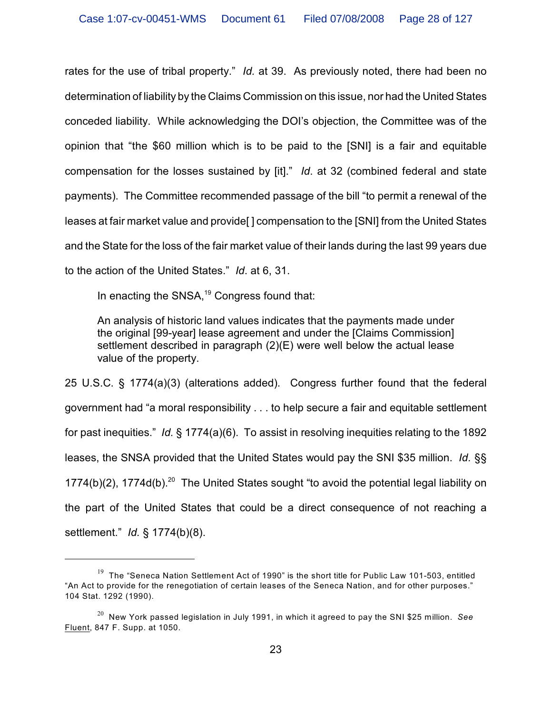rates for the use of tribal property." *Id.* at 39. As previously noted, there had been no determination of liability by the Claims Commission on this issue, nor had the United States conceded liability. While acknowledging the DOI's objection, the Committee was of the opinion that "the \$60 million which is to be paid to the [SNI] is a fair and equitable compensation for the losses sustained by [it]." *Id*. at 32 (combined federal and state payments). The Committee recommended passage of the bill "to permit a renewal of the leases at fair market value and provide[ ] compensation to the [SNI] from the United States and the State for the loss of the fair market value of their lands during the last 99 years due to the action of the United States." *Id*. at 6, 31.

In enacting the SNSA,<sup>19</sup> Congress found that:

An analysis of historic land values indicates that the payments made under the original [99-year] lease agreement and under the [Claims Commission] settlement described in paragraph (2)(E) were well below the actual lease value of the property.

25 U.S.C. § 1774(a)(3) (alterations added). Congress further found that the federal government had "a moral responsibility . . . to help secure a fair and equitable settlement for past inequities." *Id.* § 1774(a)(6). To assist in resolving inequities relating to the 1892 leases, the SNSA provided that the United States would pay the SNI \$35 million. *Id.* §§  $1774(b)(2)$ ,  $1774d(b)$ .<sup>20</sup> The United States sought "to avoid the potential legal liability on the part of the United States that could be a direct consequence of not reaching a settlement." *Id.* § 1774(b)(8).

 $19$  The "Seneca Nation Settlement Act of 1990" is the short title for Public Law 101-503, entitled "An Act to provide for the renegotiation of certain leases of the Seneca Nation, and for other purposes." 104 Stat. 1292 (1990).

<sup>&</sup>lt;sup>20</sup> New York passed legislation in July 1991, in which it agreed to pay the SNI \$25 million. See Fluent, 847 F. Supp. at 1050.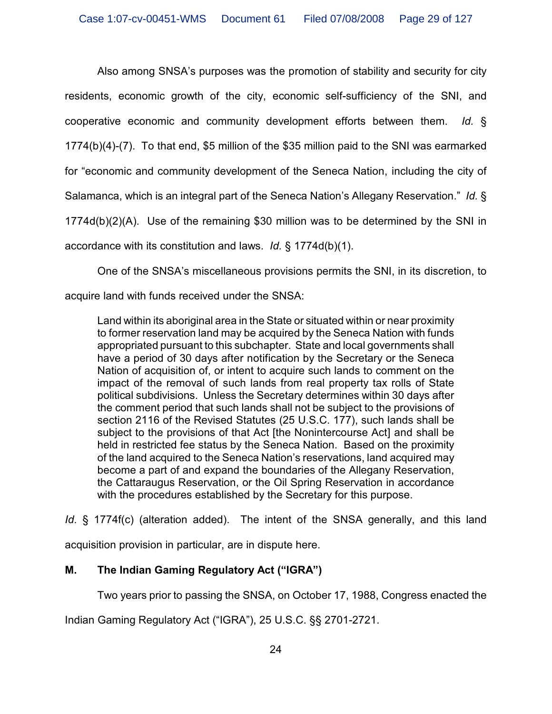Also among SNSA's purposes was the promotion of stability and security for city residents, economic growth of the city, economic self-sufficiency of the SNI, and cooperative economic and community development efforts between them. *Id.* § 1774(b)(4)-(7). To that end, \$5 million of the \$35 million paid to the SNI was earmarked for "economic and community development of the Seneca Nation, including the city of Salamanca, which is an integral part of the Seneca Nation's Allegany Reservation." *Id.* § 1774d(b)(2)(A). Use of the remaining \$30 million was to be determined by the SNI in accordance with its constitution and laws. *Id.* § 1774d(b)(1).

One of the SNSA's miscellaneous provisions permits the SNI, in its discretion, to

acquire land with funds received under the SNSA:

Land within its aboriginal area in the State or situated within or near proximity to former reservation land may be acquired by the Seneca Nation with funds appropriated pursuant to this subchapter. State and local governments shall have a period of 30 days after notification by the Secretary or the Seneca Nation of acquisition of, or intent to acquire such lands to comment on the impact of the removal of such lands from real property tax rolls of State political subdivisions. Unless the Secretary determines within 30 days after the comment period that such lands shall not be subject to the provisions of section 2116 of the Revised Statutes (25 U.S.C. 177), such lands shall be subject to the provisions of that Act [the Nonintercourse Act] and shall be held in restricted fee status by the Seneca Nation. Based on the proximity of the land acquired to the Seneca Nation's reservations, land acquired may become a part of and expand the boundaries of the Allegany Reservation, the Cattaraugus Reservation, or the Oil Spring Reservation in accordance with the procedures established by the Secretary for this purpose.

*Id*. § 1774f(c) (alteration added). The intent of the SNSA generally, and this land

acquisition provision in particular, are in dispute here.

# **M. The Indian Gaming Regulatory Act ("IGRA")**

Two years prior to passing the SNSA, on October 17, 1988, Congress enacted the

Indian Gaming Regulatory Act ("IGRA"), 25 U.S.C. §§ 2701-2721.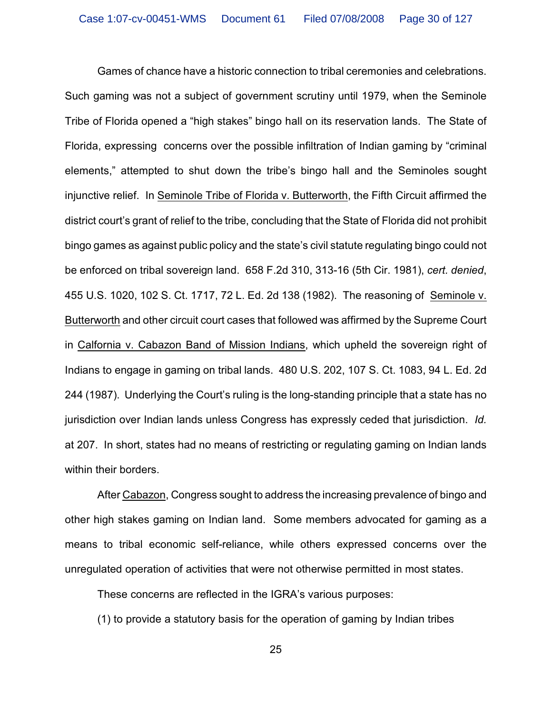Games of chance have a historic connection to tribal ceremonies and celebrations. Such gaming was not a subject of government scrutiny until 1979, when the Seminole Tribe of Florida opened a "high stakes" bingo hall on its reservation lands. The State of Florida, expressing concerns over the possible infiltration of Indian gaming by "criminal elements," attempted to shut down the tribe's bingo hall and the Seminoles sought injunctive relief. In Seminole Tribe of Florida v. Butterworth, the Fifth Circuit affirmed the district court's grant of relief to the tribe, concluding that the State of Florida did not prohibit bingo games as against public policy and the state's civil statute regulating bingo could not be enforced on tribal sovereign land. 658 F.2d 310, 313-16 (5th Cir. 1981), *cert. denied*, 455 U.S. 1020, 102 S. Ct. 1717, 72 L. Ed. 2d 138 (1982). The reasoning of Seminole v. Butterworth and other circuit court cases that followed was affirmed by the Supreme Court in Calfornia v. Cabazon Band of Mission Indians, which upheld the sovereign right of Indians to engage in gaming on tribal lands. 480 U.S. 202, 107 S. Ct. 1083, 94 L. Ed. 2d 244 (1987). Underlying the Court's ruling is the long-standing principle that a state has no jurisdiction over Indian lands unless Congress has expressly ceded that jurisdiction. *Id.* at 207. In short, states had no means of restricting or regulating gaming on Indian lands within their borders.

After Cabazon, Congress sought to address the increasing prevalence of bingo and other high stakes gaming on Indian land. Some members advocated for gaming as a means to tribal economic self-reliance, while others expressed concerns over the unregulated operation of activities that were not otherwise permitted in most states.

These concerns are reflected in the IGRA's various purposes:

(1) to provide a statutory basis for the operation of gaming by Indian tribes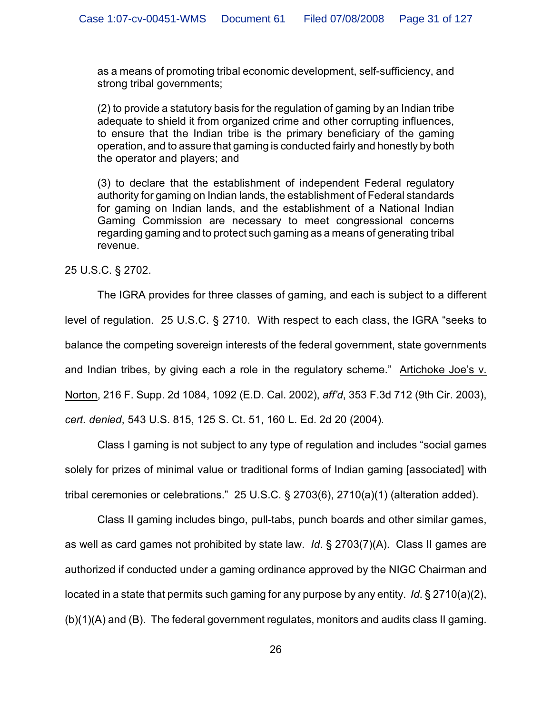as a means of promoting tribal economic development, self-sufficiency, and strong tribal governments;

(2) to provide a statutory basis for the regulation of gaming by an Indian tribe adequate to shield it from organized crime and other corrupting influences, to ensure that the Indian tribe is the primary beneficiary of the gaming operation, and to assure that gaming is conducted fairly and honestly by both the operator and players; and

(3) to declare that the establishment of independent Federal regulatory authority for gaming on Indian lands, the establishment of Federal standards for gaming on Indian lands, and the establishment of a National Indian Gaming Commission are necessary to meet congressional concerns regarding gaming and to protect such gaming as a means of generating tribal revenue.

25 U.S.C. § 2702.

The IGRA provides for three classes of gaming, and each is subject to a different level of regulation. 25 U.S.C. § 2710. With respect to each class, the IGRA "seeks to balance the competing sovereign interests of the federal government, state governments and Indian tribes, by giving each a role in the regulatory scheme." Artichoke Joe's v. Norton, 216 F. Supp. 2d 1084, 1092 (E.D. Cal. 2002), *aff'd*, 353 F.3d 712 (9th Cir. 2003), *cert. denied*, 543 U.S. 815, 125 S. Ct. 51, 160 L. Ed. 2d 20 (2004).

Class I gaming is not subject to any type of regulation and includes "social games solely for prizes of minimal value or traditional forms of Indian gaming [associated] with tribal ceremonies or celebrations." 25 U.S.C. § 2703(6), 2710(a)(1) (alteration added).

Class II gaming includes bingo, pull-tabs, punch boards and other similar games, as well as card games not prohibited by state law. *Id*. § 2703(7)(A). Class II games are authorized if conducted under a gaming ordinance approved by the NIGC Chairman and located in a state that permits such gaming for any purpose by any entity. *Id*. § 2710(a)(2), (b)(1)(A) and (B). The federal government regulates, monitors and audits class II gaming.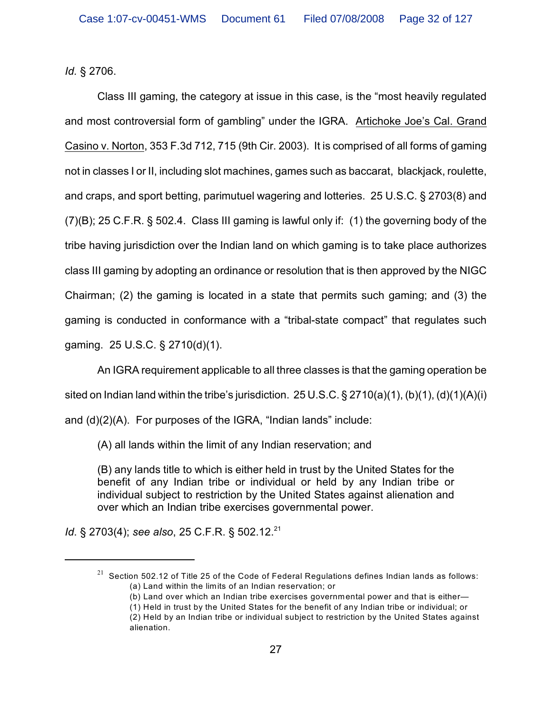*Id.* § 2706.

Class III gaming, the category at issue in this case, is the "most heavily regulated and most controversial form of gambling" under the IGRA. Artichoke Joe's Cal. Grand Casino v. Norton, 353 F.3d 712, 715 (9th Cir. 2003). It is comprised of all forms of gaming not in classes I or II, including slot machines, games such as baccarat, blackjack, roulette, and craps, and sport betting, parimutuel wagering and lotteries. 25 U.S.C. § 2703(8) and (7)(B); 25 C.F.R. § 502.4. Class III gaming is lawful only if: (1) the governing body of the tribe having jurisdiction over the Indian land on which gaming is to take place authorizes class III gaming by adopting an ordinance or resolution that is then approved by the NIGC Chairman; (2) the gaming is located in a state that permits such gaming; and (3) the gaming is conducted in conformance with a "tribal-state compact" that regulates such gaming. 25 U.S.C. § 2710(d)(1).

An IGRA requirement applicable to all three classes is that the gaming operation be sited on Indian land within the tribe's jurisdiction. 25 U.S.C.  $\S 2710(a)(1)$ , (b)(1), (d)(1)(A)(i) and (d)(2)(A). For purposes of the IGRA, "Indian lands" include:

(A) all lands within the limit of any Indian reservation; and

(B) any lands title to which is either held in trust by the United States for the benefit of any Indian tribe or individual or held by any Indian tribe or individual subject to restriction by the United States against alienation and over which an Indian tribe exercises governmental power.

*Id.* § 2703(4); *see also*, 25 C.F.R. § 502.12.<sup>21</sup>

 $^{21}\,$  Section 502.12 of Title 25 of the Code of Federal Regulations defines Indian lands as follows: (a) Land within the limits of an Indian reservation; or

<sup>(</sup>b) Land over which an Indian tribe exercises governmental power and that is either—

<sup>(1)</sup> Held in trust by the United States for the benefit of any Indian tribe or individual; or (2) Held by an Indian tribe or individual subject to restriction by the United States against alienation.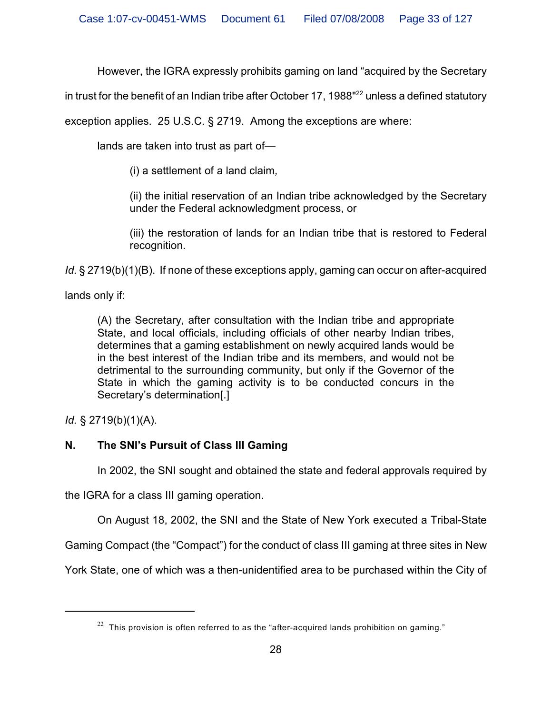However, the IGRA expressly prohibits gaming on land "acquired by the Secretary

in trust for the benefit of an Indian tribe after October 17, 1988 $^{\text{22}}$  unless a defined statutory

exception applies. 25 U.S.C. § 2719. Among the exceptions are where:

lands are taken into trust as part of—

(i) a settlement of a land claim*,*

(ii) the initial reservation of an Indian tribe acknowledged by the Secretary under the Federal acknowledgment process, or

(iii) the restoration of lands for an Indian tribe that is restored to Federal recognition.

*Id.* § 2719(b)(1)(B). If none of these exceptions apply, gaming can occur on after-acquired

lands only if:

(A) the Secretary, after consultation with the Indian tribe and appropriate State, and local officials, including officials of other nearby Indian tribes, determines that a gaming establishment on newly acquired lands would be in the best interest of the Indian tribe and its members, and would not be detrimental to the surrounding community, but only if the Governor of the State in which the gaming activity is to be conducted concurs in the Secretary's determination[.]

*Id.* § 2719(b)(1)(A).

# **N. The SNI's Pursuit of Class III Gaming**

In 2002, the SNI sought and obtained the state and federal approvals required by

the IGRA for a class III gaming operation.

On August 18, 2002, the SNI and the State of New York executed a Tribal-State

Gaming Compact (the "Compact") for the conduct of class III gaming at three sites in New

York State, one of which was a then-unidentified area to be purchased within the City of

 $22$  This provision is often referred to as the "after-acquired lands prohibition on gaming."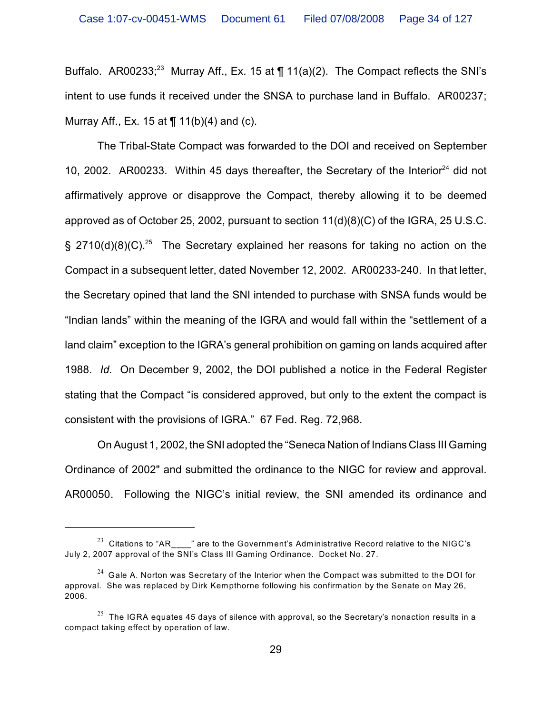Buffalo. AR00233;<sup>23</sup> Murray Aff., Ex. 15 at  $\P$  11(a)(2). The Compact reflects the SNI's intent to use funds it received under the SNSA to purchase land in Buffalo. AR00237; Murray Aff., Ex. 15 at ¶ 11(b)(4) and (c).

The Tribal-State Compact was forwarded to the DOI and received on September 10, 2002. AR00233. Within 45 days thereafter, the Secretary of the Interior<sup>24</sup> did not affirmatively approve or disapprove the Compact, thereby allowing it to be deemed approved as of October 25, 2002, pursuant to section 11(d)(8)(C) of the IGRA, 25 U.S.C. § 2710(d)(8)(C).<sup>25</sup> The Secretary explained her reasons for taking no action on the Compact in a subsequent letter, dated November 12, 2002. AR00233-240. In that letter, the Secretary opined that land the SNI intended to purchase with SNSA funds would be "Indian lands" within the meaning of the IGRA and would fall within the "settlement of a land claim" exception to the IGRA's general prohibition on gaming on lands acquired after 1988. *Id.* On December 9, 2002, the DOI published a notice in the Federal Register stating that the Compact "is considered approved, but only to the extent the compact is consistent with the provisions of IGRA." 67 Fed. Reg. 72,968.

On August 1, 2002, the SNI adopted the "Seneca Nation of Indians Class III Gaming Ordinance of 2002" and submitted the ordinance to the NIGC for review and approval. AR00050. Following the NIGC's initial review, the SNI amended its ordinance and

<sup>&</sup>lt;sup>23</sup> Citations to "AR<sub>\_\_\_\_</sub>" are to the Government's Administrative Record relative to the NIGC's July 2, 2007 approval of the SNI's Class III Gaming Ordinance. Docket No. 27.

 $^{24}$  Gale A. Norton was Secretary of the Interior when the Compact was submitted to the DOI for approval. She was replaced by Dirk Kempthorne following his confirmation by the Senate on May 26, 2006.

 $^{\rm 25}$  The IGRA equates 45 days of silence with approval, so the Secretary's nonaction results in a compact taking effect by operation of law.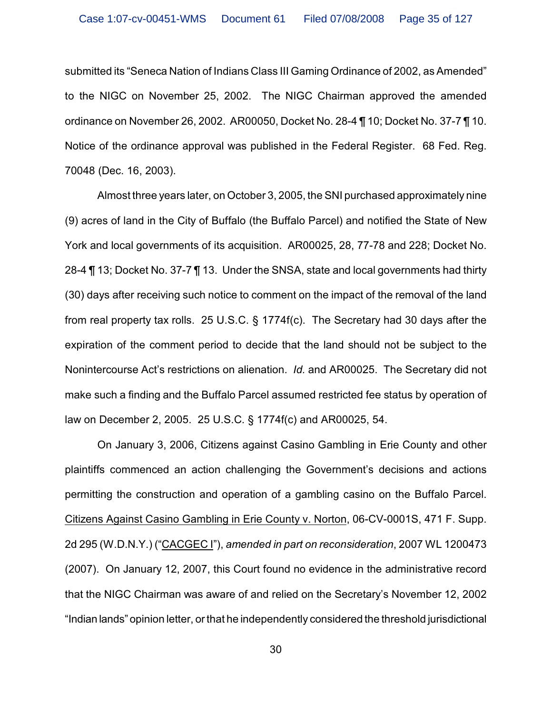submitted its "Seneca Nation of Indians Class III Gaming Ordinance of 2002, as Amended" to the NIGC on November 25, 2002. The NIGC Chairman approved the amended ordinance on November 26, 2002. AR00050, Docket No. 28-4 ¶ 10; Docket No. 37-7 ¶ 10. Notice of the ordinance approval was published in the Federal Register. 68 Fed. Reg. 70048 (Dec. 16, 2003).

Almost three years later, on October 3, 2005, the SNI purchased approximately nine (9) acres of land in the City of Buffalo (the Buffalo Parcel) and notified the State of New York and local governments of its acquisition. AR00025, 28, 77-78 and 228; Docket No. 28-4 ¶ 13; Docket No. 37-7 ¶ 13. Under the SNSA, state and local governments had thirty (30) days after receiving such notice to comment on the impact of the removal of the land from real property tax rolls. 25 U.S.C. § 1774f(c). The Secretary had 30 days after the expiration of the comment period to decide that the land should not be subject to the Nonintercourse Act's restrictions on alienation. *Id.* and AR00025. The Secretary did not make such a finding and the Buffalo Parcel assumed restricted fee status by operation of law on December 2, 2005. 25 U.S.C. § 1774f(c) and AR00025, 54.

On January 3, 2006, Citizens against Casino Gambling in Erie County and other plaintiffs commenced an action challenging the Government's decisions and actions permitting the construction and operation of a gambling casino on the Buffalo Parcel. Citizens Against Casino Gambling in Erie County v. Norton, 06-CV-0001S, 471 F. Supp. 2d 295 (W.D.N.Y.) ("CACGEC I"), *amended in part on reconsideration*, 2007 WL 1200473 (2007). On January 12, 2007, this Court found no evidence in the administrative record that the NIGC Chairman was aware of and relied on the Secretary's November 12, 2002 "Indian lands" opinion letter, or that he independently considered the threshold jurisdictional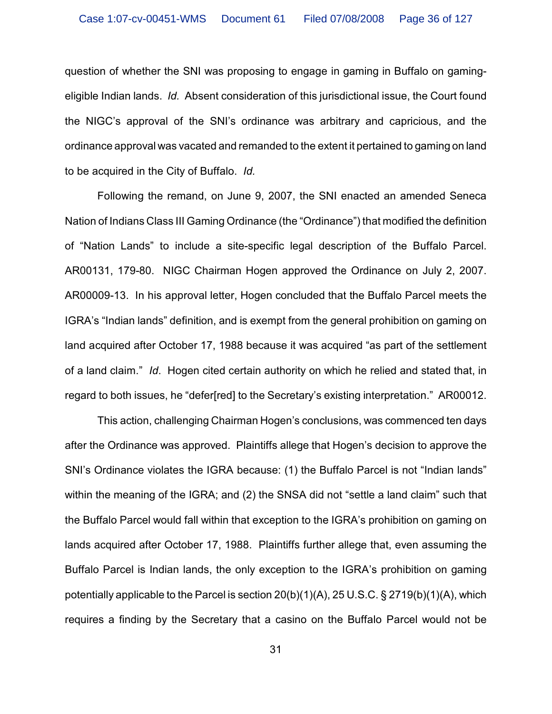question of whether the SNI was proposing to engage in gaming in Buffalo on gamingeligible Indian lands. *Id.* Absent consideration of this jurisdictional issue, the Court found the NIGC's approval of the SNI's ordinance was arbitrary and capricious, and the ordinance approval was vacated and remanded to the extent it pertained to gaming on land to be acquired in the City of Buffalo. *Id.*

Following the remand, on June 9, 2007, the SNI enacted an amended Seneca Nation of Indians Class III Gaming Ordinance (the "Ordinance") that modified the definition of "Nation Lands" to include a site-specific legal description of the Buffalo Parcel. AR00131, 179-80. NIGC Chairman Hogen approved the Ordinance on July 2, 2007. AR00009-13.In his approval letter, Hogen concluded that the Buffalo Parcel meets the IGRA's "Indian lands" definition, and is exempt from the general prohibition on gaming on land acquired after October 17, 1988 because it was acquired "as part of the settlement of a land claim." *Id*. Hogen cited certain authority on which he relied and stated that, in regard to both issues, he "defer[red] to the Secretary's existing interpretation." AR00012.

This action, challenging Chairman Hogen's conclusions, was commenced ten days after the Ordinance was approved. Plaintiffs allege that Hogen's decision to approve the SNI's Ordinance violates the IGRA because: (1) the Buffalo Parcel is not "Indian lands" within the meaning of the IGRA; and (2) the SNSA did not "settle a land claim" such that the Buffalo Parcel would fall within that exception to the IGRA's prohibition on gaming on lands acquired after October 17, 1988. Plaintiffs further allege that, even assuming the Buffalo Parcel is Indian lands, the only exception to the IGRA's prohibition on gaming potentially applicable to the Parcel is section 20(b)(1)(A), 25 U.S.C. § 2719(b)(1)(A), which requires a finding by the Secretary that a casino on the Buffalo Parcel would not be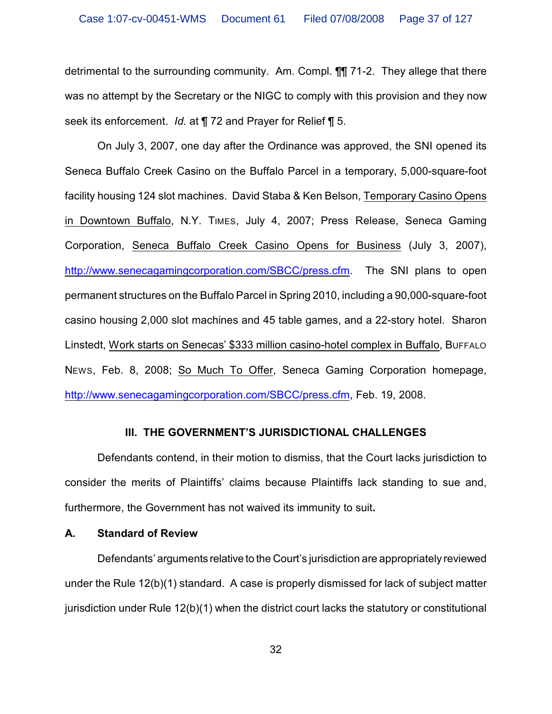detrimental to the surrounding community. Am. Compl. ¶¶ 71-2. They allege that there was no attempt by the Secretary or the NIGC to comply with this provision and they now seek its enforcement. *Id.* at ¶ 72 and Prayer for Relief ¶ 5.

On July 3, 2007, one day after the Ordinance was approved, the SNI opened its Seneca Buffalo Creek Casino on the Buffalo Parcel in a temporary, 5,000-square-foot facility housing 124 slot machines. David Staba & Ken Belson, Temporary Casino Opens in Downtown Buffalo, N.Y. TIMES, July 4, 2007; Press Release, Seneca Gaming Corporation, Seneca Buffalo Creek Casino Opens for Business (July 3, 2007), http://www.senecagamingcorporation.com/SBCC/press.cfm. The SNI plans to open permanent structures on the Buffalo Parcel in Spring 2010, including a 90,000-square-foot casino housing 2,000 slot machines and 45 table games, and a 22-story hotel. Sharon Linstedt, Work starts on Senecas' \$333 million casino-hotel complex in Buffalo, BUFFALO NEWS, Feb. 8, 2008; So Much To Offer, Seneca Gaming Corporation homepage, http://www.senecagamingcorporation.com/SBCC/press.cfm, Feb. 19, 2008.

### **III. THE GOVERNMENT'S JURISDICTIONAL CHALLENGES**

Defendants contend, in their motion to dismiss, that the Court lacks jurisdiction to consider the merits of Plaintiffs' claims because Plaintiffs lack standing to sue and, furthermore, the Government has not waived its immunity to suit**.**

### **A. Standard of Review**

Defendants' arguments relative to the Court's jurisdiction are appropriately reviewed under the Rule 12(b)(1) standard. A case is properly dismissed for lack of subject matter jurisdiction under Rule 12(b)(1) when the district court lacks the statutory or constitutional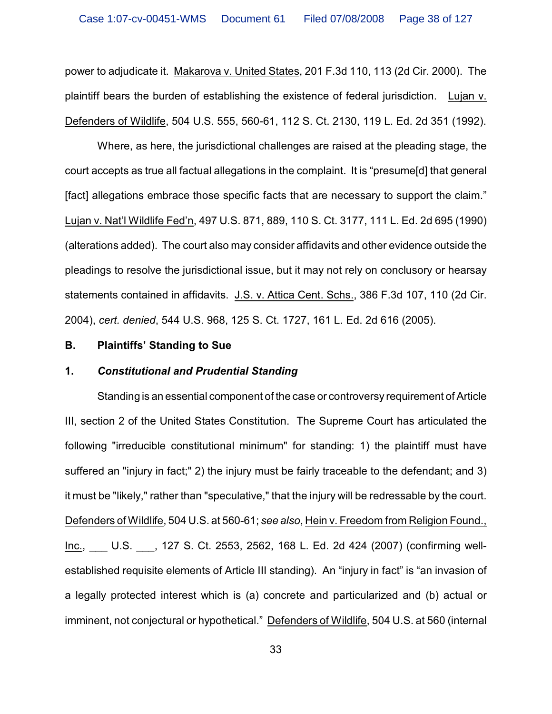power to adjudicate it. Makarova v. United States, 201 F.3d 110, 113 (2d Cir. 2000). The plaintiff bears the burden of establishing the existence of federal jurisdiction. Lujan v. Defenders of Wildlife, 504 U.S. 555, 560-61, 112 S. Ct. 2130, 119 L. Ed. 2d 351 (1992).

Where, as here, the jurisdictional challenges are raised at the pleading stage, the court accepts as true all factual allegations in the complaint. It is "presume[d] that general [fact] allegations embrace those specific facts that are necessary to support the claim." Lujan v. Nat'l Wildlife Fed'n, 497 U.S. 871, 889, 110 S. Ct. 3177, 111 L. Ed. 2d 695 (1990) (alterations added). The court also may consider affidavits and other evidence outside the pleadings to resolve the jurisdictional issue, but it may not rely on conclusory or hearsay statements contained in affidavits. J.S. v. Attica Cent. Schs., 386 F.3d 107, 110 (2d Cir. 2004), *cert. denied*, 544 U.S. 968, 125 S. Ct. 1727, 161 L. Ed. 2d 616 (2005).

### **B. Plaintiffs' Standing to Sue**

### **1.** *Constitutional and Prudential Standing*

Standing is an essential component of the case or controversy requirement of Article III, section 2 of the United States Constitution. The Supreme Court has articulated the following "irreducible constitutional minimum" for standing: 1) the plaintiff must have suffered an "injury in fact;" 2) the injury must be fairly traceable to the defendant; and 3) it must be "likely," rather than "speculative," that the injury will be redressable by the court. Defenders of Wildlife, 504 U.S. at 560-61; *see also*, Hein v. Freedom from Religion Found., Inc., \_\_\_ U.S. \_\_\_, 127 S. Ct. 2553, 2562, 168 L. Ed. 2d 424 (2007) (confirming wellestablished requisite elements of Article III standing). An "injury in fact" is "an invasion of a legally protected interest which is (a) concrete and particularized and (b) actual or imminent, not conjectural or hypothetical." Defenders of Wildlife, 504 U.S. at 560 (internal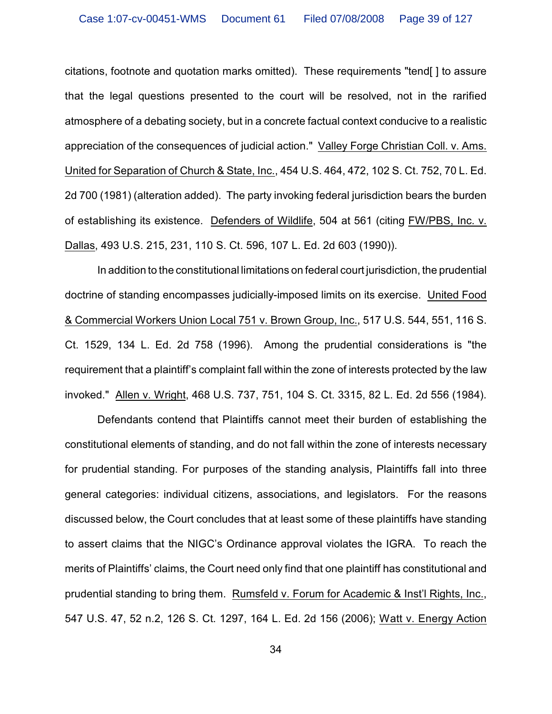citations, footnote and quotation marks omitted). These requirements "tend[ ] to assure that the legal questions presented to the court will be resolved, not in the rarified atmosphere of a debating society, but in a concrete factual context conducive to a realistic appreciation of the consequences of judicial action." Valley Forge Christian Coll. v. Ams. United for Separation of Church & State, Inc., 454 U.S. 464, 472, 102 S. Ct. 752, 70 L. Ed. 2d 700 (1981) (alteration added). The party invoking federal jurisdiction bears the burden of establishing its existence. Defenders of Wildlife, 504 at 561 (citing FW/PBS, Inc. v. Dallas, 493 U.S. 215, 231, 110 S. Ct. 596, 107 L. Ed. 2d 603 (1990)).

In addition to the constitutional limitations on federal court jurisdiction, the prudential doctrine of standing encompasses judicially-imposed limits on its exercise. United Food & Commercial Workers Union Local 751 v. Brown Group, Inc., 517 U.S. 544, 551, 116 S. Ct. 1529, 134 L. Ed. 2d 758 (1996). Among the prudential considerations is "the requirement that a plaintiff's complaint fall within the zone of interests protected by the law invoked." Allen v. Wright, 468 U.S. 737, 751, 104 S. Ct. 3315, 82 L. Ed. 2d 556 (1984).

Defendants contend that Plaintiffs cannot meet their burden of establishing the constitutional elements of standing, and do not fall within the zone of interests necessary for prudential standing. For purposes of the standing analysis, Plaintiffs fall into three general categories: individual citizens, associations, and legislators. For the reasons discussed below, the Court concludes that at least some of these plaintiffs have standing to assert claims that the NIGC's Ordinance approval violates the IGRA. To reach the merits of Plaintiffs' claims, the Court need only find that one plaintiff has constitutional and prudential standing to bring them. Rumsfeld v. Forum for Academic & Inst'l Rights, Inc., 547 U.S. 47, 52 n.2, 126 S. Ct. 1297, 164 L. Ed. 2d 156 (2006); Watt v. Energy Action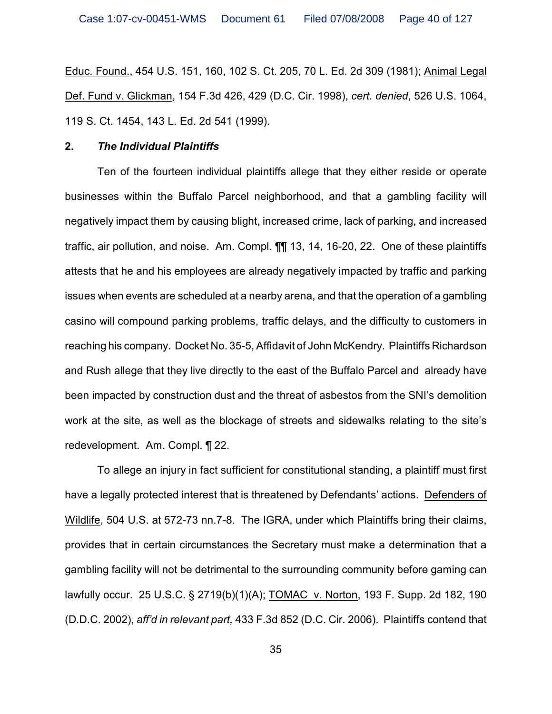Educ. Found., 454 U.S. 151, 160, 102 S. Ct. 205, 70 L. Ed. 2d 309 (1981); Animal Legal Def. Fund v. Glickman, 154 F.3d 426, 429 (D.C. Cir. 1998), *cert. denied*, 526 U.S. 1064, 119 S. Ct. 1454, 143 L. Ed. 2d 541 (1999).

#### **2.** *The Individual Plaintiffs*

Ten of the fourteen individual plaintiffs allege that they either reside or operate businesses within the Buffalo Parcel neighborhood, and that a gambling facility will negatively impact them by causing blight, increased crime, lack of parking, and increased traffic, air pollution, and noise. Am. Compl. ¶¶ 13, 14, 16-20, 22. One of these plaintiffs attests that he and his employees are already negatively impacted by traffic and parking issues when events are scheduled at a nearby arena, and that the operation of a gambling casino will compound parking problems, traffic delays, and the difficulty to customers in reaching his company. Docket No. 35-5, Affidavit of John McKendry. Plaintiffs Richardson and Rush allege that they live directly to the east of the Buffalo Parcel and already have been impacted by construction dust and the threat of asbestos from the SNI's demolition work at the site, as well as the blockage of streets and sidewalks relating to the site's redevelopment. Am. Compl. ¶ 22.

To allege an injury in fact sufficient for constitutional standing, a plaintiff must first have a legally protected interest that is threatened by Defendants' actions. Defenders of Wildlife, 504 U.S. at 572-73 nn.7-8. The IGRA, under which Plaintiffs bring their claims, provides that in certain circumstances the Secretary must make a determination that a gambling facility will not be detrimental to the surrounding community before gaming can lawfully occur. 25 U.S.C. § 2719(b)(1)(A); TOMAC v. Norton, 193 F. Supp. 2d 182, 190 (D.D.C. 2002), *aff'd in relevant part,* 433 F.3d 852 (D.C. Cir. 2006). Plaintiffs contend that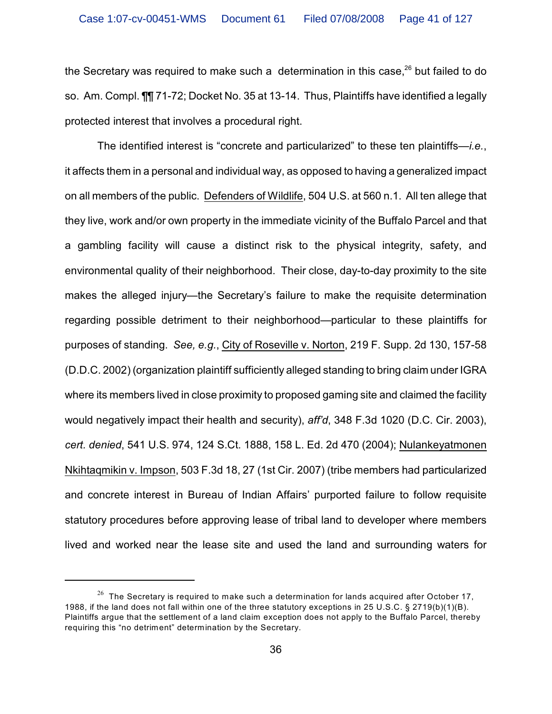the Secretary was required to make such a determination in this case.<sup>26</sup> but failed to do so. Am. Compl. ¶¶ 71-72; Docket No. 35 at 13-14. Thus, Plaintiffs have identified a legally protected interest that involves a procedural right.

The identified interest is "concrete and particularized" to these ten plaintiffs—*i.e.*, it affects them in a personal and individual way, as opposed to having a generalized impact on all members of the public. Defenders of Wildlife, 504 U.S. at 560 n.1. All ten allege that they live, work and/or own property in the immediate vicinity of the Buffalo Parcel and that a gambling facility will cause a distinct risk to the physical integrity, safety, and environmental quality of their neighborhood. Their close, day-to-day proximity to the site makes the alleged injury—the Secretary's failure to make the requisite determination regarding possible detriment to their neighborhood—particular to these plaintiffs for purposes of standing. *See, e.g.*, City of Roseville v. Norton, 219 F. Supp. 2d 130, 157-58 (D.D.C. 2002) (organization plaintiff sufficiently alleged standing to bring claim under IGRA where its members lived in close proximity to proposed gaming site and claimed the facility would negatively impact their health and security), *aff'd*, 348 F.3d 1020 (D.C. Cir. 2003), *cert. denied*, 541 U.S. 974, 124 S.Ct. 1888, 158 L. Ed. 2d 470 (2004); Nulankeyatmonen Nkihtaqmikin v. Impson, 503 F.3d 18, 27 (1st Cir. 2007) (tribe members had particularized and concrete interest in Bureau of Indian Affairs' purported failure to follow requisite statutory procedures before approving lease of tribal land to developer where members lived and worked near the lease site and used the land and surrounding waters for

 $26$  The Secretary is required to make such a determination for lands acquired after October 17, 1988, if the land does not fall within one of the three statutory exceptions in 25 U.S.C. § 2719(b)(1)(B). Plaintiffs argue that the settlement of a land claim exception does not apply to the Buffalo Parcel, thereby requiring this "no detriment" determination by the Secretary.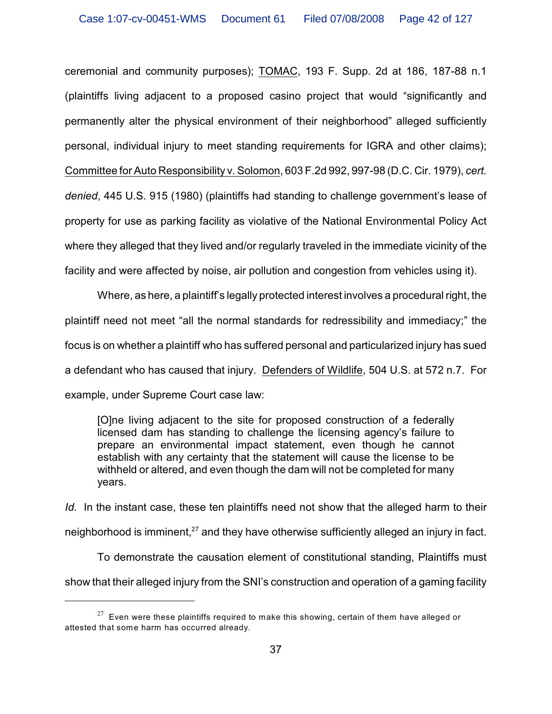ceremonial and community purposes); TOMAC, 193 F. Supp. 2d at 186, 187-88 n.1 (plaintiffs living adjacent to a proposed casino project that would "significantly and permanently alter the physical environment of their neighborhood" alleged sufficiently personal, individual injury to meet standing requirements for IGRA and other claims); Committee for Auto Responsibility v. Solomon, 603 F.2d 992, 997-98 (D.C. Cir. 1979), *cert. denied*, 445 U.S. 915 (1980) (plaintiffs had standing to challenge government's lease of property for use as parking facility as violative of the National Environmental Policy Act where they alleged that they lived and/or regularly traveled in the immediate vicinity of the facility and were affected by noise, air pollution and congestion from vehicles using it).

Where, as here, a plaintiff's legally protected interest involves a procedural right, the plaintiff need not meet "all the normal standards for redressibility and immediacy;" the focus is on whether a plaintiff who has suffered personal and particularized injury has sued a defendant who has caused that injury. Defenders of Wildlife, 504 U.S. at 572 n.7. For example, under Supreme Court case law:

[O]ne living adjacent to the site for proposed construction of a federally licensed dam has standing to challenge the licensing agency's failure to prepare an environmental impact statement, even though he cannot establish with any certainty that the statement will cause the license to be withheld or altered, and even though the dam will not be completed for many years.

*Id.* In the instant case, these ten plaintiffs need not show that the alleged harm to their neighborhood is imminent,  $27$  and they have otherwise sufficiently alleged an injury in fact.

To demonstrate the causation element of constitutional standing, Plaintiffs must show that their alleged injury from the SNI's construction and operation of a gaming facility

 $^{27}$  Even were these plaintiffs required to make this showing, certain of them have alleged or attested that some harm has occurred already.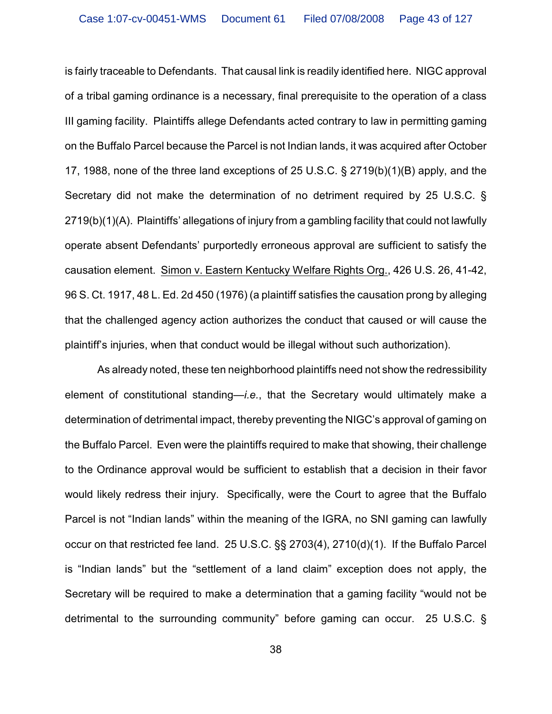is fairly traceable to Defendants. That causal link is readily identified here. NIGC approval of a tribal gaming ordinance is a necessary, final prerequisite to the operation of a class III gaming facility. Plaintiffs allege Defendants acted contrary to law in permitting gaming on the Buffalo Parcel because the Parcel is not Indian lands, it was acquired after October 17, 1988, none of the three land exceptions of 25 U.S.C. § 2719(b)(1)(B) apply, and the Secretary did not make the determination of no detriment required by 25 U.S.C. § 2719(b)(1)(A). Plaintiffs' allegations of injury from a gambling facility that could not lawfully operate absent Defendants' purportedly erroneous approval are sufficient to satisfy the causation element. Simon v. Eastern Kentucky Welfare Rights Org., 426 U.S. 26, 41-42, 96 S. Ct. 1917, 48 L. Ed. 2d 450 (1976) (a plaintiff satisfies the causation prong by alleging that the challenged agency action authorizes the conduct that caused or will cause the plaintiff's injuries, when that conduct would be illegal without such authorization).

As already noted, these ten neighborhood plaintiffs need not show the redressibility element of constitutional standing—*i.e.*, that the Secretary would ultimately make a determination of detrimental impact, thereby preventing the NIGC's approval of gaming on the Buffalo Parcel. Even were the plaintiffs required to make that showing, their challenge to the Ordinance approval would be sufficient to establish that a decision in their favor would likely redress their injury. Specifically, were the Court to agree that the Buffalo Parcel is not "Indian lands" within the meaning of the IGRA, no SNI gaming can lawfully occur on that restricted fee land. 25 U.S.C. §§ 2703(4), 2710(d)(1). If the Buffalo Parcel is "Indian lands" but the "settlement of a land claim" exception does not apply, the Secretary will be required to make a determination that a gaming facility "would not be detrimental to the surrounding community" before gaming can occur. 25 U.S.C. §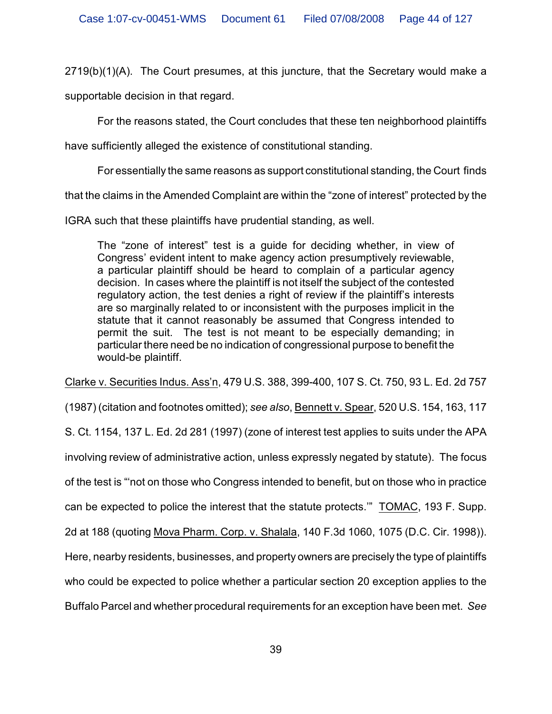$2719(b)(1)(A)$ . The Court presumes, at this juncture, that the Secretary would make a

supportable decision in that regard.

For the reasons stated, the Court concludes that these ten neighborhood plaintiffs

have sufficiently alleged the existence of constitutional standing.

For essentially the same reasons as support constitutional standing, the Court finds

that the claims in the Amended Complaint are within the "zone of interest" protected by the

IGRA such that these plaintiffs have prudential standing, as well.

The "zone of interest" test is a guide for deciding whether, in view of Congress' evident intent to make agency action presumptively reviewable, a particular plaintiff should be heard to complain of a particular agency decision. In cases where the plaintiff is not itself the subject of the contested regulatory action, the test denies a right of review if the plaintiff's interests are so marginally related to or inconsistent with the purposes implicit in the statute that it cannot reasonably be assumed that Congress intended to permit the suit. The test is not meant to be especially demanding; in particular there need be no indication of congressional purpose to benefit the would-be plaintiff.

Clarke v. Securities Indus. Ass'n, 479 U.S. 388, 399-400, 107 S. Ct. 750, 93 L. Ed. 2d 757

(1987) (citation and footnotes omitted); *see also*, Bennett v. Spear, 520 U.S. 154, 163, 117

S. Ct. 1154, 137 L. Ed. 2d 281 (1997) (zone of interest test applies to suits under the APA

involving review of administrative action, unless expressly negated by statute). The focus

of the test is "'not on those who Congress intended to benefit, but on those who in practice

can be expected to police the interest that the statute protects.'" TOMAC, 193 F. Supp.

2d at 188 (quoting Mova Pharm. Corp. v. Shalala, 140 F.3d 1060, 1075 (D.C. Cir. 1998)).

Here, nearby residents, businesses, and property owners are precisely the type of plaintiffs

who could be expected to police whether a particular section 20 exception applies to the

Buffalo Parcel and whether procedural requirements for an exception have been met. *See*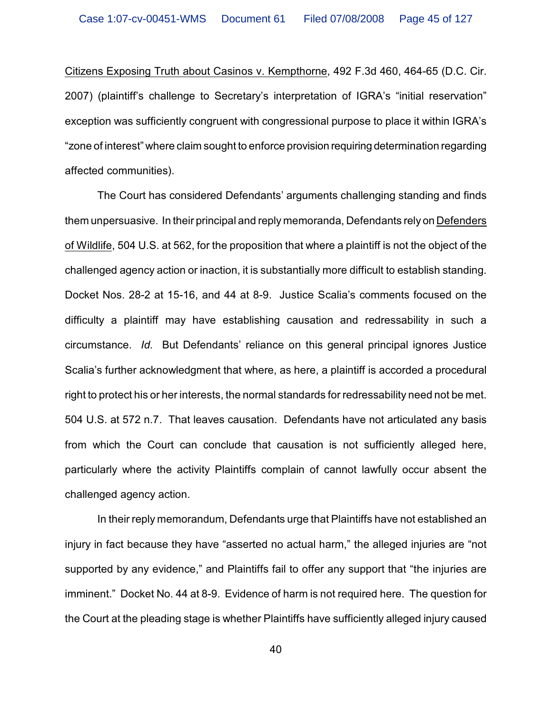Citizens Exposing Truth about Casinos v. Kempthorne, 492 F.3d 460, 464-65 (D.C. Cir. 2007) (plaintiff's challenge to Secretary's interpretation of IGRA's "initial reservation" exception was sufficiently congruent with congressional purpose to place it within IGRA's "zone of interest" where claim sought to enforce provision requiring determination regarding affected communities).

The Court has considered Defendants' arguments challenging standing and finds them unpersuasive. In their principal and reply memoranda, Defendants rely on Defenders of Wildlife, 504 U.S. at 562, for the proposition that where a plaintiff is not the object of the challenged agency action or inaction, it is substantially more difficult to establish standing. Docket Nos. 28-2 at 15-16, and 44 at 8-9. Justice Scalia's comments focused on the difficulty a plaintiff may have establishing causation and redressability in such a circumstance. *Id.* But Defendants' reliance on this general principal ignores Justice Scalia's further acknowledgment that where, as here, a plaintiff is accorded a procedural right to protect his or her interests, the normal standards for redressability need not be met. 504 U.S. at 572 n.7. That leaves causation. Defendants have not articulated any basis from which the Court can conclude that causation is not sufficiently alleged here, particularly where the activity Plaintiffs complain of cannot lawfully occur absent the challenged agency action.

In their reply memorandum, Defendants urge that Plaintiffs have not established an injury in fact because they have "asserted no actual harm," the alleged injuries are "not supported by any evidence," and Plaintiffs fail to offer any support that "the injuries are imminent." Docket No. 44 at 8-9. Evidence of harm is not required here. The question for the Court at the pleading stage is whether Plaintiffs have sufficiently alleged injury caused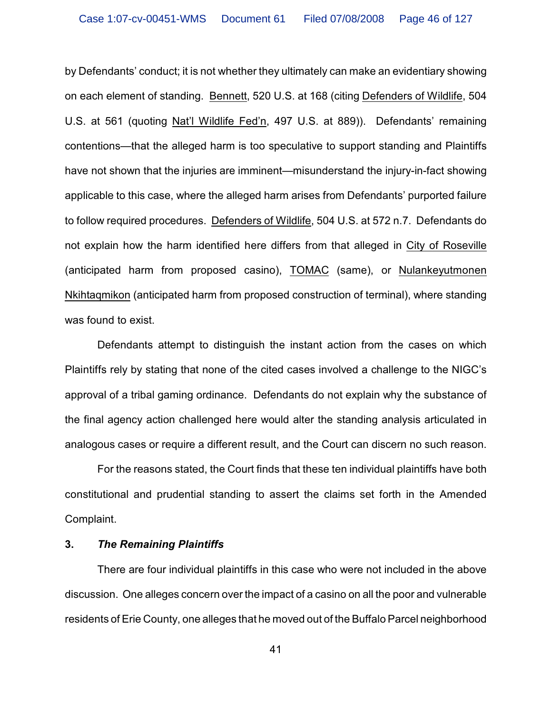by Defendants' conduct; it is not whether they ultimately can make an evidentiary showing on each element of standing. Bennett, 520 U.S. at 168 (citing Defenders of Wildlife, 504 U.S. at 561 (quoting Nat'l Wildlife Fed'n, 497 U.S. at 889)). Defendants' remaining contentions—that the alleged harm is too speculative to support standing and Plaintiffs have not shown that the injuries are imminent—misunderstand the injury-in-fact showing applicable to this case, where the alleged harm arises from Defendants' purported failure to follow required procedures. Defenders of Wildlife, 504 U.S. at 572 n.7. Defendants do not explain how the harm identified here differs from that alleged in City of Roseville (anticipated harm from proposed casino), TOMAC (same), or Nulankeyutmonen Nkihtaqmikon (anticipated harm from proposed construction of terminal), where standing was found to exist.

Defendants attempt to distinguish the instant action from the cases on which Plaintiffs rely by stating that none of the cited cases involved a challenge to the NIGC's approval of a tribal gaming ordinance. Defendants do not explain why the substance of the final agency action challenged here would alter the standing analysis articulated in analogous cases or require a different result, and the Court can discern no such reason.

For the reasons stated, the Court finds that these ten individual plaintiffs have both constitutional and prudential standing to assert the claims set forth in the Amended Complaint.

### **3.** *The Remaining Plaintiffs*

There are four individual plaintiffs in this case who were not included in the above discussion. One alleges concern over the impact of a casino on all the poor and vulnerable residents of Erie County, one alleges that he moved out of the Buffalo Parcel neighborhood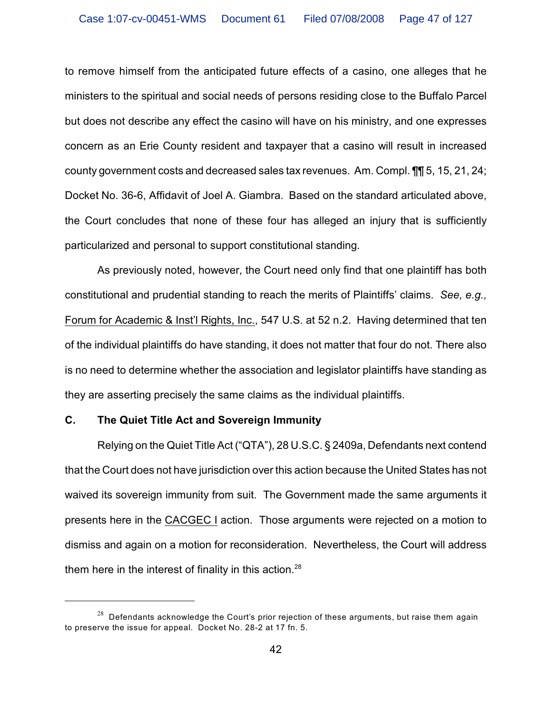to remove himself from the anticipated future effects of a casino, one alleges that he ministers to the spiritual and social needs of persons residing close to the Buffalo Parcel but does not describe any effect the casino will have on his ministry, and one expresses concern as an Erie County resident and taxpayer that a casino will result in increased county government costs and decreased sales tax revenues. Am. Compl. ¶¶ 5, 15, 21, 24; Docket No. 36-6, Affidavit of Joel A. Giambra. Based on the standard articulated above, the Court concludes that none of these four has alleged an injury that is sufficiently particularized and personal to support constitutional standing.

As previously noted, however, the Court need only find that one plaintiff has both constitutional and prudential standing to reach the merits of Plaintiffs' claims. *See, e.g.,* Forum for Academic & Inst'l Rights, Inc., 547 U.S. at 52 n.2. Having determined that ten of the individual plaintiffs do have standing, it does not matter that four do not. There also is no need to determine whether the association and legislator plaintiffs have standing as they are asserting precisely the same claims as the individual plaintiffs.

### **C. The Quiet Title Act and Sovereign Immunity**

Relying on the Quiet Title Act ("QTA"), 28 U.S.C. § 2409a, Defendants next contend that the Court does not have jurisdiction over this action because the United States has not waived its sovereign immunity from suit. The Government made the same arguments it presents here in the CACGEC I action. Those arguments were rejected on a motion to dismiss and again on a motion for reconsideration. Nevertheless, the Court will address them here in the interest of finality in this action.<sup>28</sup>

 $128$  Defendants acknowledge the Court's prior rejection of these arguments, but raise them again to preserve the issue for appeal. Docket No. 28-2 at 17 fn. 5.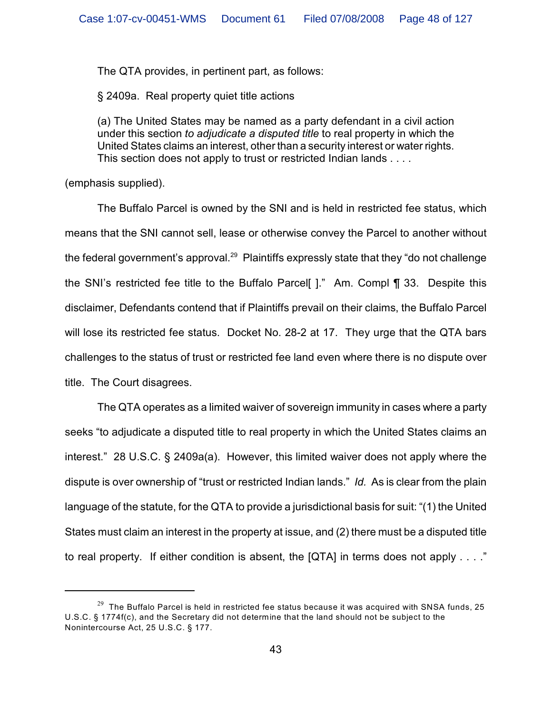The QTA provides, in pertinent part, as follows:

§ 2409a. Real property quiet title actions

(a) The United States may be named as a party defendant in a civil action under this section *to adjudicate a disputed title* to real property in which the United States claims an interest, other than a security interest or water rights. This section does not apply to trust or restricted Indian lands . . . .

(emphasis supplied).

The Buffalo Parcel is owned by the SNI and is held in restricted fee status, which means that the SNI cannot sell, lease or otherwise convey the Parcel to another without the federal government's approval.<sup>29</sup> Plaintiffs expressly state that they "do not challenge the SNI's restricted fee title to the Buffalo Parcel [ $\cdot$ ]." Am. Compl  $\P$  33. Despite this disclaimer, Defendants contend that if Plaintiffs prevail on their claims, the Buffalo Parcel will lose its restricted fee status. Docket No. 28-2 at 17. They urge that the QTA bars challenges to the status of trust or restricted fee land even where there is no dispute over title. The Court disagrees.

The QTA operates as a limited waiver of sovereign immunity in cases where a party seeks "to adjudicate a disputed title to real property in which the United States claims an interest." 28 U.S.C. § 2409a(a). However, this limited waiver does not apply where the dispute is over ownership of "trust or restricted Indian lands." *Id.* As is clear from the plain language of the statute, for the QTA to provide a jurisdictional basis for suit: "(1) the United States must claim an interest in the property at issue, and (2) there must be a disputed title to real property. If either condition is absent, the  $[QTA]$  in terms does not apply  $\ldots$ ."

 $29$  The Buffalo Parcel is held in restricted fee status because it was acquired with SNSA funds, 25 U.S.C. § 1774f(c), and the Secretary did not determine that the land should not be subject to the Nonintercourse Act, 25 U.S.C. § 177.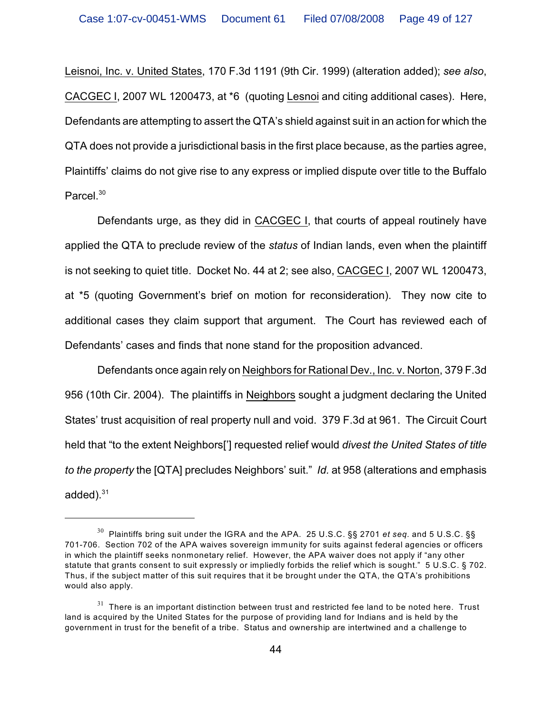Leisnoi, Inc. v. United States, 170 F.3d 1191 (9th Cir. 1999) (alteration added); *see also*, CACGEC I, 2007 WL 1200473, at \*6 (quoting Lesnoi and citing additional cases). Here, Defendants are attempting to assert the QTA's shield against suit in an action for which the QTA does not provide a jurisdictional basis in the first place because, as the parties agree, Plaintiffs' claims do not give rise to any express or implied dispute over title to the Buffalo Parcel.<sup>30</sup>

Defendants urge, as they did in CACGEC I, that courts of appeal routinely have applied the QTA to preclude review of the *status* of Indian lands, even when the plaintiff is not seeking to quiet title. Docket No. 44 at 2; see also, CACGEC I, 2007 WL 1200473, at \*5 (quoting Government's brief on motion for reconsideration). They now cite to additional cases they claim support that argument. The Court has reviewed each of Defendants' cases and finds that none stand for the proposition advanced.

Defendants once again rely on Neighbors for Rational Dev., Inc. v. Norton, 379 F.3d 956 (10th Cir. 2004). The plaintiffs in Neighbors sought a judgment declaring the United States' trust acquisition of real property null and void. 379 F.3d at 961. The Circuit Court held that "to the extent Neighbors['] requested relief would *divest the United States of title to the property* the [QTA] precludes Neighbors' suit." *Id.* at 958 (alterations and emphasis added). $31$ 

 $30$  Plaintiffs bring suit under the IGRA and the APA. 25 U.S.C. §§ 2701 *et seq.* and 5 U.S.C. §§ 701-706. Section 702 of the APA waives sovereign immunity for suits against federal agencies or officers in which the plaintiff seeks nonmonetary relief. However, the APA waiver does not apply if "any other statute that grants consent to suit expressly or impliedly forbids the relief which is sought." 5 U.S.C. § 702. Thus, if the subject matter of this suit requires that it be brought under the QTA, the QTA's prohibitions would also apply.

 $31$  There is an important distinction between trust and restricted fee land to be noted here. Trust land is acquired by the United States for the purpose of providing land for Indians and is held by the government in trust for the benefit of a tribe. Status and ownership are intertwined and a challenge to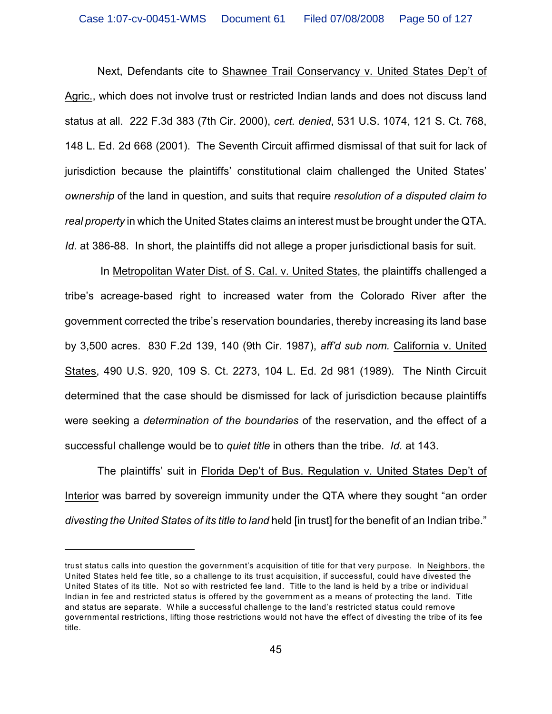Next, Defendants cite to Shawnee Trail Conservancy v. United States Dep't of Agric., which does not involve trust or restricted Indian lands and does not discuss land status at all. 222 F.3d 383 (7th Cir. 2000), *cert. denied*, 531 U.S. 1074, 121 S. Ct. 768, 148 L. Ed. 2d 668 (2001). The Seventh Circuit affirmed dismissal of that suit for lack of jurisdiction because the plaintiffs' constitutional claim challenged the United States' *ownership* of the land in question, and suits that require *resolution of a disputed claim to real property* in which the United States claims an interest must be brought under the QTA. *Id.* at 386-88. In short, the plaintiffs did not allege a proper jurisdictional basis for suit.

 In Metropolitan Water Dist. of S. Cal. v. United States, the plaintiffs challenged a tribe's acreage-based right to increased water from the Colorado River after the government corrected the tribe's reservation boundaries, thereby increasing its land base by 3,500 acres. 830 F.2d 139, 140 (9th Cir. 1987), *aff'd sub nom.* California v. United States, 490 U.S. 920, 109 S. Ct. 2273, 104 L. Ed. 2d 981 (1989). The Ninth Circuit determined that the case should be dismissed for lack of jurisdiction because plaintiffs were seeking a *determination of the boundaries* of the reservation, and the effect of a successful challenge would be to *quiet title* in others than the tribe. *Id.* at 143.

The plaintiffs' suit in Florida Dep't of Bus. Regulation v. United States Dep't of Interior was barred by sovereign immunity under the QTA where they sought "an order *divesting the United States of its title to land* held [in trust] for the benefit of an Indian tribe."

trust status calls into question the government's acquisition of title for that very purpose. In Neighbors, the United States held fee title, so a challenge to its trust acquisition, if successful, could have divested the United States of its title. Not so with restricted fee land. Title to the land is held by a tribe or individual Indian in fee and restricted status is offered by the government as a means of protecting the land. Title and status are separate. W hile a successful challenge to the land's restricted status could remove governmental restrictions, lifting those restrictions would not have the effect of divesting the tribe of its fee title.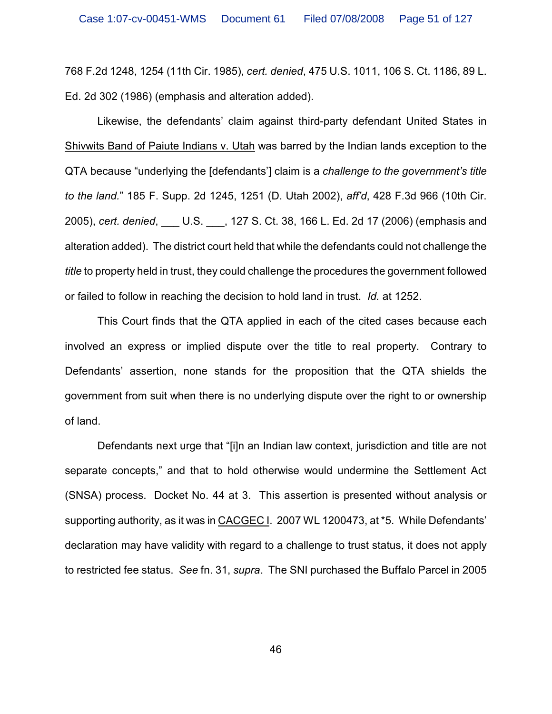768 F.2d 1248, 1254 (11th Cir. 1985), *cert. denied*, 475 U.S. 1011, 106 S. Ct. 1186, 89 L. Ed. 2d 302 (1986) (emphasis and alteration added).

Likewise, the defendants' claim against third-party defendant United States in Shivwits Band of Paiute Indians v. Utah was barred by the Indian lands exception to the QTA because "underlying the [defendants'] claim is a *challenge to the government's title to the land.*" 185 F. Supp. 2d 1245, 1251 (D. Utah 2002), *aff'd*, 428 F.3d 966 (10th Cir. 2005), *cert. denied*, \_\_\_ U.S. \_\_\_, 127 S. Ct. 38, 166 L. Ed. 2d 17 (2006) (emphasis and alteration added). The district court held that while the defendants could not challenge the *title* to property held in trust, they could challenge the procedures the government followed or failed to follow in reaching the decision to hold land in trust. *Id.* at 1252.

This Court finds that the QTA applied in each of the cited cases because each involved an express or implied dispute over the title to real property. Contrary to Defendants' assertion, none stands for the proposition that the QTA shields the government from suit when there is no underlying dispute over the right to or ownership of land.

Defendants next urge that "[i]n an Indian law context, jurisdiction and title are not separate concepts," and that to hold otherwise would undermine the Settlement Act (SNSA) process. Docket No. 44 at 3. This assertion is presented without analysis or supporting authority, as it was in CACGEC I. 2007 WL 1200473, at \*5. While Defendants' declaration may have validity with regard to a challenge to trust status, it does not apply to restricted fee status. *See* fn. 31, *supra*. The SNI purchased the Buffalo Parcel in 2005

46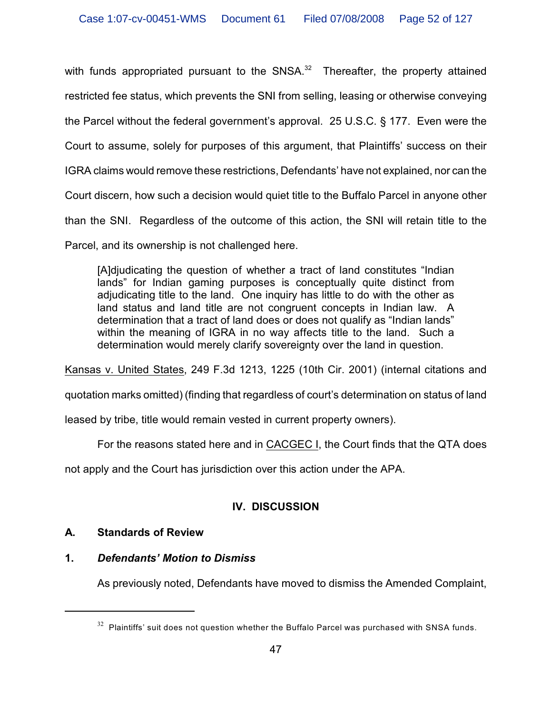with funds appropriated pursuant to the  $SNSA<sup>32</sup>$  Thereafter, the property attained restricted fee status, which prevents the SNI from selling, leasing or otherwise conveying the Parcel without the federal government's approval. 25 U.S.C. § 177. Even were the Court to assume, solely for purposes of this argument, that Plaintiffs' success on their IGRA claims would remove these restrictions, Defendants' have not explained, nor can the Court discern, how such a decision would quiet title to the Buffalo Parcel in anyone other than the SNI. Regardless of the outcome of this action, the SNI will retain title to the Parcel, and its ownership is not challenged here.

[A]djudicating the question of whether a tract of land constitutes "Indian lands" for Indian gaming purposes is conceptually quite distinct from adjudicating title to the land. One inquiry has little to do with the other as land status and land title are not congruent concepts in Indian law. A determination that a tract of land does or does not qualify as "Indian lands" within the meaning of IGRA in no way affects title to the land. Such a determination would merely clarify sovereignty over the land in question.

Kansas v. United States, 249 F.3d 1213, 1225 (10th Cir. 2001) (internal citations and

quotation marks omitted) (finding that regardless of court's determination on status of land

leased by tribe, title would remain vested in current property owners).

For the reasons stated here and in CACGEC I, the Court finds that the QTA does

not apply and the Court has jurisdiction over this action under the APA.

# **IV. DISCUSSION**

# **A. Standards of Review**

# **1.** *Defendants' Motion to Dismiss*

As previously noted, Defendants have moved to dismiss the Amended Complaint,

 $32$  Plaintiffs' suit does not question whether the Buffalo Parcel was purchased with SNSA funds.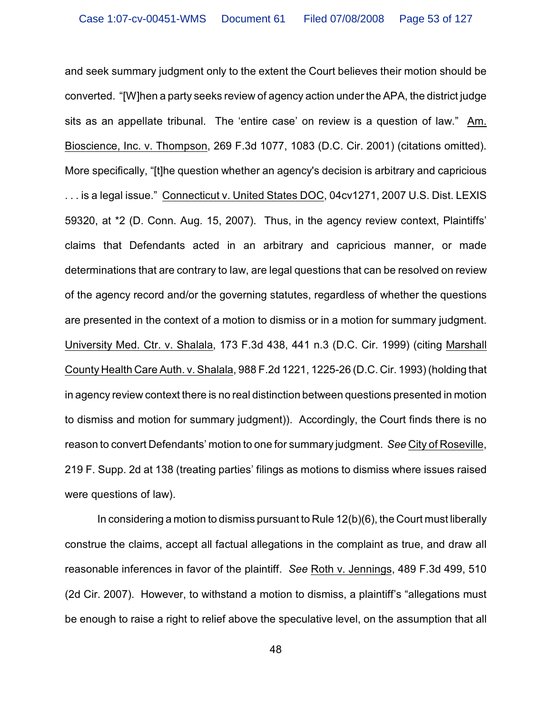and seek summary judgment only to the extent the Court believes their motion should be converted. "[W]hen a party seeks review of agency action under the APA, the district judge sits as an appellate tribunal. The 'entire case' on review is a question of law." Am. Bioscience, Inc. v. Thompson, 269 F.3d 1077, 1083 (D.C. Cir. 2001) (citations omitted). More specifically, "[t]he question whether an agency's decision is arbitrary and capricious . . . is a legal issue." Connecticut v. United States DOC, 04cv1271, 2007 U.S. Dist. LEXIS 59320, at \*2 (D. Conn. Aug. 15, 2007). Thus, in the agency review context, Plaintiffs' claims that Defendants acted in an arbitrary and capricious manner, or made determinations that are contrary to law, are legal questions that can be resolved on review of the agency record and/or the governing statutes, regardless of whether the questions are presented in the context of a motion to dismiss or in a motion for summary judgment. University Med. Ctr. v. Shalala, 173 F.3d 438, 441 n.3 (D.C. Cir. 1999) (citing Marshall County Health Care Auth. v. Shalala, 988 F.2d 1221, 1225-26 (D.C. Cir. 1993) (holding that in agency review context there is no real distinction between questions presented in motion to dismiss and motion for summary judgment)). Accordingly, the Court finds there is no reason to convert Defendants' motion to one for summary judgment. *See* City of Roseville, 219 F. Supp. 2d at 138 (treating parties' filings as motions to dismiss where issues raised were questions of law).

In considering a motion to dismiss pursuant to Rule 12(b)(6), the Court must liberally construe the claims, accept all factual allegations in the complaint as true, and draw all reasonable inferences in favor of the plaintiff. *See* Roth v. Jennings, 489 F.3d 499, 510 (2d Cir. 2007). However, to withstand a motion to dismiss, a plaintiff's "allegations must be enough to raise a right to relief above the speculative level, on the assumption that all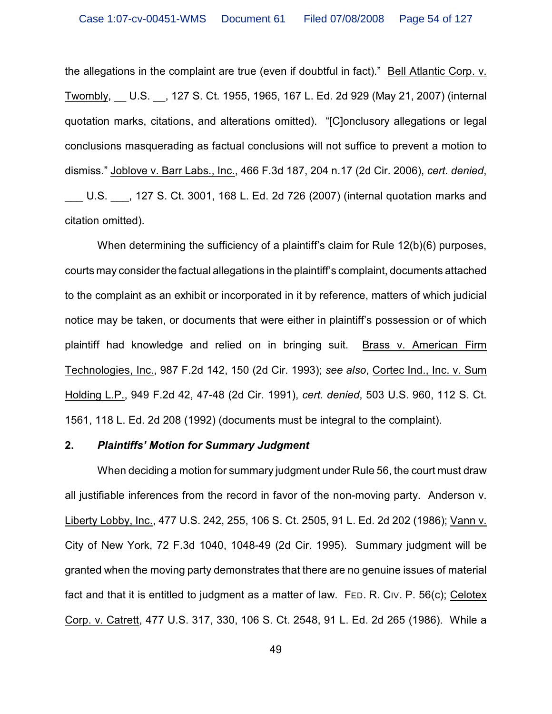the allegations in the complaint are true (even if doubtful in fact)." Bell Atlantic Corp. v. Twombly, \_\_ U.S. \_\_, 127 S. Ct. 1955, 1965, 167 L. Ed. 2d 929 (May 21, 2007) (internal quotation marks, citations, and alterations omitted). "[C]onclusory allegations or legal conclusions masquerading as factual conclusions will not suffice to prevent a motion to dismiss." Joblove v. Barr Labs., Inc., 466 F.3d 187, 204 n.17 (2d Cir. 2006), *cert. denied*, U.S.  $\ldots$ , 127 S. Ct. 3001, 168 L. Ed. 2d 726 (2007) (internal quotation marks and citation omitted).

When determining the sufficiency of a plaintiff's claim for Rule 12(b)(6) purposes, courts may consider the factual allegations in the plaintiff's complaint, documents attached to the complaint as an exhibit or incorporated in it by reference, matters of which judicial notice may be taken, or documents that were either in plaintiff's possession or of which plaintiff had knowledge and relied on in bringing suit. Brass v. American Firm Technologies, Inc., 987 F.2d 142, 150 (2d Cir. 1993); *see also*, Cortec Ind., Inc. v. Sum Holding L.P., 949 F.2d 42, 47-48 (2d Cir. 1991), *cert. denied*, 503 U.S. 960, 112 S. Ct. 1561, 118 L. Ed. 2d 208 (1992) (documents must be integral to the complaint).

### **2.** *Plaintiffs' Motion for Summary Judgment*

When deciding a motion for summary judgment under Rule 56, the court must draw all justifiable inferences from the record in favor of the non-moving party. Anderson v. Liberty Lobby, Inc., 477 U.S. 242, 255, 106 S. Ct. 2505, 91 L. Ed. 2d 202 (1986); Vann v. City of New York, 72 F.3d 1040, 1048-49 (2d Cir. 1995). Summary judgment will be granted when the moving party demonstrates that there are no genuine issues of material fact and that it is entitled to judgment as a matter of law. FED. R. CIV. P. 56(c); Celotex Corp. v. Catrett, 477 U.S. 317, 330, 106 S. Ct. 2548, 91 L. Ed. 2d 265 (1986). While a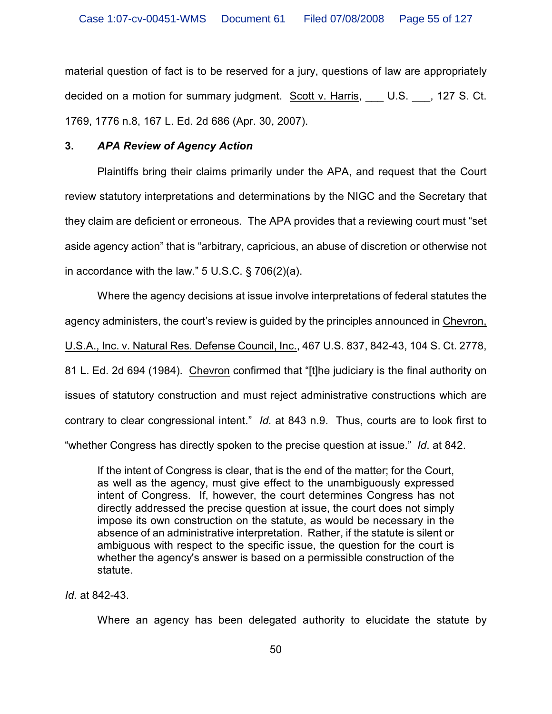material question of fact is to be reserved for a jury, questions of law are appropriately decided on a motion for summary judgment. Scott v. Harris, \_\_\_ U.S. \_\_\_, 127 S. Ct. 1769, 1776 n.8, 167 L. Ed. 2d 686 (Apr. 30, 2007).

# **3.** *APA Review of Agency Action*

Plaintiffs bring their claims primarily under the APA, and request that the Court review statutory interpretations and determinations by the NIGC and the Secretary that they claim are deficient or erroneous. The APA provides that a reviewing court must "set aside agency action" that is "arbitrary, capricious, an abuse of discretion or otherwise not in accordance with the law."  $5 \text{ U.S.C.}$  § 706(2)(a).

Where the agency decisions at issue involve interpretations of federal statutes the agency administers, the court's review is guided by the principles announced in Chevron, U.S.A., Inc. v. Natural Res. Defense Council, Inc., 467 U.S. 837, 842-43, 104 S. Ct. 2778, 81 L. Ed. 2d 694 (1984). Chevron confirmed that "[t]he judiciary is the final authority on issues of statutory construction and must reject administrative constructions which are contrary to clear congressional intent." *Id.* at 843 n.9. Thus, courts are to look first to "whether Congress has directly spoken to the precise question at issue." *Id*. at 842.

If the intent of Congress is clear, that is the end of the matter; for the Court, as well as the agency, must give effect to the unambiguously expressed intent of Congress. If, however, the court determines Congress has not directly addressed the precise question at issue, the court does not simply impose its own construction on the statute, as would be necessary in the absence of an administrative interpretation. Rather, if the statute is silent or ambiguous with respect to the specific issue, the question for the court is whether the agency's answer is based on a permissible construction of the statute.

# *Id.* at 842-43.

Where an agency has been delegated authority to elucidate the statute by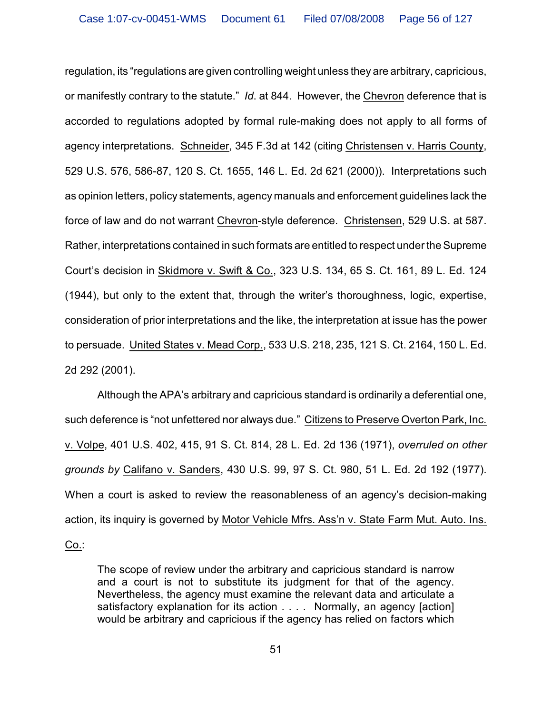regulation, its "regulations are given controlling weight unless they are arbitrary, capricious, or manifestly contrary to the statute." *Id*. at 844. However, the Chevron deference that is accorded to regulations adopted by formal rule-making does not apply to all forms of agency interpretations. Schneider, 345 F.3d at 142 (citing Christensen v. Harris County, 529 U.S. 576, 586-87, 120 S. Ct. 1655, 146 L. Ed. 2d 621 (2000)). Interpretations such as opinion letters, policy statements, agency manuals and enforcement guidelines lack the force of law and do not warrant Chevron-style deference. Christensen, 529 U.S. at 587. Rather, interpretations contained in such formats are entitled to respect under the Supreme Court's decision in Skidmore v. Swift & Co., 323 U.S. 134, 65 S. Ct. 161, 89 L. Ed. 124 (1944), but only to the extent that, through the writer's thoroughness, logic, expertise, consideration of prior interpretations and the like, the interpretation at issue has the power to persuade. United States v. Mead Corp., 533 U.S. 218, 235, 121 S. Ct. 2164, 150 L. Ed. 2d 292 (2001).

Although the APA's arbitrary and capricious standard is ordinarily a deferential one, such deference is "not unfettered nor always due." Citizens to Preserve Overton Park, Inc. v. Volpe, 401 U.S. 402, 415, 91 S. Ct. 814, 28 L. Ed. 2d 136 (1971), *overruled on other grounds by* Califano v. Sanders, 430 U.S. 99, 97 S. Ct. 980, 51 L. Ed. 2d 192 (1977). When a court is asked to review the reasonableness of an agency's decision-making action, its inquiry is governed by Motor Vehicle Mfrs. Ass'n v. State Farm Mut. Auto. Ins. Co.:

The scope of review under the arbitrary and capricious standard is narrow and a court is not to substitute its judgment for that of the agency. Nevertheless, the agency must examine the relevant data and articulate a satisfactory explanation for its action . . . . Normally, an agency [action] would be arbitrary and capricious if the agency has relied on factors which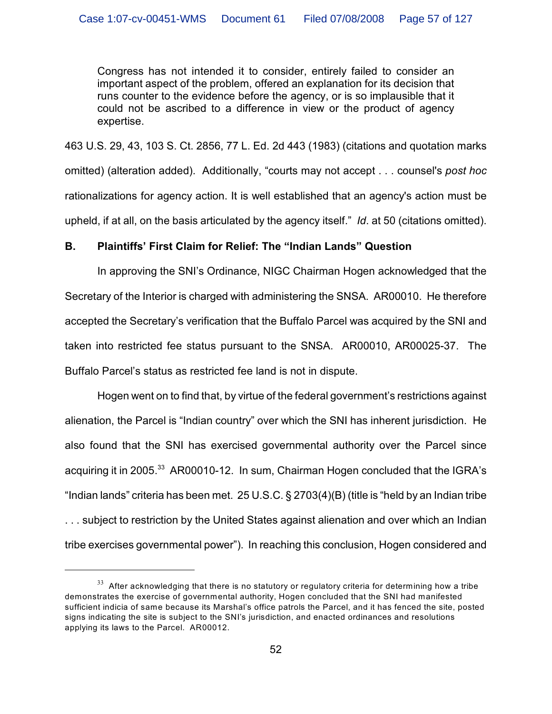Congress has not intended it to consider, entirely failed to consider an important aspect of the problem, offered an explanation for its decision that runs counter to the evidence before the agency, or is so implausible that it could not be ascribed to a difference in view or the product of agency expertise.

463 U.S. 29, 43, 103 S. Ct. 2856, 77 L. Ed. 2d 443 (1983) (citations and quotation marks omitted) (alteration added). Additionally, "courts may not accept . . . counsel's *post hoc* rationalizations for agency action. It is well established that an agency's action must be upheld, if at all, on the basis articulated by the agency itself." *Id*. at 50 (citations omitted).

### **B. Plaintiffs' First Claim for Relief: The "Indian Lands" Question**

In approving the SNI's Ordinance, NIGC Chairman Hogen acknowledged that the Secretary of the Interior is charged with administering the SNSA. AR00010. He therefore accepted the Secretary's verification that the Buffalo Parcel was acquired by the SNI and taken into restricted fee status pursuant to the SNSA. AR00010, AR00025-37. The Buffalo Parcel's status as restricted fee land is not in dispute.

Hogen went on to find that, by virtue of the federal government's restrictions against alienation, the Parcel is "Indian country" over which the SNI has inherent jurisdiction. He also found that the SNI has exercised governmental authority over the Parcel since acquiring it in 2005. $33$  AR00010-12. In sum, Chairman Hogen concluded that the IGRA's "Indian lands" criteria has been met. 25 U.S.C. § 2703(4)(B) (title is "held by an Indian tribe ... subject to restriction by the United States against alienation and over which an Indian tribe exercises governmental power"). In reaching this conclusion, Hogen considered and

 $33$  After acknowledging that there is no statutory or regulatory criteria for determining how a tribe demonstrates the exercise of governmental authority, Hogen concluded that the SNI had manifested sufficient indicia of same because its Marshal's office patrols the Parcel, and it has fenced the site, posted signs indicating the site is subject to the SNI's jurisdiction, and enacted ordinances and resolutions applying its laws to the Parcel. AR00012.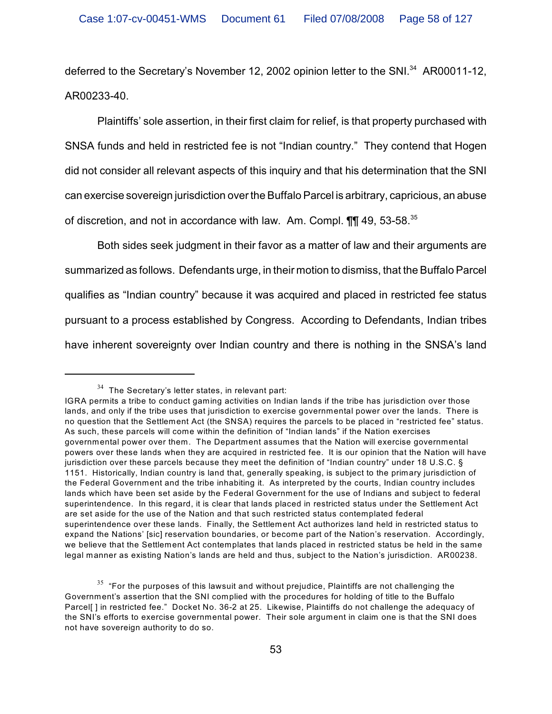deferred to the Secretary's November 12, 2002 opinion letter to the SNI.<sup>34</sup> AR00011-12, AR00233-40.

Plaintiffs' sole assertion, in their first claim for relief, is that property purchased with SNSA funds and held in restricted fee is not "Indian country." They contend that Hogen did not consider all relevant aspects of this inquiry and that his determination that the SNI can exercise sovereign jurisdiction over the Buffalo Parcel is arbitrary, capricious, an abuse of discretion, and not in accordance with law. Am. Compl. 11 49, 53-58.<sup>35</sup>

Both sides seek judgment in their favor as a matter of law and their arguments are summarized as follows. Defendants urge, in their motion to dismiss, that the Buffalo Parcel qualifies as "Indian country" because it was acquired and placed in restricted fee status pursuant to a process established by Congress. According to Defendants, Indian tribes have inherent sovereignty over Indian country and there is nothing in the SNSA's land

 $34$  The Secretary's letter states, in relevant part:

IGRA permits a tribe to conduct gaming activities on Indian lands if the tribe has jurisdiction over those lands, and only if the tribe uses that jurisdiction to exercise governmental power over the lands. There is no question that the Settlement Act (the SNSA) requires the parcels to be placed in "restricted fee" status. As such, these parcels will come within the definition of "Indian lands" if the Nation exercises governmental power over them. The Department assumes that the Nation will exercise governmental powers over these lands when they are acquired in restricted fee. It is our opinion that the Nation will have jurisdiction over these parcels because they meet the definition of "Indian country" under 18 U.S.C. § 1151. Historically, Indian country is land that, generally speaking, is subject to the primary jurisdiction of the Federal Government and the tribe inhabiting it. As interpreted by the courts, Indian country includes lands which have been set aside by the Federal Government for the use of Indians and subject to federal superintendence. In this regard, it is clear that lands placed in restricted status under the Settlement Act are set aside for the use of the Nation and that such restricted status contemplated federal superintendence over these lands. Finally, the Settlement Act authorizes land held in restricted status to expand the Nations' [sic] reservation boundaries, or become part of the Nation's reservation. Accordingly, we believe that the Settlement Act contemplates that lands placed in restricted status be held in the same legal manner as existing Nation's lands are held and thus, subject to the Nation's jurisdiction. AR00238.

 $35$  "For the purposes of this lawsuit and without prejudice, Plaintiffs are not challenging the Government's assertion that the SNI complied with the procedures for holding of title to the Buffalo Parcel[ ] in restricted fee." Docket No. 36-2 at 25. Likewise, Plaintiffs do not challenge the adequacy of the SNI's efforts to exercise governmental power. Their sole argument in claim one is that the SNI does not have sovereign authority to do so.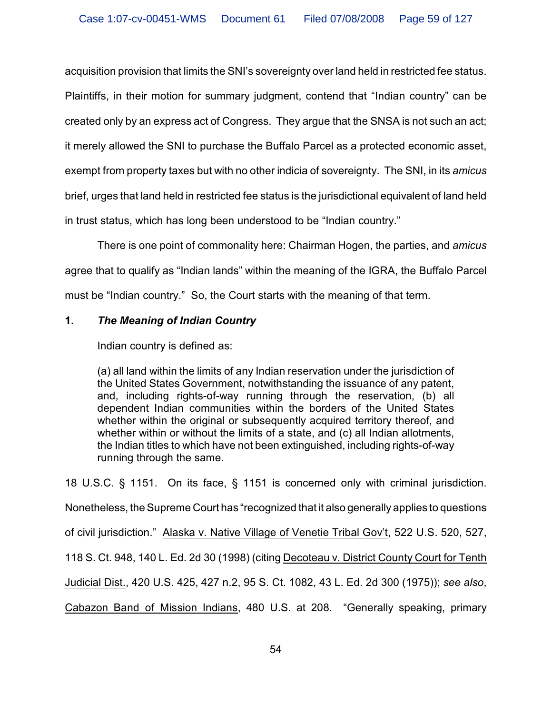acquisition provision that limits the SNI's sovereignty over land held in restricted fee status. Plaintiffs, in their motion for summary judgment, contend that "Indian country" can be created only by an express act of Congress. They argue that the SNSA is not such an act; it merely allowed the SNI to purchase the Buffalo Parcel as a protected economic asset, exempt from property taxes but with no other indicia of sovereignty. The SNI, in its *amicus* brief, urges that land held in restricted fee status is the jurisdictional equivalent of land held in trust status, which has long been understood to be "Indian country."

There is one point of commonality here: Chairman Hogen, the parties, and *amicus* agree that to qualify as "Indian lands" within the meaning of the IGRA, the Buffalo Parcel must be "Indian country." So, the Court starts with the meaning of that term.

# **1.** *The Meaning of Indian Country*

Indian country is defined as:

(a) all land within the limits of any Indian reservation under the jurisdiction of the United States Government, notwithstanding the issuance of any patent, and, including rights-of-way running through the reservation, (b) all dependent Indian communities within the borders of the United States whether within the original or subsequently acquired territory thereof, and whether within or without the limits of a state, and (c) all Indian allotments, the Indian titles to which have not been extinguished, including rights-of-way running through the same.

18 U.S.C. § 1151. On its face, § 1151 is concerned only with criminal jurisdiction. Nonetheless, the Supreme Court has "recognized that it also generally applies to questions of civil jurisdiction." Alaska v. Native Village of Venetie Tribal Gov't, 522 U.S. 520, 527, 118 S. Ct. 948, 140 L. Ed. 2d 30 (1998) (citing Decoteau v. District County Court for Tenth Judicial Dist., 420 U.S. 425, 427 n.2, 95 S. Ct. 1082, 43 L. Ed. 2d 300 (1975)); *see also*, Cabazon Band of Mission Indians, 480 U.S. at 208. "Generally speaking, primary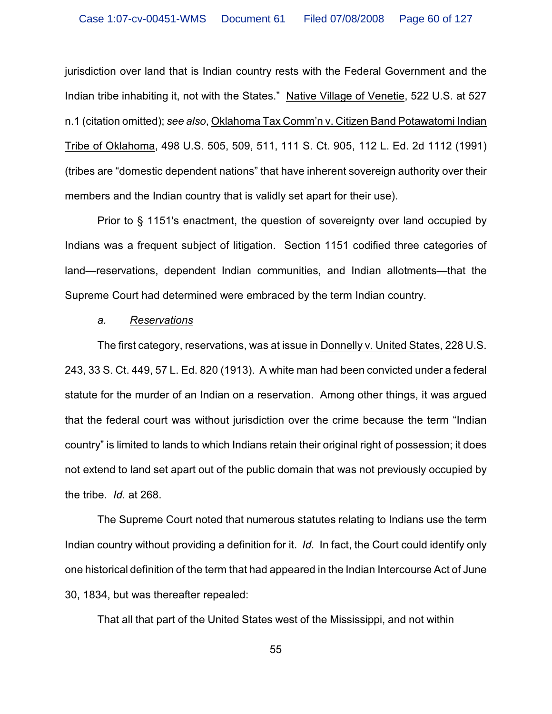jurisdiction over land that is Indian country rests with the Federal Government and the Indian tribe inhabiting it, not with the States." Native Village of Venetie, 522 U.S. at 527 n.1 (citation omitted); *see also*, Oklahoma Tax Comm'n v. Citizen Band Potawatomi Indian Tribe of Oklahoma, 498 U.S. 505, 509, 511, 111 S. Ct. 905, 112 L. Ed. 2d 1112 (1991) (tribes are "domestic dependent nations" that have inherent sovereign authority over their members and the Indian country that is validly set apart for their use).

Prior to § 1151's enactment, the question of sovereignty over land occupied by Indians was a frequent subject of litigation. Section 1151 codified three categories of land—reservations, dependent Indian communities, and Indian allotments—that the Supreme Court had determined were embraced by the term Indian country.

### *a. Reservations*

The first category, reservations, was at issue in Donnelly v. United States, 228 U.S. 243, 33 S. Ct. 449, 57 L. Ed. 820 (1913). A white man had been convicted under a federal statute for the murder of an Indian on a reservation. Among other things, it was argued that the federal court was without jurisdiction over the crime because the term "Indian country" is limited to lands to which Indians retain their original right of possession; it does not extend to land set apart out of the public domain that was not previously occupied by the tribe. *Id.* at 268.

The Supreme Court noted that numerous statutes relating to Indians use the term Indian country without providing a definition for it. *Id.* In fact, the Court could identify only one historical definition of the term that had appeared in the Indian Intercourse Act of June 30, 1834, but was thereafter repealed:

That all that part of the United States west of the Mississippi, and not within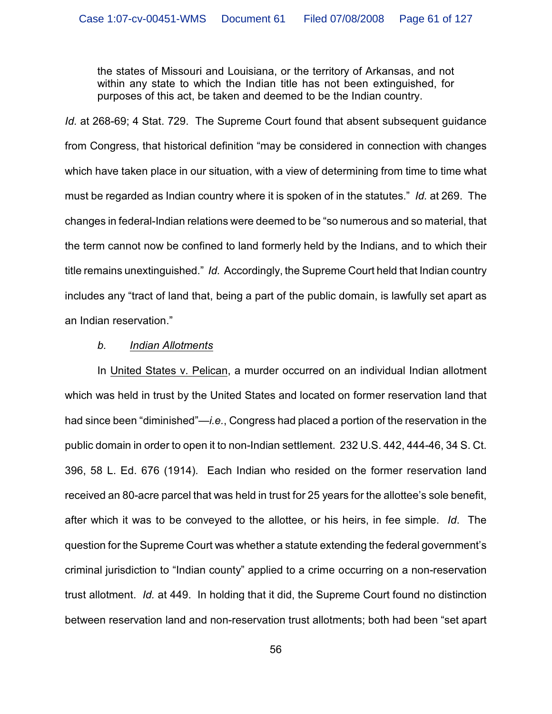the states of Missouri and Louisiana, or the territory of Arkansas, and not within any state to which the Indian title has not been extinguished, for purposes of this act, be taken and deemed to be the Indian country.

*Id.* at 268-69; 4 Stat. 729. The Supreme Court found that absent subsequent guidance from Congress, that historical definition "may be considered in connection with changes which have taken place in our situation, with a view of determining from time to time what must be regarded as Indian country where it is spoken of in the statutes." *Id.* at 269. The changes in federal-Indian relations were deemed to be "so numerous and so material, that the term cannot now be confined to land formerly held by the Indians, and to which their title remains unextinguished." *Id.* Accordingly, the Supreme Court held that Indian country includes any "tract of land that, being a part of the public domain, is lawfully set apart as an Indian reservation."

### *b. Indian Allotments*

In United States v. Pelican, a murder occurred on an individual Indian allotment which was held in trust by the United States and located on former reservation land that had since been "diminished"—*i.e.*, Congress had placed a portion of the reservation in the public domain in order to open it to non-Indian settlement. 232 U.S. 442, 444-46, 34 S. Ct. 396, 58 L. Ed. 676 (1914). Each Indian who resided on the former reservation land received an 80-acre parcel that was held in trust for 25 years for the allottee's sole benefit, after which it was to be conveyed to the allottee, or his heirs, in fee simple. *Id*. The question for the Supreme Court was whether a statute extending the federal government's criminal jurisdiction to "Indian county" applied to a crime occurring on a non-reservation trust allotment. *Id.* at 449. In holding that it did, the Supreme Court found no distinction between reservation land and non-reservation trust allotments; both had been "set apart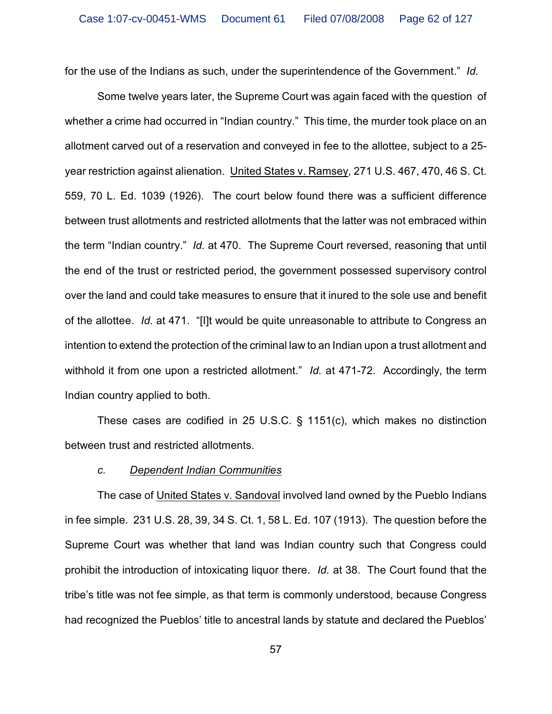for the use of the Indians as such, under the superintendence of the Government." *Id.*

Some twelve years later, the Supreme Court was again faced with the question of whether a crime had occurred in "Indian country." This time, the murder took place on an allotment carved out of a reservation and conveyed in fee to the allottee, subject to a 25 year restriction against alienation. United States v. Ramsey, 271 U.S. 467, 470, 46 S. Ct. 559, 70 L. Ed. 1039 (1926). The court below found there was a sufficient difference between trust allotments and restricted allotments that the latter was not embraced within the term "Indian country." *Id.* at 470. The Supreme Court reversed, reasoning that until the end of the trust or restricted period, the government possessed supervisory control over the land and could take measures to ensure that it inured to the sole use and benefit of the allottee. *Id.* at 471. "[I]t would be quite unreasonable to attribute to Congress an intention to extend the protection of the criminal law to an Indian upon a trust allotment and withhold it from one upon a restricted allotment." *Id.* at 471-72. Accordingly, the term Indian country applied to both.

These cases are codified in 25 U.S.C. § 1151(c), which makes no distinction between trust and restricted allotments.

#### *c. Dependent Indian Communities*

The case of United States v. Sandoval involved land owned by the Pueblo Indians in fee simple. 231 U.S. 28, 39, 34 S. Ct. 1, 58 L. Ed. 107 (1913). The question before the Supreme Court was whether that land was Indian country such that Congress could prohibit the introduction of intoxicating liquor there. *Id.* at 38. The Court found that the tribe's title was not fee simple, as that term is commonly understood, because Congress had recognized the Pueblos' title to ancestral lands by statute and declared the Pueblos'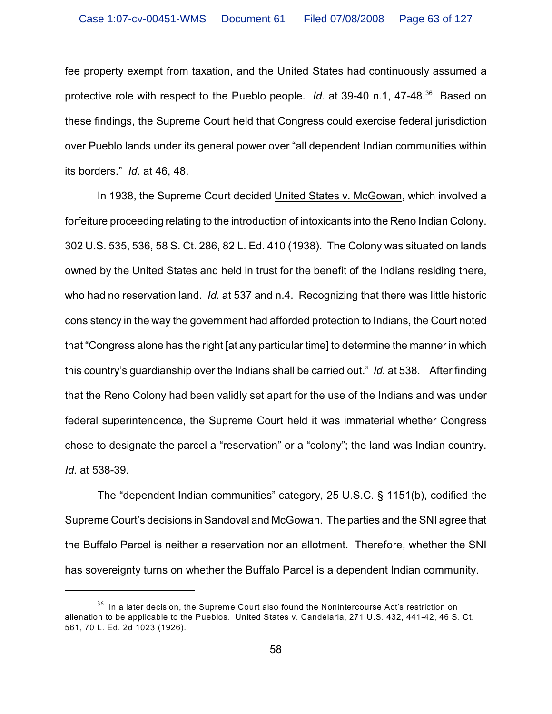fee property exempt from taxation, and the United States had continuously assumed a protective role with respect to the Pueblo people. *Id.* at 39-40 n.1, 47-48.<sup>36</sup> Based on these findings, the Supreme Court held that Congress could exercise federal jurisdiction over Pueblo lands under its general power over "all dependent Indian communities within its borders." *Id.* at 46, 48.

In 1938, the Supreme Court decided United States v. McGowan, which involved a forfeiture proceeding relating to the introduction of intoxicants into the Reno Indian Colony. 302 U.S. 535, 536, 58 S. Ct. 286, 82 L. Ed. 410 (1938). The Colony was situated on lands owned by the United States and held in trust for the benefit of the Indians residing there, who had no reservation land. *Id.* at 537 and n.4. Recognizing that there was little historic consistency in the way the government had afforded protection to Indians, the Court noted that "Congress alone has the right [at any particular time] to determine the manner in which this country's guardianship over the Indians shall be carried out." *Id.* at 538. After finding that the Reno Colony had been validly set apart for the use of the Indians and was under federal superintendence, the Supreme Court held it was immaterial whether Congress chose to designate the parcel a "reservation" or a "colony"; the land was Indian country. *Id.* at 538-39.

The "dependent Indian communities" category, 25 U.S.C. § 1151(b), codified the Supreme Court's decisions in Sandoval and McGowan. The parties and the SNI agree that the Buffalo Parcel is neither a reservation nor an allotment. Therefore, whether the SNI has sovereignty turns on whether the Buffalo Parcel is a dependent Indian community.

 $^{\rm 36}$  In a later decision, the Supreme Court also found the Nonintercourse Act's restriction on alienation to be applicable to the Pueblos. United States v. Candelaria, 271 U.S. 432, 441-42, 46 S. Ct. 561, 70 L. Ed. 2d 1023 (1926).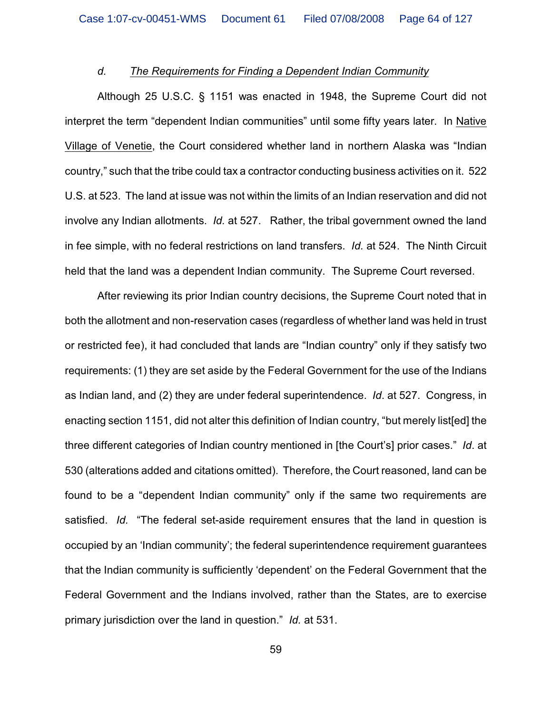# *d. The Requirements for Finding a Dependent Indian Community*

Although 25 U.S.C. § 1151 was enacted in 1948, the Supreme Court did not interpret the term "dependent Indian communities" until some fifty years later. In Native Village of Venetie, the Court considered whether land in northern Alaska was "Indian country," such that the tribe could tax a contractor conducting business activities on it. 522 U.S. at 523. The land at issue was not within the limits of an Indian reservation and did not involve any Indian allotments. *Id.* at 527. Rather, the tribal government owned the land in fee simple, with no federal restrictions on land transfers. *Id.* at 524. The Ninth Circuit held that the land was a dependent Indian community. The Supreme Court reversed.

After reviewing its prior Indian country decisions, the Supreme Court noted that in both the allotment and non-reservation cases (regardless of whether land was held in trust or restricted fee), it had concluded that lands are "Indian country" only if they satisfy two requirements: (1) they are set aside by the Federal Government for the use of the Indians as Indian land, and (2) they are under federal superintendence. *Id*. at 527. Congress, in enacting section 1151, did not alter this definition of Indian country, "but merely list[ed] the three different categories of Indian country mentioned in [the Court's] prior cases." *Id*. at 530 (alterations added and citations omitted). Therefore, the Court reasoned, land can be found to be a "dependent Indian community" only if the same two requirements are satisfied. *Id.* "The federal set-aside requirement ensures that the land in question is occupied by an 'Indian community'; the federal superintendence requirement guarantees that the Indian community is sufficiently 'dependent' on the Federal Government that the Federal Government and the Indians involved, rather than the States, are to exercise primary jurisdiction over the land in question." *Id.* at 531.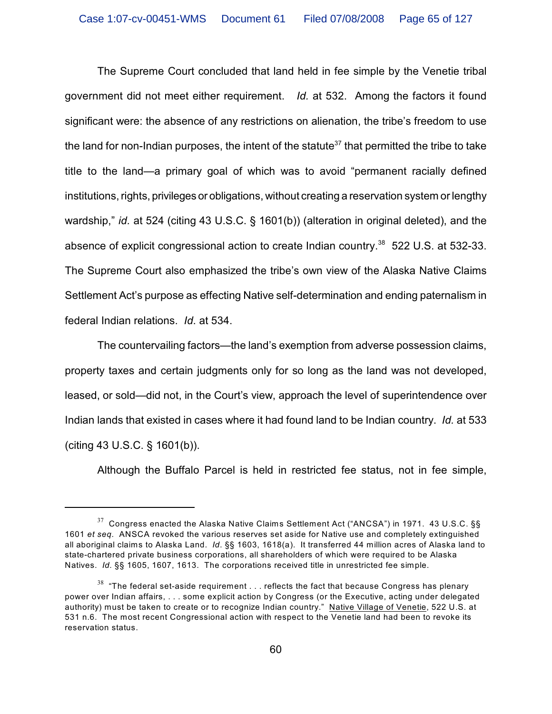The Supreme Court concluded that land held in fee simple by the Venetie tribal government did not meet either requirement. *Id.* at 532. Among the factors it found significant were: the absence of any restrictions on alienation, the tribe's freedom to use the land for non-Indian purposes, the intent of the statute<sup>37</sup> that permitted the tribe to take title to the land—a primary goal of which was to avoid "permanent racially defined institutions, rights, privileges or obligations, without creating a reservation system or lengthy wardship," *id.* at 524 (citing 43 U.S.C. § 1601(b)) (alteration in original deleted), and the absence of explicit congressional action to create Indian country.<sup>38</sup> 522 U.S. at 532-33. The Supreme Court also emphasized the tribe's own view of the Alaska Native Claims Settlement Act's purpose as effecting Native self-determination and ending paternalism in federal Indian relations. *Id*. at 534.

The countervailing factors—the land's exemption from adverse possession claims, property taxes and certain judgments only for so long as the land was not developed, leased, or sold—did not, in the Court's view, approach the level of superintendence over Indian lands that existed in cases where it had found land to be Indian country. *Id.* at 533 (citing 43 U.S.C. § 1601(b)).

Although the Buffalo Parcel is held in restricted fee status, not in fee simple,

 $37$  Congress enacted the Alaska Native Claims Settlement Act ("ANCSA") in 1971. 43 U.S.C. §§ 1601 *et seq.* ANSCA revoked the various reserves set aside for Native use and completely extinguished all aboriginal claims to Alaska Land. *Id*. §§ 1603, 1618(a). It transferred 44 million acres of Alaska land to state-chartered private business corporations, all shareholders of which were required to be Alaska Natives. *Id.* §§ 1605, 1607, 1613. The corporations received title in unrestricted fee simple.

 $^{\rm 38}$  "The federal set-aside requirement  $\ldots$  reflects the fact that because Congress has plenary power over Indian affairs, . . . some explicit action by Congress (or the Executive, acting under delegated authority) must be taken to create or to recognize Indian country." Native Village of Venetie, 522 U.S. at 531 n.6. The most recent Congressional action with respect to the Venetie land had been to revoke its reservation status.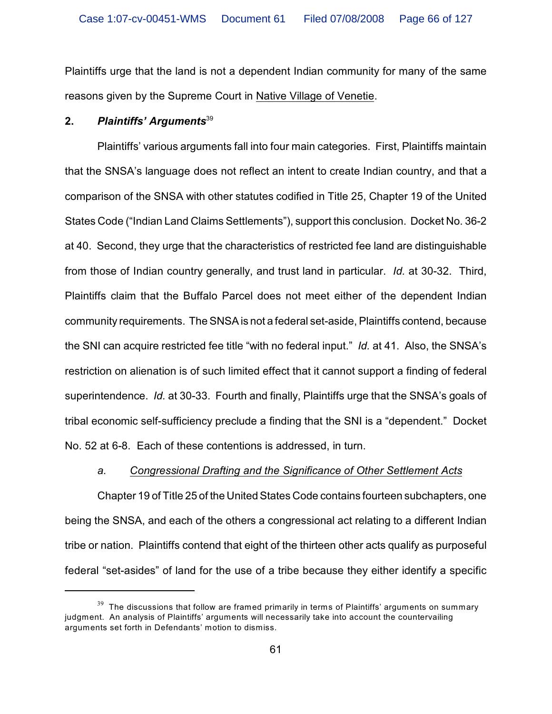Plaintiffs urge that the land is not a dependent Indian community for many of the same reasons given by the Supreme Court in Native Village of Venetie.

# **2.** *Plaintiffs' Arguments*<sup>39</sup>

Plaintiffs' various arguments fall into four main categories. First, Plaintiffs maintain that the SNSA's language does not reflect an intent to create Indian country, and that a comparison of the SNSA with other statutes codified in Title 25, Chapter 19 of the United States Code ("Indian Land Claims Settlements"), support this conclusion. Docket No. 36-2 at 40. Second, they urge that the characteristics of restricted fee land are distinguishable from those of Indian country generally, and trust land in particular. *Id.* at 30-32. Third, Plaintiffs claim that the Buffalo Parcel does not meet either of the dependent Indian community requirements. The SNSA is not a federal set-aside, Plaintiffs contend, because the SNI can acquire restricted fee title "with no federal input." *Id.* at 41. Also, the SNSA's restriction on alienation is of such limited effect that it cannot support a finding of federal superintendence. *Id.* at 30-33. Fourth and finally, Plaintiffs urge that the SNSA's goals of tribal economic self-sufficiency preclude a finding that the SNI is a "dependent." Docket No. 52 at 6-8. Each of these contentions is addressed, in turn.

# *a. Congressional Drafting and the Significance of Other Settlement Acts*

Chapter 19 of Title 25 of the United States Code contains fourteen subchapters, one being the SNSA, and each of the others a congressional act relating to a different Indian tribe or nation. Plaintiffs contend that eight of the thirteen other acts qualify as purposeful federal "set-asides" of land for the use of a tribe because they either identify a specific

 $^{39}$  The discussions that follow are framed primarily in terms of Plaintiffs' arguments on summary judgment. An analysis of Plaintiffs' arguments will necessarily take into account the countervailing arguments set forth in Defendants' motion to dismiss.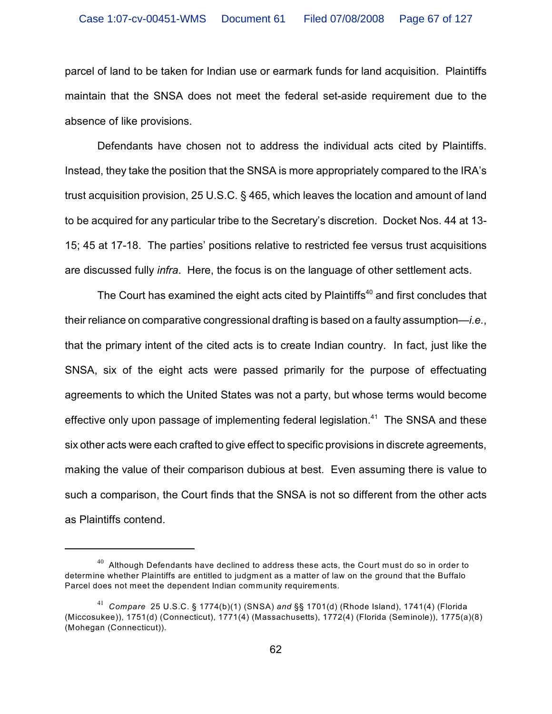parcel of land to be taken for Indian use or earmark funds for land acquisition. Plaintiffs maintain that the SNSA does not meet the federal set-aside requirement due to the absence of like provisions.

Defendants have chosen not to address the individual acts cited by Plaintiffs. Instead, they take the position that the SNSA is more appropriately compared to the IRA's trust acquisition provision, 25 U.S.C. § 465, which leaves the location and amount of land to be acquired for any particular tribe to the Secretary's discretion. Docket Nos. 44 at 13- 15; 45 at 17-18. The parties' positions relative to restricted fee versus trust acquisitions are discussed fully *infra*. Here, the focus is on the language of other settlement acts.

The Court has examined the eight acts cited by Plaintiffs<sup>40</sup> and first concludes that their reliance on comparative congressional drafting is based on a faulty assumption—*i.e.*, that the primary intent of the cited acts is to create Indian country. In fact, just like the SNSA, six of the eight acts were passed primarily for the purpose of effectuating agreements to which the United States was not a party, but whose terms would become effective only upon passage of implementing federal legislation.<sup>41</sup> The SNSA and these six other acts were each crafted to give effect to specific provisions in discrete agreements, making the value of their comparison dubious at best. Even assuming there is value to such a comparison, the Court finds that the SNSA is not so different from the other acts as Plaintiffs contend.

 $40$  Although Defendants have declined to address these acts, the Court must do so in order to determine whether Plaintiffs are entitled to judgment as a matter of law on the ground that the Buffalo Parcel does not meet the dependent Indian community requirements.

*Compare* 25 U.S.C. § 1774(b)(1) (SNSA) *and* §§ 1701(d) (Rhode Island), 1741(4) (Florida <sup>41</sup> (Miccosukee)), 1751(d) (Connecticut), 1771(4) (Massachusetts), 1772(4) (Florida (Seminole)), 1775(a)(8) (Mohegan (Connecticut)).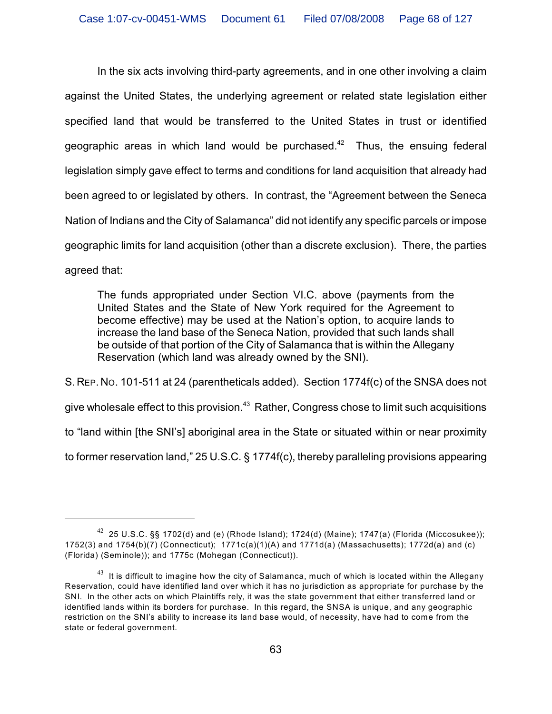In the six acts involving third-party agreements, and in one other involving a claim against the United States, the underlying agreement or related state legislation either specified land that would be transferred to the United States in trust or identified geographic areas in which land would be purchased. $42$  Thus, the ensuing federal legislation simply gave effect to terms and conditions for land acquisition that already had been agreed to or legislated by others. In contrast, the "Agreement between the Seneca Nation of Indians and the City of Salamanca" did not identify any specific parcels or impose geographic limits for land acquisition (other than a discrete exclusion). There, the parties agreed that:

The funds appropriated under Section VI.C. above (payments from the United States and the State of New York required for the Agreement to become effective) may be used at the Nation's option, to acquire lands to increase the land base of the Seneca Nation, provided that such lands shall be outside of that portion of the City of Salamanca that is within the Allegany Reservation (which land was already owned by the SNI).

S. REP. NO. 101-511 at 24 (parentheticals added). Section 1774f(c) of the SNSA does not give wholesale effect to this provision. $\rm ^{43}$  Rather, Congress chose to limit such acquisitions to "land within [the SNI's] aboriginal area in the State or situated within or near proximity to former reservation land," 25 U.S.C. § 1774f(c), thereby paralleling provisions appearing

 $^{42}$  25 U.S.C. §§ 1702(d) and (e) (Rhode Island); 1724(d) (Maine); 1747(a) (Florida (Miccosukee)); 1752(3) and 1754(b)(7) (Connecticut); 1771c(a)(1)(A) and 1771d(a) (Massachusetts); 1772d(a) and (c) (Florida) (Seminole)); and 1775c (Mohegan (Connecticut)).

 $^{43}\,$  It is difficult to imagine how the city of Salamanca, much of which is located within the Allegany Reservation, could have identified land over which it has no jurisdiction as appropriate for purchase by the SNI. In the other acts on which Plaintiffs rely, it was the state government that either transferred land or identified lands within its borders for purchase. In this regard, the SNSA is unique, and any geographic restriction on the SNI's ability to increase its land base would, of necessity, have had to come from the state or federal government.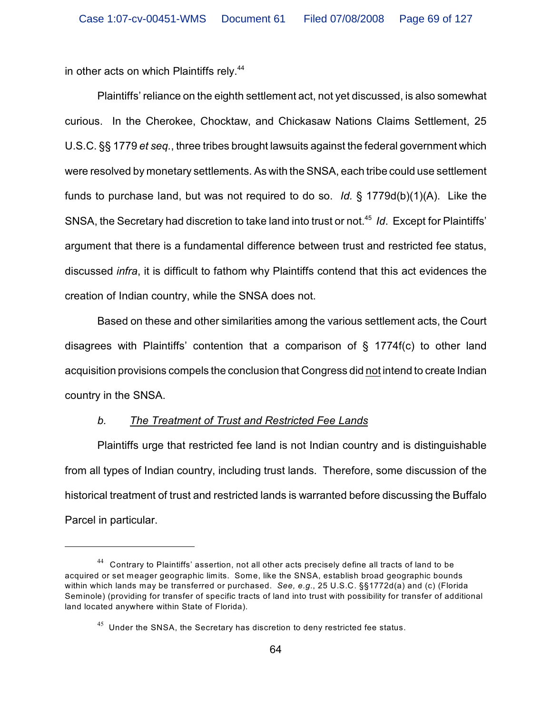in other acts on which Plaintiffs rely.<sup>44</sup>

Plaintiffs' reliance on the eighth settlement act, not yet discussed, is also somewhat curious. In the Cherokee, Chocktaw, and Chickasaw Nations Claims Settlement, 25 U.S.C. §§ 1779 *et seq.*, three tribes brought lawsuits against the federal government which were resolved by monetary settlements. As with the SNSA, each tribe could use settlement funds to purchase land, but was not required to do so. *Id.* § 1779d(b)(1)(A). Like the SNSA, the Secretary had discretion to take land into trust or not.<sup>45</sup> *Id.* Except for Plaintiffs' argument that there is a fundamental difference between trust and restricted fee status, discussed *infra*, it is difficult to fathom why Plaintiffs contend that this act evidences the creation of Indian country, while the SNSA does not.

Based on these and other similarities among the various settlement acts, the Court disagrees with Plaintiffs' contention that a comparison of  $\S$  1774f(c) to other land acquisition provisions compels the conclusion that Congress did not intend to create Indian country in the SNSA.

# *b. The Treatment of Trust and Restricted Fee Lands*

Plaintiffs urge that restricted fee land is not Indian country and is distinguishable from all types of Indian country, including trust lands. Therefore, some discussion of the historical treatment of trust and restricted lands is warranted before discussing the Buffalo Parcel in particular.

 $44$  Contrary to Plaintiffs' assertion, not all other acts precisely define all tracts of land to be acquired or set meager geographic limits. Some, like the SNSA, establish broad geographic bounds within which lands may be transferred or purchased. *See, e.g.*, 25 U.S.C. §§1772d(a) and (c) (Florida Seminole) (providing for transfer of specific tracts of land into trust with possibility for transfer of additional land located anywhere within State of Florida).

 $^{45}$  Under the SNSA, the Secretary has discretion to deny restricted fee status.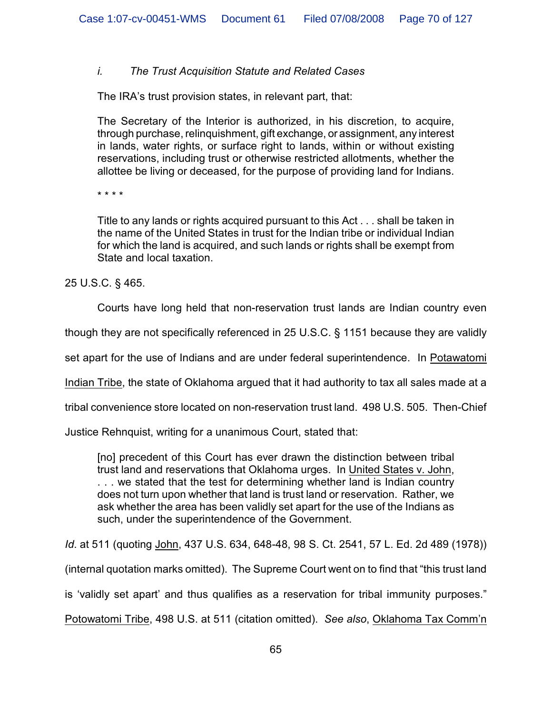# *i. The Trust Acquisition Statute and Related Cases*

The IRA's trust provision states, in relevant part, that:

The Secretary of the Interior is authorized, in his discretion, to acquire, through purchase, relinquishment, gift exchange, or assignment, any interest in lands, water rights, or surface right to lands, within or without existing reservations, including trust or otherwise restricted allotments, whether the allottee be living or deceased, for the purpose of providing land for Indians.

\* \* \* \*

Title to any lands or rights acquired pursuant to this Act . . . shall be taken in the name of the United States in trust for the Indian tribe or individual Indian for which the land is acquired, and such lands or rights shall be exempt from State and local taxation.

25 U.S.C. § 465.

Courts have long held that non-reservation trust lands are Indian country even

though they are not specifically referenced in 25 U.S.C. § 1151 because they are validly

set apart for the use of Indians and are under federal superintendence. In Potawatomi

Indian Tribe, the state of Oklahoma argued that it had authority to tax all sales made at a

tribal convenience store located on non-reservation trust land. 498 U.S. 505. Then-Chief

Justice Rehnquist, writing for a unanimous Court, stated that:

[no] precedent of this Court has ever drawn the distinction between tribal trust land and reservations that Oklahoma urges. In United States v. John, . . . we stated that the test for determining whether land is Indian country does not turn upon whether that land is trust land or reservation. Rather, we ask whether the area has been validly set apart for the use of the Indians as such, under the superintendence of the Government.

*Id*. at 511 (quoting John, 437 U.S. 634, 648-48, 98 S. Ct. 2541, 57 L. Ed. 2d 489 (1978))

(internal quotation marks omitted). The Supreme Court went on to find that "this trust land

is 'validly set apart' and thus qualifies as a reservation for tribal immunity purposes."

Potowatomi Tribe, 498 U.S. at 511 (citation omitted). *See also*, Oklahoma Tax Comm'n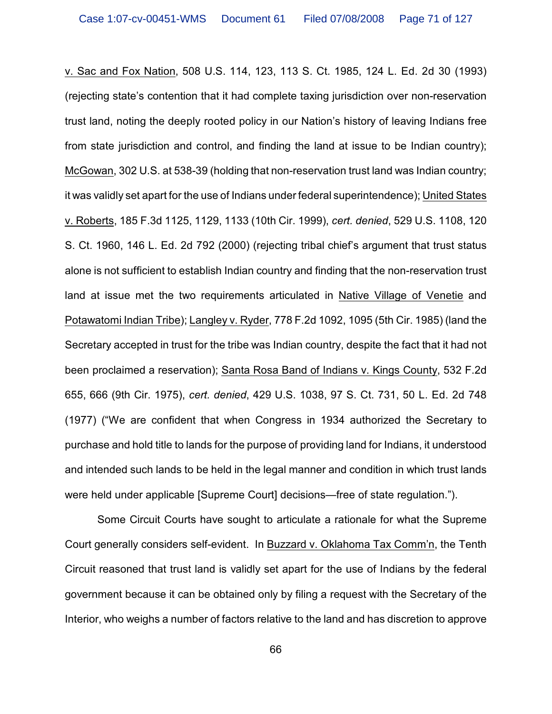v. Sac and Fox Nation, 508 U.S. 114, 123, 113 S. Ct. 1985, 124 L. Ed. 2d 30 (1993) (rejecting state's contention that it had complete taxing jurisdiction over non-reservation trust land, noting the deeply rooted policy in our Nation's history of leaving Indians free from state jurisdiction and control, and finding the land at issue to be Indian country); McGowan, 302 U.S. at 538-39 (holding that non-reservation trust land was Indian country; it was validly set apart for the use of Indians under federal superintendence); United States v. Roberts, 185 F.3d 1125, 1129, 1133 (10th Cir. 1999), *cert. denied*, 529 U.S. 1108, 120 S. Ct. 1960, 146 L. Ed. 2d 792 (2000) (rejecting tribal chief's argument that trust status alone is not sufficient to establish Indian country and finding that the non-reservation trust land at issue met the two requirements articulated in Native Village of Venetie and Potawatomi Indian Tribe); Langley v. Ryder, 778 F.2d 1092, 1095 (5th Cir. 1985) (land the Secretary accepted in trust for the tribe was Indian country, despite the fact that it had not been proclaimed a reservation); Santa Rosa Band of Indians v. Kings County, 532 F.2d 655, 666 (9th Cir. 1975), *cert. denied*, 429 U.S. 1038, 97 S. Ct. 731, 50 L. Ed. 2d 748 (1977) ("We are confident that when Congress in 1934 authorized the Secretary to purchase and hold title to lands for the purpose of providing land for Indians, it understood and intended such lands to be held in the legal manner and condition in which trust lands were held under applicable [Supreme Court] decisions—free of state regulation.").

Some Circuit Courts have sought to articulate a rationale for what the Supreme Court generally considers self-evident. In Buzzard v. Oklahoma Tax Comm'n, the Tenth Circuit reasoned that trust land is validly set apart for the use of Indians by the federal government because it can be obtained only by filing a request with the Secretary of the Interior, who weighs a number of factors relative to the land and has discretion to approve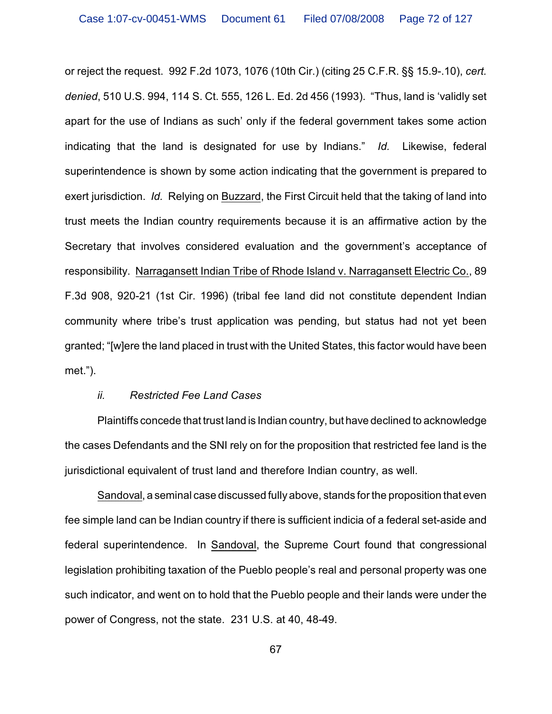or reject the request. 992 F.2d 1073, 1076 (10th Cir.) (citing 25 C.F.R. §§ 15.9-.10), *cert. denied*, 510 U.S. 994, 114 S. Ct. 555, 126 L. Ed. 2d 456 (1993). "Thus, land is 'validly set apart for the use of Indians as such' only if the federal government takes some action indicating that the land is designated for use by Indians." *Id.* Likewise, federal superintendence is shown by some action indicating that the government is prepared to exert jurisdiction. *Id.* Relying on Buzzard, the First Circuit held that the taking of land into trust meets the Indian country requirements because it is an affirmative action by the Secretary that involves considered evaluation and the government's acceptance of responsibility. Narragansett Indian Tribe of Rhode Island v. Narragansett Electric Co., 89 F.3d 908, 920-21 (1st Cir. 1996) (tribal fee land did not constitute dependent Indian community where tribe's trust application was pending, but status had not yet been granted; "[w]ere the land placed in trust with the United States, this factor would have been met.").

#### *ii. Restricted Fee Land Cases*

Plaintiffs concede that trust land is Indian country, but have declined to acknowledge the cases Defendants and the SNI rely on for the proposition that restricted fee land is the jurisdictional equivalent of trust land and therefore Indian country, as well.

Sandoval, a seminal case discussed fully above, stands for the proposition that even fee simple land can be Indian country if there is sufficient indicia of a federal set-aside and federal superintendence. In Sandoval, the Supreme Court found that congressional legislation prohibiting taxation of the Pueblo people's real and personal property was one such indicator, and went on to hold that the Pueblo people and their lands were under the power of Congress, not the state. 231 U.S. at 40, 48-49.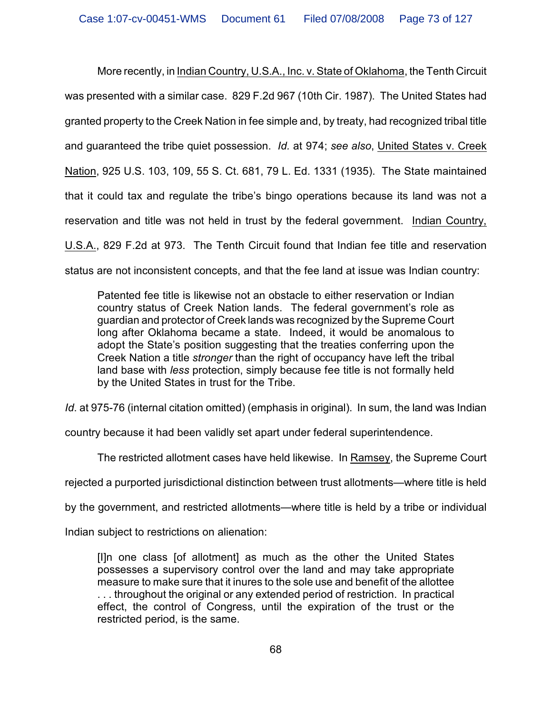More recently, in Indian Country, U.S.A., Inc. v. State of Oklahoma, the Tenth Circuit was presented with a similar case. 829 F.2d 967 (10th Cir. 1987). The United States had granted property to the Creek Nation in fee simple and, by treaty, had recognized tribal title and guaranteed the tribe quiet possession. *Id.* at 974; *see also*, United States v. Creek Nation, 925 U.S. 103, 109, 55 S. Ct. 681, 79 L. Ed. 1331 (1935). The State maintained that it could tax and regulate the tribe's bingo operations because its land was not a reservation and title was not held in trust by the federal government. Indian Country, U.S.A., 829 F.2d at 973. The Tenth Circuit found that Indian fee title and reservation status are not inconsistent concepts, and that the fee land at issue was Indian country:

Patented fee title is likewise not an obstacle to either reservation or Indian country status of Creek Nation lands. The federal government's role as guardian and protector of Creek lands was recognized by the Supreme Court long after Oklahoma became a state. Indeed, it would be anomalous to adopt the State's position suggesting that the treaties conferring upon the Creek Nation a title *stronger* than the right of occupancy have left the tribal land base with *less* protection, simply because fee title is not formally held by the United States in trust for the Tribe.

*Id*. at 975-76 (internal citation omitted) (emphasis in original). In sum, the land was Indian

country because it had been validly set apart under federal superintendence.

The restricted allotment cases have held likewise. In Ramsey, the Supreme Court

rejected a purported jurisdictional distinction between trust allotments—where title is held

by the government, and restricted allotments—where title is held by a tribe or individual

Indian subject to restrictions on alienation:

[I]n one class [of allotment] as much as the other the United States possesses a supervisory control over the land and may take appropriate measure to make sure that it inures to the sole use and benefit of the allottee . . . throughout the original or any extended period of restriction. In practical effect, the control of Congress, until the expiration of the trust or the restricted period, is the same.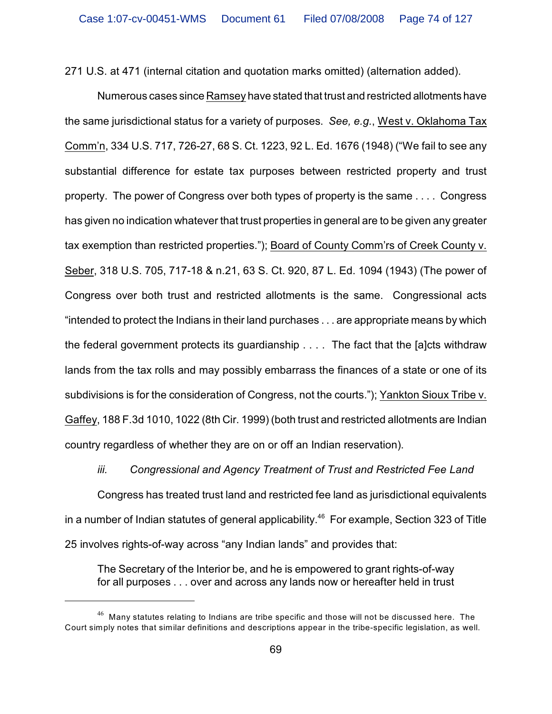271 U.S. at 471 (internal citation and quotation marks omitted) (alternation added).

Numerous cases since Ramsey have stated that trust and restricted allotments have the same jurisdictional status for a variety of purposes. *See, e.g.*, West v. Oklahoma Tax Comm'n, 334 U.S. 717, 726-27, 68 S. Ct. 1223, 92 L. Ed. 1676 (1948) ("We fail to see any substantial difference for estate tax purposes between restricted property and trust property. The power of Congress over both types of property is the same . . . . Congress has given no indication whatever that trust properties in general are to be given any greater tax exemption than restricted properties."); Board of County Comm'rs of Creek County v. Seber, 318 U.S. 705, 717-18 & n.21, 63 S. Ct. 920, 87 L. Ed. 1094 (1943) (The power of Congress over both trust and restricted allotments is the same. Congressional acts "intended to protect the Indians in their land purchases . . . are appropriate means by which the federal government protects its guardianship . . . . The fact that the [a]cts withdraw lands from the tax rolls and may possibly embarrass the finances of a state or one of its subdivisions is for the consideration of Congress, not the courts."); Yankton Sioux Tribe v. Gaffey, 188 F.3d 1010, 1022 (8th Cir. 1999) (both trust and restricted allotments are Indian country regardless of whether they are on or off an Indian reservation).

*iii. Congressional and Agency Treatment of Trust and Restricted Fee Land*

Congress has treated trust land and restricted fee land as jurisdictional equivalents in a number of Indian statutes of general applicability.<sup>46</sup> For example, Section 323 of Title 25 involves rights-of-way across "any Indian lands" and provides that:

The Secretary of the Interior be, and he is empowered to grant rights-of-way for all purposes . . . over and across any lands now or hereafter held in trust

 $^{46}$  Many statutes relating to Indians are tribe specific and those will not be discussed here. The Court simply notes that similar definitions and descriptions appear in the tribe-specific legislation, as well.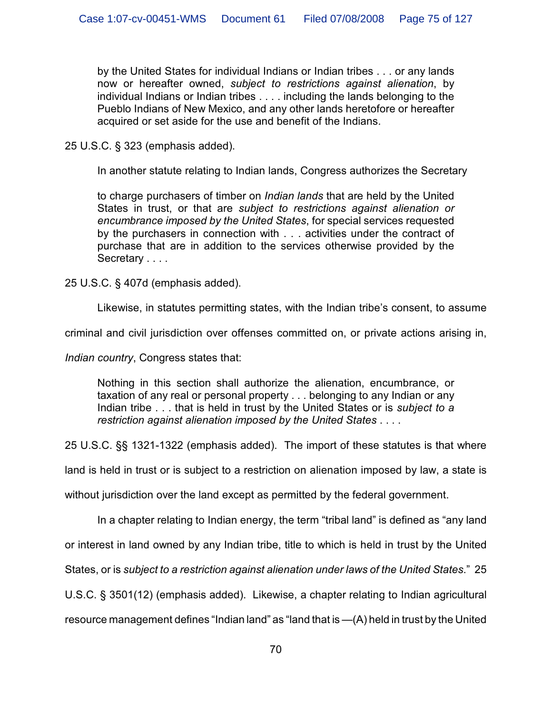by the United States for individual Indians or Indian tribes . . . or any lands now or hereafter owned, *subject to restrictions against alienation*, by individual Indians or Indian tribes . . . . including the lands belonging to the Pueblo Indians of New Mexico, and any other lands heretofore or hereafter acquired or set aside for the use and benefit of the Indians.

25 U.S.C. § 323 (emphasis added).

In another statute relating to Indian lands, Congress authorizes the Secretary

to charge purchasers of timber on *Indian lands* that are held by the United States in trust, or that are *subject to restrictions against alienation or encumbrance imposed by the United States*, for special services requested by the purchasers in connection with . . . activities under the contract of purchase that are in addition to the services otherwise provided by the Secretary . . . .

25 U.S.C. § 407d (emphasis added).

Likewise, in statutes permitting states, with the Indian tribe's consent, to assume

criminal and civil jurisdiction over offenses committed on, or private actions arising in,

*Indian country*, Congress states that:

Nothing in this section shall authorize the alienation, encumbrance, or taxation of any real or personal property . . . belonging to any Indian or any Indian tribe . . . that is held in trust by the United States or is *subject to a restriction against alienation imposed by the United States* . . . .

25 U.S.C. §§ 1321-1322 (emphasis added). The import of these statutes is that where

land is held in trust or is subject to a restriction on alienation imposed by law, a state is

without jurisdiction over the land except as permitted by the federal government.

In a chapter relating to Indian energy, the term "tribal land" is defined as "any land

or interest in land owned by any Indian tribe, title to which is held in trust by the United

States, or is *subject to a restriction against alienation under laws of the United States*." 25

U.S.C. § 3501(12) (emphasis added). Likewise, a chapter relating to Indian agricultural

resource management defines "Indian land" as "land that is —(A) held in trust by the United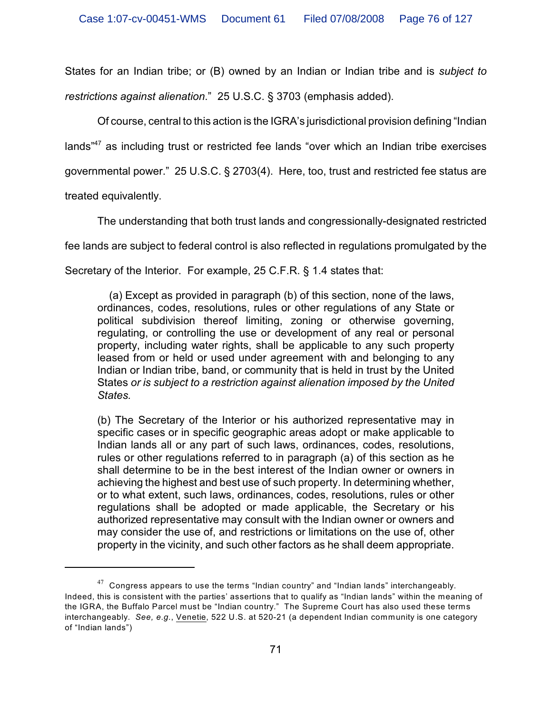States for an Indian tribe; or (B) owned by an Indian or Indian tribe and is *subject to restrictions against alienation*." 25 U.S.C. § 3703 (emphasis added).

Of course, central to this action is the IGRA's jurisdictional provision defining "Indian lands $147$  as including trust or restricted fee lands "over which an Indian tribe exercises governmental power." 25 U.S.C. § 2703(4). Here, too, trust and restricted fee status are

treated equivalently.

The understanding that both trust lands and congressionally-designated restricted

fee lands are subject to federal control is also reflected in regulations promulgated by the

Secretary of the Interior. For example, 25 C.F.R. § 1.4 states that:

 (a) Except as provided in paragraph (b) of this section, none of the laws, ordinances, codes, resolutions, rules or other regulations of any State or political subdivision thereof limiting, zoning or otherwise governing, regulating, or controlling the use or development of any real or personal property, including water rights, shall be applicable to any such property leased from or held or used under agreement with and belonging to any Indian or Indian tribe, band, or community that is held in trust by the United States *or is subject to a restriction against alienation imposed by the United States.*

(b) The Secretary of the Interior or his authorized representative may in specific cases or in specific geographic areas adopt or make applicable to Indian lands all or any part of such laws, ordinances, codes, resolutions, rules or other regulations referred to in paragraph (a) of this section as he shall determine to be in the best interest of the Indian owner or owners in achieving the highest and best use of such property. In determining whether, or to what extent, such laws, ordinances, codes, resolutions, rules or other regulations shall be adopted or made applicable, the Secretary or his authorized representative may consult with the Indian owner or owners and may consider the use of, and restrictions or limitations on the use of, other property in the vicinity, and such other factors as he shall deem appropriate.

 $^{47}$  Congress appears to use the terms "Indian country" and "Indian lands" interchangeably. Indeed, this is consistent with the parties' assertions that to qualify as "Indian lands" within the meaning of the IGRA, the Buffalo Parcel must be "Indian country." The Supreme Court has also used these terms interchangeably. *See, e.g.*, Venetie, 522 U.S. at 520-21 (a dependent Indian community is one category of "Indian lands")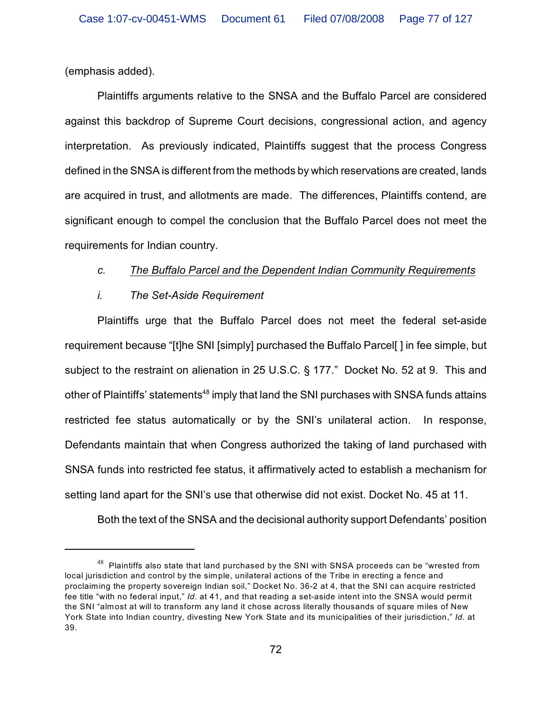(emphasis added).

Plaintiffs arguments relative to the SNSA and the Buffalo Parcel are considered against this backdrop of Supreme Court decisions, congressional action, and agency interpretation. As previously indicated, Plaintiffs suggest that the process Congress defined in the SNSA is different from the methods by which reservations are created, lands are acquired in trust, and allotments are made. The differences, Plaintiffs contend, are significant enough to compel the conclusion that the Buffalo Parcel does not meet the requirements for Indian country.

# *c. The Buffalo Parcel and the Dependent Indian Community Requirements*

# *i. The Set-Aside Requirement*

Plaintiffs urge that the Buffalo Parcel does not meet the federal set-aside requirement because "[t]he SNI [simply] purchased the Buffalo Parcel[ ] in fee simple, but subject to the restraint on alienation in 25 U.S.C. § 177." Docket No. 52 at 9. This and other of Plaintiffs' statements<sup>48</sup> imply that land the SNI purchases with SNSA funds attains restricted fee status automatically or by the SNI's unilateral action. In response, Defendants maintain that when Congress authorized the taking of land purchased with SNSA funds into restricted fee status, it affirmatively acted to establish a mechanism for setting land apart for the SNI's use that otherwise did not exist. Docket No. 45 at 11.

Both the text of the SNSA and the decisional authority support Defendants' position

 $^{48}\,$  Plaintiffs also state that land purchased by the SNI with SNSA proceeds can be "wrested from local jurisdiction and control by the simple, unilateral actions of the Tribe in erecting a fence and proclaiming the property sovereign Indian soil," Docket No. 36-2 at 4, that the SNI can acquire restricted fee title "with no federal input," *Id*. at 41, and that reading a set-aside intent into the SNSA would permit the SNI "almost at will to transform any land it chose across literally thousands of square miles of New York State into Indian country, divesting New York State and its municipalities of their jurisdiction," *Id.* at 39.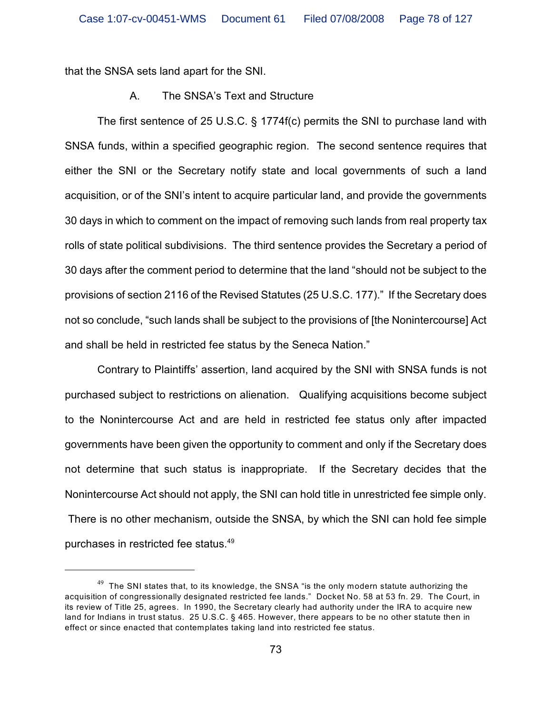that the SNSA sets land apart for the SNI.

# A. The SNSA's Text and Structure

The first sentence of 25 U.S.C. § 1774f(c) permits the SNI to purchase land with SNSA funds, within a specified geographic region. The second sentence requires that either the SNI or the Secretary notify state and local governments of such a land acquisition, or of the SNI's intent to acquire particular land, and provide the governments 30 days in which to comment on the impact of removing such lands from real property tax rolls of state political subdivisions. The third sentence provides the Secretary a period of 30 days after the comment period to determine that the land "should not be subject to the provisions of section 2116 of the Revised Statutes (25 U.S.C. 177)." If the Secretary does not so conclude, "such lands shall be subject to the provisions of [the Nonintercourse] Act and shall be held in restricted fee status by the Seneca Nation."

Contrary to Plaintiffs' assertion, land acquired by the SNI with SNSA funds is not purchased subject to restrictions on alienation. Qualifying acquisitions become subject to the Nonintercourse Act and are held in restricted fee status only after impacted governments have been given the opportunity to comment and only if the Secretary does not determine that such status is inappropriate. If the Secretary decides that the Nonintercourse Act should not apply, the SNI can hold title in unrestricted fee simple only. There is no other mechanism, outside the SNSA, by which the SNI can hold fee simple purchases in restricted fee status. 49

 $49$  The SNI states that, to its knowledge, the SNSA "is the only modern statute authorizing the acquisition of congressionally designated restricted fee lands." Docket No. 58 at 53 fn. 29. The Court, in its review of Title 25, agrees. In 1990, the Secretary clearly had authority under the IRA to acquire new land for Indians in trust status. 25 U.S.C. § 465. However, there appears to be no other statute then in effect or since enacted that contemplates taking land into restricted fee status.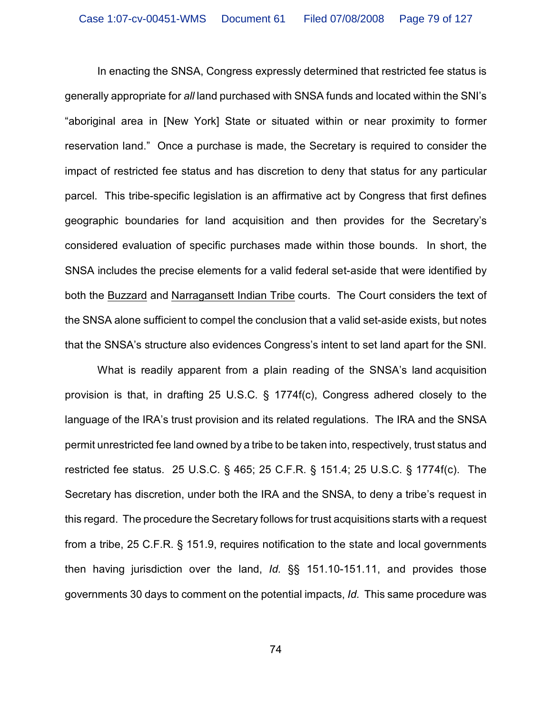In enacting the SNSA, Congress expressly determined that restricted fee status is generally appropriate for *all* land purchased with SNSA funds and located within the SNI's "aboriginal area in [New York] State or situated within or near proximity to former reservation land." Once a purchase is made, the Secretary is required to consider the impact of restricted fee status and has discretion to deny that status for any particular parcel. This tribe-specific legislation is an affirmative act by Congress that first defines geographic boundaries for land acquisition and then provides for the Secretary's considered evaluation of specific purchases made within those bounds. In short, the SNSA includes the precise elements for a valid federal set-aside that were identified by both the Buzzard and Narragansett Indian Tribe courts. The Court considers the text of the SNSA alone sufficient to compel the conclusion that a valid set-aside exists, but notes that the SNSA's structure also evidences Congress's intent to set land apart for the SNI.

What is readily apparent from a plain reading of the SNSA's land acquisition provision is that, in drafting 25 U.S.C. § 1774f(c), Congress adhered closely to the language of the IRA's trust provision and its related regulations. The IRA and the SNSA permit unrestricted fee land owned by a tribe to be taken into, respectively, trust status and restricted fee status. 25 U.S.C. § 465; 25 C.F.R. § 151.4; 25 U.S.C. § 1774f(c). The Secretary has discretion, under both the IRA and the SNSA, to deny a tribe's request in this regard. The procedure the Secretary follows for trust acquisitions starts with a request from a tribe, 25 C.F.R. § 151.9, requires notification to the state and local governments then having jurisdiction over the land, *Id.* §§ 151.10-151.11, and provides those governments 30 days to comment on the potential impacts, *Id.* This same procedure was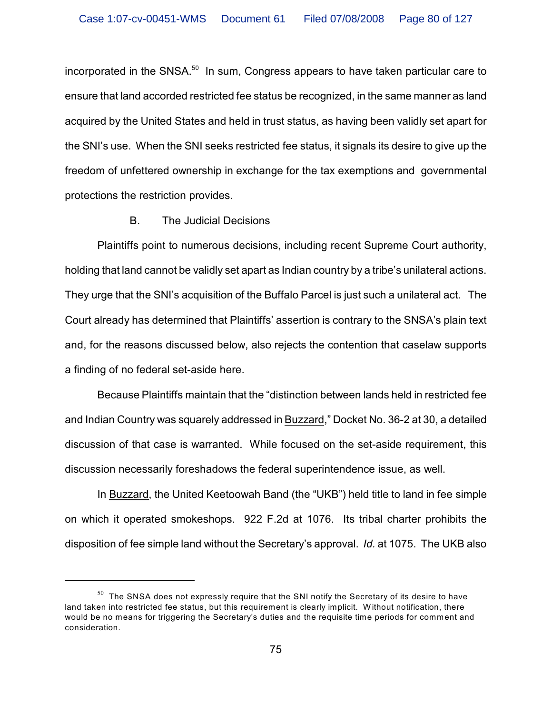incorporated in the SNSA. $50$  In sum, Congress appears to have taken particular care to ensure that land accorded restricted fee status be recognized, in the same manner as land acquired by the United States and held in trust status, as having been validly set apart for the SNI's use. When the SNI seeks restricted fee status, it signals its desire to give up the freedom of unfettered ownership in exchange for the tax exemptions and governmental protections the restriction provides.

## B. The Judicial Decisions

Plaintiffs point to numerous decisions, including recent Supreme Court authority, holding that land cannot be validly set apart as Indian country by a tribe's unilateral actions. They urge that the SNI's acquisition of the Buffalo Parcel is just such a unilateral act. The Court already has determined that Plaintiffs' assertion is contrary to the SNSA's plain text and, for the reasons discussed below, also rejects the contention that caselaw supports a finding of no federal set-aside here.

Because Plaintiffs maintain that the "distinction between lands held in restricted fee and Indian Country was squarely addressed in Buzzard," Docket No. 36-2 at 30, a detailed discussion of that case is warranted. While focused on the set-aside requirement, this discussion necessarily foreshadows the federal superintendence issue, as well.

In Buzzard, the United Keetoowah Band (the "UKB") held title to land in fee simple on which it operated smokeshops. 922 F.2d at 1076. Its tribal charter prohibits the disposition of fee simple land without the Secretary's approval. *Id.* at 1075. The UKB also

 $^{50}\,$  The SNSA does not expressly require that the SNI notify the Secretary of its desire to have land taken into restricted fee status, but this requirement is clearly implicit. Without notification, there would be no means for triggering the Secretary's duties and the requisite time periods for comment and consideration.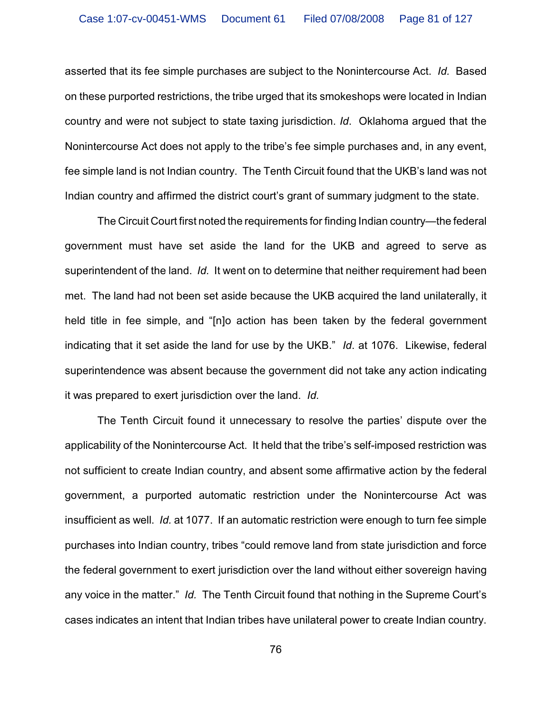asserted that its fee simple purchases are subject to the Nonintercourse Act. *Id.* Based on these purported restrictions, the tribe urged that its smokeshops were located in Indian country and were not subject to state taxing jurisdiction. *Id*. Oklahoma argued that the Nonintercourse Act does not apply to the tribe's fee simple purchases and, in any event, fee simple land is not Indian country. The Tenth Circuit found that the UKB's land was not Indian country and affirmed the district court's grant of summary judgment to the state.

The Circuit Court first noted the requirements for finding Indian country—the federal government must have set aside the land for the UKB and agreed to serve as superintendent of the land. *Id.* It went on to determine that neither requirement had been met. The land had not been set aside because the UKB acquired the land unilaterally, it held title in fee simple, and "[n]o action has been taken by the federal government indicating that it set aside the land for use by the UKB." *Id*. at 1076. Likewise, federal superintendence was absent because the government did not take any action indicating it was prepared to exert jurisdiction over the land. *Id.*

The Tenth Circuit found it unnecessary to resolve the parties' dispute over the applicability of the Nonintercourse Act. It held that the tribe's self-imposed restriction was not sufficient to create Indian country, and absent some affirmative action by the federal government, a purported automatic restriction under the Nonintercourse Act was insufficient as well. *Id.* at 1077. If an automatic restriction were enough to turn fee simple purchases into Indian country, tribes "could remove land from state jurisdiction and force the federal government to exert jurisdiction over the land without either sovereign having any voice in the matter." *Id.* The Tenth Circuit found that nothing in the Supreme Court's cases indicates an intent that Indian tribes have unilateral power to create Indian country.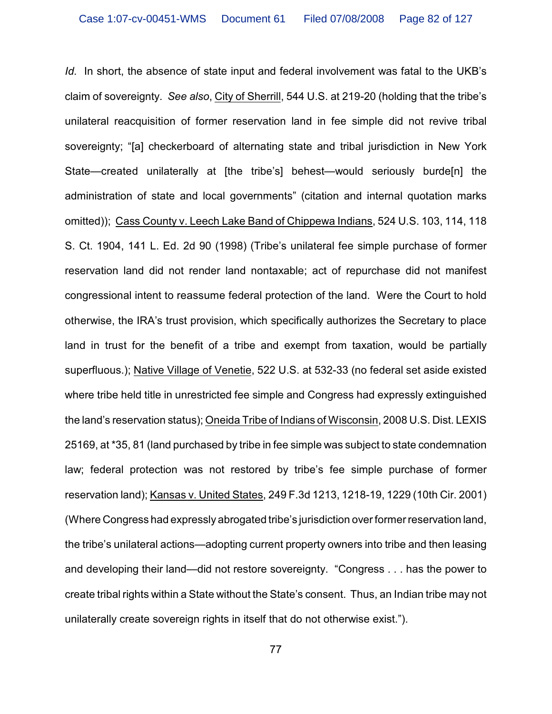*Id.* In short, the absence of state input and federal involvement was fatal to the UKB's claim of sovereignty. *See also*, City of Sherrill, 544 U.S. at 219-20 (holding that the tribe's unilateral reacquisition of former reservation land in fee simple did not revive tribal sovereignty; "[a] checkerboard of alternating state and tribal jurisdiction in New York State—created unilaterally at [the tribe's] behest—would seriously burde[n] the administration of state and local governments" (citation and internal quotation marks omitted)); Cass County v. Leech Lake Band of Chippewa Indians, 524 U.S. 103, 114, 118 S. Ct. 1904, 141 L. Ed. 2d 90 (1998) (Tribe's unilateral fee simple purchase of former reservation land did not render land nontaxable; act of repurchase did not manifest congressional intent to reassume federal protection of the land. Were the Court to hold otherwise, the IRA's trust provision, which specifically authorizes the Secretary to place land in trust for the benefit of a tribe and exempt from taxation, would be partially superfluous.); Native Village of Venetie, 522 U.S. at 532-33 (no federal set aside existed where tribe held title in unrestricted fee simple and Congress had expressly extinguished the land's reservation status); Oneida Tribe of Indians of Wisconsin, 2008 U.S. Dist. LEXIS 25169, at \*35, 81 (land purchased by tribe in fee simple was subject to state condemnation law; federal protection was not restored by tribe's fee simple purchase of former reservation land); Kansas v. United States, 249 F.3d 1213, 1218-19, 1229 (10th Cir. 2001) (Where Congress had expressly abrogated tribe's jurisdiction over former reservation land, the tribe's unilateral actions—adopting current property owners into tribe and then leasing and developing their land—did not restore sovereignty. "Congress . . . has the power to create tribal rights within a State without the State's consent. Thus, an Indian tribe may not unilaterally create sovereign rights in itself that do not otherwise exist.").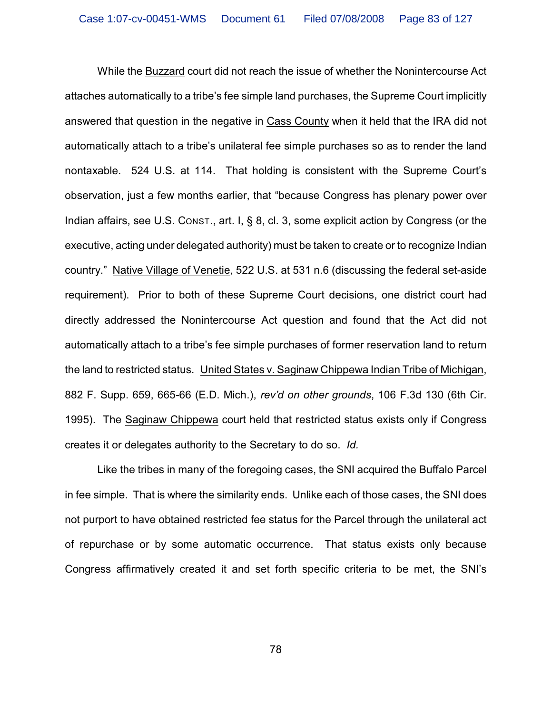While the Buzzard court did not reach the issue of whether the Nonintercourse Act attaches automatically to a tribe's fee simple land purchases, the Supreme Court implicitly answered that question in the negative in Cass County when it held that the IRA did not automatically attach to a tribe's unilateral fee simple purchases so as to render the land nontaxable. 524 U.S. at 114. That holding is consistent with the Supreme Court's observation, just a few months earlier, that "because Congress has plenary power over Indian affairs, see U.S. CONST., art. I, § 8, cl. 3, some explicit action by Congress (or the executive, acting under delegated authority) must be taken to create or to recognize Indian country." Native Village of Venetie, 522 U.S. at 531 n.6 (discussing the federal set-aside requirement). Prior to both of these Supreme Court decisions, one district court had directly addressed the Nonintercourse Act question and found that the Act did not automatically attach to a tribe's fee simple purchases of former reservation land to return the land to restricted status. United States v. Saginaw Chippewa Indian Tribe of Michigan, 882 F. Supp. 659, 665-66 (E.D. Mich.), *rev'd on other grounds*, 106 F.3d 130 (6th Cir. 1995). The Saginaw Chippewa court held that restricted status exists only if Congress creates it or delegates authority to the Secretary to do so. *Id.*

Like the tribes in many of the foregoing cases, the SNI acquired the Buffalo Parcel in fee simple. That is where the similarity ends. Unlike each of those cases, the SNI does not purport to have obtained restricted fee status for the Parcel through the unilateral act of repurchase or by some automatic occurrence. That status exists only because Congress affirmatively created it and set forth specific criteria to be met, the SNI's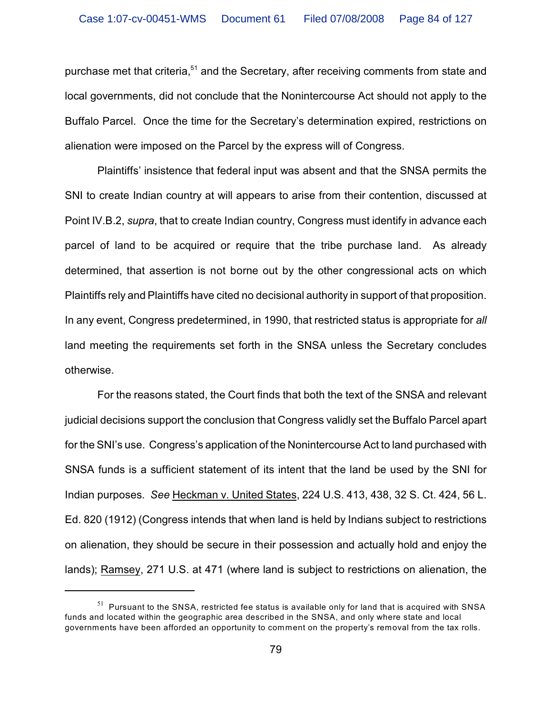purchase met that criteria,<sup>51</sup> and the Secretary, after receiving comments from state and local governments, did not conclude that the Nonintercourse Act should not apply to the Buffalo Parcel. Once the time for the Secretary's determination expired, restrictions on alienation were imposed on the Parcel by the express will of Congress.

Plaintiffs' insistence that federal input was absent and that the SNSA permits the SNI to create Indian country at will appears to arise from their contention, discussed at Point IV.B.2, *supra*, that to create Indian country, Congress must identify in advance each parcel of land to be acquired or require that the tribe purchase land. As already determined, that assertion is not borne out by the other congressional acts on which Plaintiffs rely and Plaintiffs have cited no decisional authority in support of that proposition. In any event, Congress predetermined, in 1990, that restricted status is appropriate for *all* land meeting the requirements set forth in the SNSA unless the Secretary concludes otherwise.

For the reasons stated, the Court finds that both the text of the SNSA and relevant judicial decisions support the conclusion that Congress validly set the Buffalo Parcel apart for the SNI's use. Congress's application of the Nonintercourse Act to land purchased with SNSA funds is a sufficient statement of its intent that the land be used by the SNI for Indian purposes. *See* Heckman v. United States, 224 U.S. 413, 438, 32 S. Ct. 424, 56 L. Ed. 820 (1912) (Congress intends that when land is held by Indians subject to restrictions on alienation, they should be secure in their possession and actually hold and enjoy the lands); Ramsey, 271 U.S. at 471 (where land is subject to restrictions on alienation, the

 $51$  Pursuant to the SNSA, restricted fee status is available only for land that is acquired with SNSA funds and located within the geographic area described in the SNSA, and only where state and local governments have been afforded an opportunity to comment on the property's removal from the tax rolls.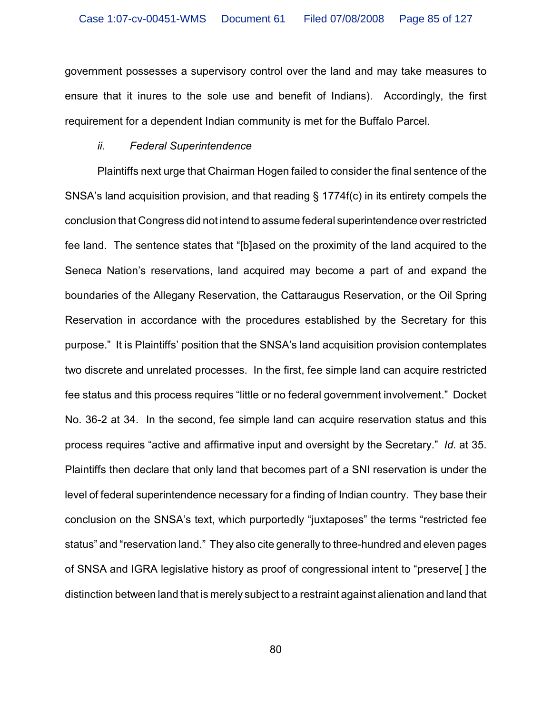government possesses a supervisory control over the land and may take measures to ensure that it inures to the sole use and benefit of Indians). Accordingly, the first requirement for a dependent Indian community is met for the Buffalo Parcel.

#### *ii. Federal Superintendence*

Plaintiffs next urge that Chairman Hogen failed to consider the final sentence of the SNSA's land acquisition provision, and that reading § 1774f(c) in its entirety compels the conclusion that Congress did not intend to assume federal superintendence over restricted fee land. The sentence states that "[b]ased on the proximity of the land acquired to the Seneca Nation's reservations, land acquired may become a part of and expand the boundaries of the Allegany Reservation, the Cattaraugus Reservation, or the Oil Spring Reservation in accordance with the procedures established by the Secretary for this purpose." It is Plaintiffs' position that the SNSA's land acquisition provision contemplates two discrete and unrelated processes. In the first, fee simple land can acquire restricted fee status and this process requires "little or no federal government involvement." Docket No. 36-2 at 34. In the second, fee simple land can acquire reservation status and this process requires "active and affirmative input and oversight by the Secretary." *Id.* at 35. Plaintiffs then declare that only land that becomes part of a SNI reservation is under the level of federal superintendence necessary for a finding of Indian country. They base their conclusion on the SNSA's text, which purportedly "juxtaposes" the terms "restricted fee status" and "reservation land." They also cite generally to three-hundred and eleven pages of SNSA and IGRA legislative history as proof of congressional intent to "preserve[ ] the distinction between land that is merely subject to a restraint against alienation and land that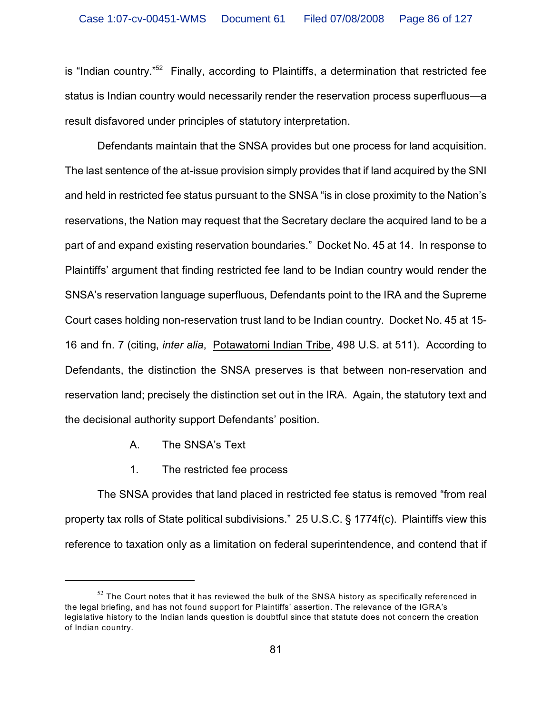is "Indian country. $152$  Finally, according to Plaintiffs, a determination that restricted fee status is Indian country would necessarily render the reservation process superfluous—a result disfavored under principles of statutory interpretation.

Defendants maintain that the SNSA provides but one process for land acquisition. The last sentence of the at-issue provision simply provides that if land acquired by the SNI and held in restricted fee status pursuant to the SNSA "is in close proximity to the Nation's reservations, the Nation may request that the Secretary declare the acquired land to be a part of and expand existing reservation boundaries." Docket No. 45 at 14. In response to Plaintiffs' argument that finding restricted fee land to be Indian country would render the SNSA's reservation language superfluous, Defendants point to the IRA and the Supreme Court cases holding non-reservation trust land to be Indian country. Docket No. 45 at 15- 16 and fn. 7 (citing, *inter alia*, Potawatomi Indian Tribe, 498 U.S. at 511). According to Defendants, the distinction the SNSA preserves is that between non-reservation and reservation land; precisely the distinction set out in the IRA. Again, the statutory text and the decisional authority support Defendants' position.

- A. The SNSA's Text
- 1. The restricted fee process

The SNSA provides that land placed in restricted fee status is removed "from real property tax rolls of State political subdivisions." 25 U.S.C. § 1774f(c). Plaintiffs view this reference to taxation only as a limitation on federal superintendence, and contend that if

 $52$  The Court notes that it has reviewed the bulk of the SNSA history as specifically referenced in the legal briefing, and has not found support for Plaintiffs' assertion. The relevance of the IGRA's legislative history to the Indian lands question is doubtful since that statute does not concern the creation of Indian country.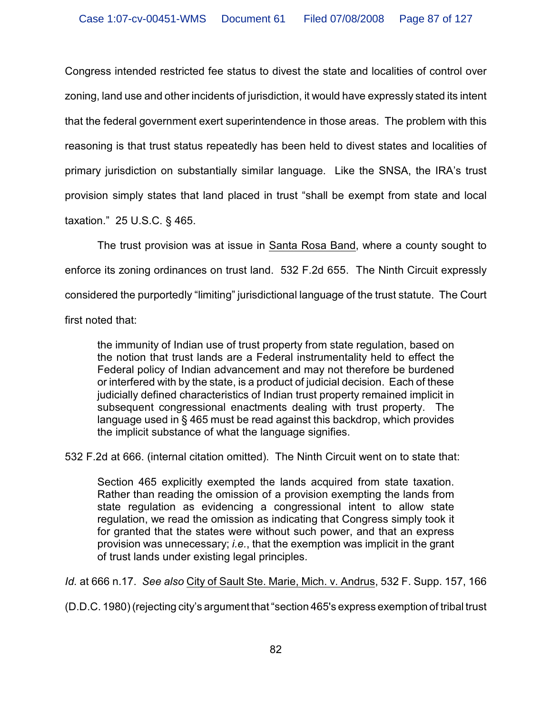Congress intended restricted fee status to divest the state and localities of control over zoning, land use and other incidents of jurisdiction, it would have expressly stated its intent that the federal government exert superintendence in those areas. The problem with this reasoning is that trust status repeatedly has been held to divest states and localities of primary jurisdiction on substantially similar language. Like the SNSA, the IRA's trust provision simply states that land placed in trust "shall be exempt from state and local taxation." 25 U.S.C. § 465.

The trust provision was at issue in Santa Rosa Band, where a county sought to enforce its zoning ordinances on trust land. 532 F.2d 655. The Ninth Circuit expressly considered the purportedly "limiting" jurisdictional language of the trust statute. The Court first noted that:

the immunity of Indian use of trust property from state regulation, based on the notion that trust lands are a Federal instrumentality held to effect the Federal policy of Indian advancement and may not therefore be burdened or interfered with by the state, is a product of judicial decision. Each of these judicially defined characteristics of Indian trust property remained implicit in subsequent congressional enactments dealing with trust property. The language used in § 465 must be read against this backdrop, which provides the implicit substance of what the language signifies.

532 F.2d at 666. (internal citation omitted). The Ninth Circuit went on to state that:

Section 465 explicitly exempted the lands acquired from state taxation. Rather than reading the omission of a provision exempting the lands from state regulation as evidencing a congressional intent to allow state regulation, we read the omission as indicating that Congress simply took it for granted that the states were without such power, and that an express provision was unnecessary; *i.e.*, that the exemption was implicit in the grant of trust lands under existing legal principles.

*Id.* at 666 n.17. *See also* City of Sault Ste. Marie, Mich. v. Andrus, 532 F. Supp. 157, 166

(D.D.C. 1980) (rejecting city's argument that "section 465's express exemption of tribal trust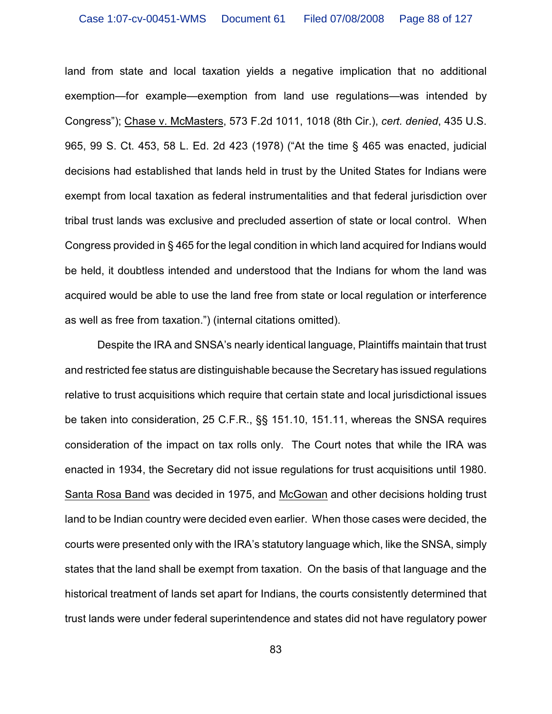land from state and local taxation yields a negative implication that no additional exemption—for example—exemption from land use regulations—was intended by Congress"); Chase v. McMasters, 573 F.2d 1011, 1018 (8th Cir.), *cert. denied*, 435 U.S. 965, 99 S. Ct. 453, 58 L. Ed. 2d 423 (1978) ("At the time § 465 was enacted, judicial decisions had established that lands held in trust by the United States for Indians were exempt from local taxation as federal instrumentalities and that federal jurisdiction over tribal trust lands was exclusive and precluded assertion of state or local control. When Congress provided in § 465 for the legal condition in which land acquired for Indians would be held, it doubtless intended and understood that the Indians for whom the land was acquired would be able to use the land free from state or local regulation or interference as well as free from taxation.") (internal citations omitted).

Despite the IRA and SNSA's nearly identical language, Plaintiffs maintain that trust and restricted fee status are distinguishable because the Secretary has issued regulations relative to trust acquisitions which require that certain state and local jurisdictional issues be taken into consideration, 25 C.F.R., §§ 151.10, 151.11, whereas the SNSA requires consideration of the impact on tax rolls only. The Court notes that while the IRA was enacted in 1934, the Secretary did not issue regulations for trust acquisitions until 1980. Santa Rosa Band was decided in 1975, and McGowan and other decisions holding trust land to be Indian country were decided even earlier. When those cases were decided, the courts were presented only with the IRA's statutory language which, like the SNSA, simply states that the land shall be exempt from taxation. On the basis of that language and the historical treatment of lands set apart for Indians, the courts consistently determined that trust lands were under federal superintendence and states did not have regulatory power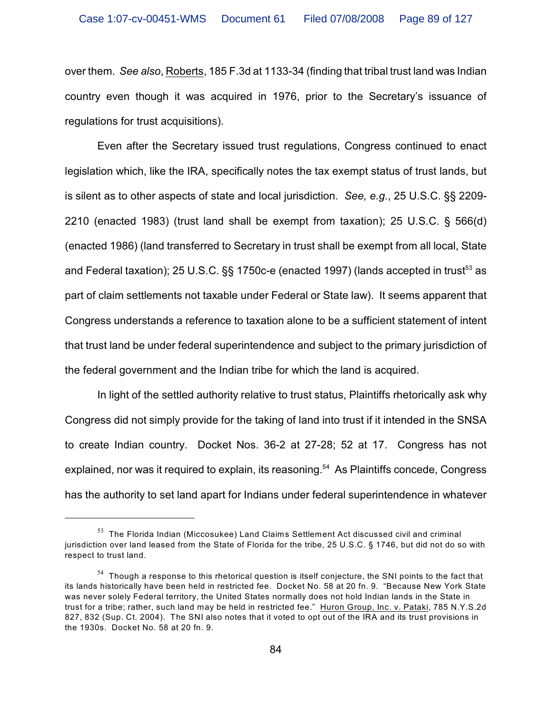over them. *See also*, Roberts, 185 F.3d at 1133-34 (finding that tribal trust land was Indian country even though it was acquired in 1976, prior to the Secretary's issuance of regulations for trust acquisitions).

Even after the Secretary issued trust regulations, Congress continued to enact legislation which, like the IRA, specifically notes the tax exempt status of trust lands, but is silent as to other aspects of state and local jurisdiction. *See, e.g.*, 25 U.S.C. §§ 2209- 2210 (enacted 1983) (trust land shall be exempt from taxation); 25 U.S.C. § 566(d) (enacted 1986) (land transferred to Secretary in trust shall be exempt from all local, State and Federal taxation); 25 U.S.C. §§ 1750c-e (enacted 1997) (lands accepted in trust<sup>53</sup> as part of claim settlements not taxable under Federal or State law). It seems apparent that Congress understands a reference to taxation alone to be a sufficient statement of intent that trust land be under federal superintendence and subject to the primary jurisdiction of the federal government and the Indian tribe for which the land is acquired.

In light of the settled authority relative to trust status, Plaintiffs rhetorically ask why Congress did not simply provide for the taking of land into trust if it intended in the SNSA to create Indian country. Docket Nos. 36-2 at 27-28; 52 at 17. Congress has not explained, nor was it required to explain, its reasoning.<sup>54</sup> As Plaintiffs concede, Congress has the authority to set land apart for Indians under federal superintendence in whatever

 $53$  The Florida Indian (Miccosukee) Land Claims Settlement Act discussed civil and criminal jurisdiction over land leased from the State of Florida for the tribe, 25 U.S.C. § 1746, but did not do so with respect to trust land.

 $54$  Though a response to this rhetorical question is itself conjecture, the SNI points to the fact that its lands historically have been held in restricted fee. Docket No. 58 at 20 fn. 9. "Because New York State was never solely Federal territory, the United States normally does not hold Indian lands in the State in trust for a tribe; rather, such land may be held in restricted fee." Huron Group, Inc. v. Pataki, 785 N.Y.S.2d 827, 832 (Sup. Ct. 2004). The SNI also notes that it voted to opt out of the IRA and its trust provisions in the 1930s. Docket No. 58 at 20 fn. 9.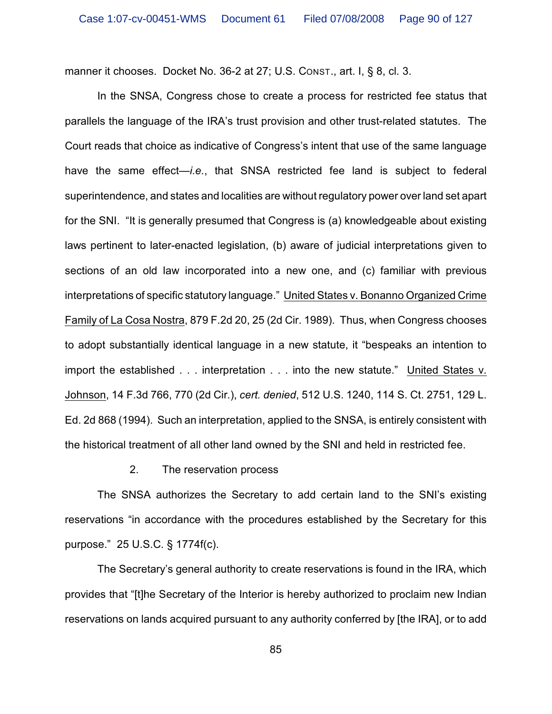manner it chooses. Docket No. 36-2 at 27; U.S. CONST., art. I, § 8, cl. 3.

In the SNSA, Congress chose to create a process for restricted fee status that parallels the language of the IRA's trust provision and other trust-related statutes. The Court reads that choice as indicative of Congress's intent that use of the same language have the same effect—*i.e.*, that SNSA restricted fee land is subject to federal superintendence, and states and localities are without regulatory power over land set apart for the SNI. "It is generally presumed that Congress is (a) knowledgeable about existing laws pertinent to later-enacted legislation, (b) aware of judicial interpretations given to sections of an old law incorporated into a new one, and (c) familiar with previous interpretations of specific statutory language." United States v. Bonanno Organized Crime Family of La Cosa Nostra, 879 F.2d 20, 25 (2d Cir. 1989). Thus, when Congress chooses to adopt substantially identical language in a new statute, it "bespeaks an intention to import the established . . . interpretation . . . into the new statute." United States v. Johnson, 14 F.3d 766, 770 (2d Cir.), *cert. denied*, 512 U.S. 1240, 114 S. Ct. 2751, 129 L. Ed. 2d 868 (1994). Such an interpretation, applied to the SNSA, is entirely consistent with the historical treatment of all other land owned by the SNI and held in restricted fee.

#### 2. The reservation process

The SNSA authorizes the Secretary to add certain land to the SNI's existing reservations "in accordance with the procedures established by the Secretary for this purpose." 25 U.S.C. § 1774f(c).

The Secretary's general authority to create reservations is found in the IRA, which provides that "[t]he Secretary of the Interior is hereby authorized to proclaim new Indian reservations on lands acquired pursuant to any authority conferred by [the IRA], or to add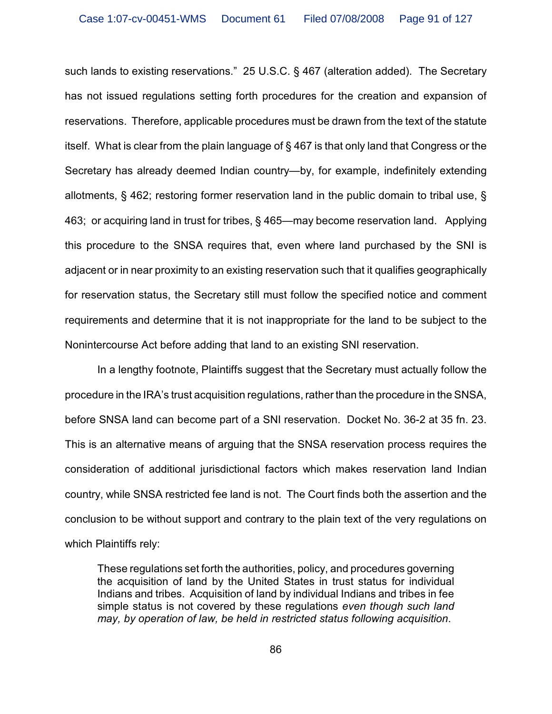such lands to existing reservations." 25 U.S.C. § 467 (alteration added). The Secretary has not issued regulations setting forth procedures for the creation and expansion of reservations. Therefore, applicable procedures must be drawn from the text of the statute itself. What is clear from the plain language of § 467 is that only land that Congress or the Secretary has already deemed Indian country—by, for example, indefinitely extending allotments, § 462; restoring former reservation land in the public domain to tribal use, § 463; or acquiring land in trust for tribes, § 465—may become reservation land. Applying this procedure to the SNSA requires that, even where land purchased by the SNI is adjacent or in near proximity to an existing reservation such that it qualifies geographically for reservation status, the Secretary still must follow the specified notice and comment requirements and determine that it is not inappropriate for the land to be subject to the Nonintercourse Act before adding that land to an existing SNI reservation.

In a lengthy footnote, Plaintiffs suggest that the Secretary must actually follow the procedure in the IRA's trust acquisition regulations, rather than the procedure in the SNSA, before SNSA land can become part of a SNI reservation. Docket No. 36-2 at 35 fn. 23. This is an alternative means of arguing that the SNSA reservation process requires the consideration of additional jurisdictional factors which makes reservation land Indian country, while SNSA restricted fee land is not. The Court finds both the assertion and the conclusion to be without support and contrary to the plain text of the very regulations on which Plaintiffs rely:

These regulations set forth the authorities, policy, and procedures governing the acquisition of land by the United States in trust status for individual Indians and tribes. Acquisition of land by individual Indians and tribes in fee simple status is not covered by these regulations *even though such land may, by operation of law, be held in restricted status following acquisition*.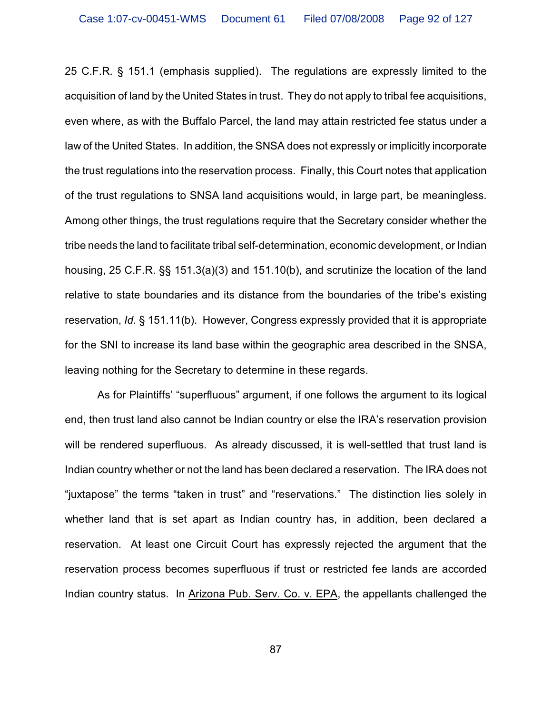25 C.F.R. § 151.1 (emphasis supplied). The regulations are expressly limited to the acquisition of land by the United States in trust. They do not apply to tribal fee acquisitions, even where, as with the Buffalo Parcel, the land may attain restricted fee status under a law of the United States. In addition, the SNSA does not expressly or implicitly incorporate the trust regulations into the reservation process. Finally, this Court notes that application of the trust regulations to SNSA land acquisitions would, in large part, be meaningless. Among other things, the trust regulations require that the Secretary consider whether the tribe needs the land to facilitate tribal self-determination, economic development, or Indian housing, 25 C.F.R. §§ 151.3(a)(3) and 151.10(b), and scrutinize the location of the land relative to state boundaries and its distance from the boundaries of the tribe's existing reservation, *Id.* § 151.11(b). However, Congress expressly provided that it is appropriate for the SNI to increase its land base within the geographic area described in the SNSA, leaving nothing for the Secretary to determine in these regards.

As for Plaintiffs' "superfluous" argument, if one follows the argument to its logical end, then trust land also cannot be Indian country or else the IRA's reservation provision will be rendered superfluous. As already discussed, it is well-settled that trust land is Indian country whether or not the land has been declared a reservation. The IRA does not "juxtapose" the terms "taken in trust" and "reservations." The distinction lies solely in whether land that is set apart as Indian country has, in addition, been declared a reservation. At least one Circuit Court has expressly rejected the argument that the reservation process becomes superfluous if trust or restricted fee lands are accorded Indian country status. In Arizona Pub. Serv. Co. v. EPA, the appellants challenged the

87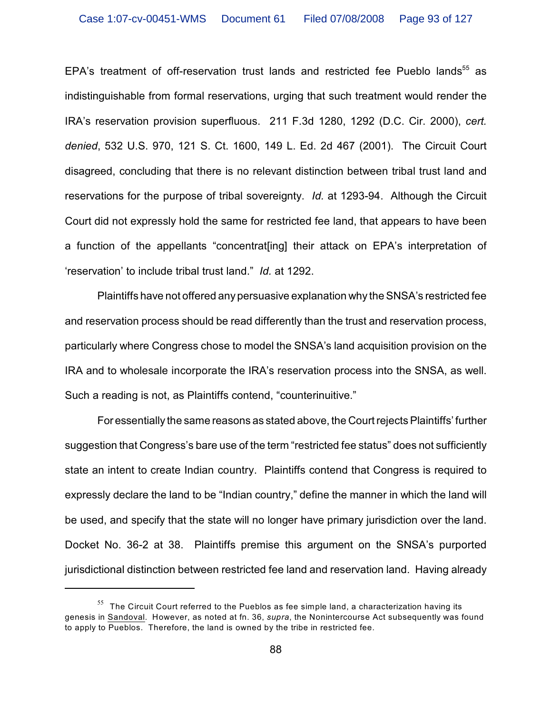EPA's treatment of off-reservation trust lands and restricted fee Pueblo lands<sup>55</sup> as indistinguishable from formal reservations, urging that such treatment would render the IRA's reservation provision superfluous. 211 F.3d 1280, 1292 (D.C. Cir. 2000), *cert. denied*, 532 U.S. 970, 121 S. Ct. 1600, 149 L. Ed. 2d 467 (2001). The Circuit Court disagreed, concluding that there is no relevant distinction between tribal trust land and reservations for the purpose of tribal sovereignty. *Id.* at 1293-94. Although the Circuit Court did not expressly hold the same for restricted fee land, that appears to have been a function of the appellants "concentrat[ing] their attack on EPA's interpretation of 'reservation' to include tribal trust land." *Id.* at 1292.

Plaintiffs have not offered any persuasive explanation why the SNSA's restricted fee and reservation process should be read differently than the trust and reservation process, particularly where Congress chose to model the SNSA's land acquisition provision on the IRA and to wholesale incorporate the IRA's reservation process into the SNSA, as well. Such a reading is not, as Plaintiffs contend, "counterinuitive."

For essentially the same reasons as stated above, the Court rejects Plaintiffs' further suggestion that Congress's bare use of the term "restricted fee status" does not sufficiently state an intent to create Indian country. Plaintiffs contend that Congress is required to expressly declare the land to be "Indian country," define the manner in which the land will be used, and specify that the state will no longer have primary jurisdiction over the land. Docket No. 36-2 at 38. Plaintiffs premise this argument on the SNSA's purported jurisdictional distinction between restricted fee land and reservation land. Having already

 $55$  The Circuit Court referred to the Pueblos as fee simple land, a characterization having its genesis in Sandoval. However, as noted at fn. 36, *supra*, the Nonintercourse Act subsequently was found to apply to Pueblos. Therefore, the land is owned by the tribe in restricted fee.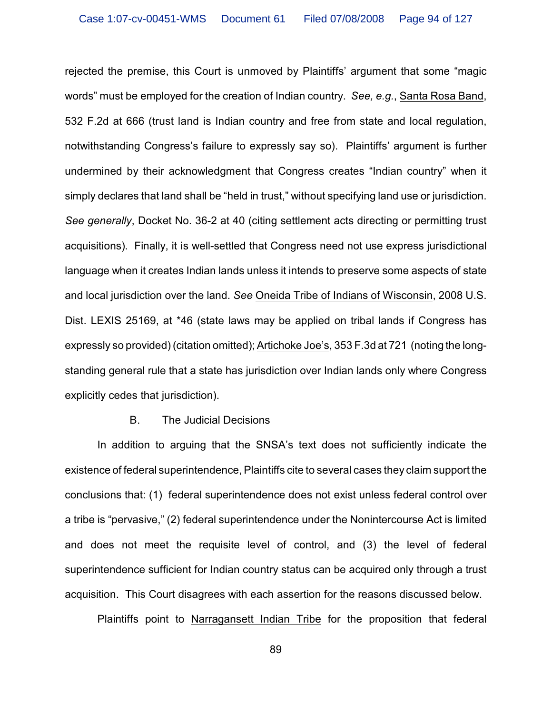rejected the premise, this Court is unmoved by Plaintiffs' argument that some "magic words" must be employed for the creation of Indian country. *See, e.g.*, Santa Rosa Band, 532 F.2d at 666 (trust land is Indian country and free from state and local regulation, notwithstanding Congress's failure to expressly say so). Plaintiffs' argument is further undermined by their acknowledgment that Congress creates "Indian country" when it simply declares that land shall be "held in trust," without specifying land use or jurisdiction. *See generally*, Docket No. 36-2 at 40 (citing settlement acts directing or permitting trust acquisitions). Finally, it is well-settled that Congress need not use express jurisdictional language when it creates Indian lands unless it intends to preserve some aspects of state and local jurisdiction over the land. *See* Oneida Tribe of Indians of Wisconsin, 2008 U.S. Dist. LEXIS 25169, at \*46 (state laws may be applied on tribal lands if Congress has expressly so provided) (citation omitted); Artichoke Joe's, 353 F.3d at 721 (noting the longstanding general rule that a state has jurisdiction over Indian lands only where Congress explicitly cedes that jurisdiction).

#### B. The Judicial Decisions

In addition to arguing that the SNSA's text does not sufficiently indicate the existence of federal superintendence, Plaintiffs cite to several cases they claim support the conclusions that: (1) federal superintendence does not exist unless federal control over a tribe is "pervasive," (2) federal superintendence under the Nonintercourse Act is limited and does not meet the requisite level of control, and (3) the level of federal superintendence sufficient for Indian country status can be acquired only through a trust acquisition. This Court disagrees with each assertion for the reasons discussed below.

Plaintiffs point to Narragansett Indian Tribe for the proposition that federal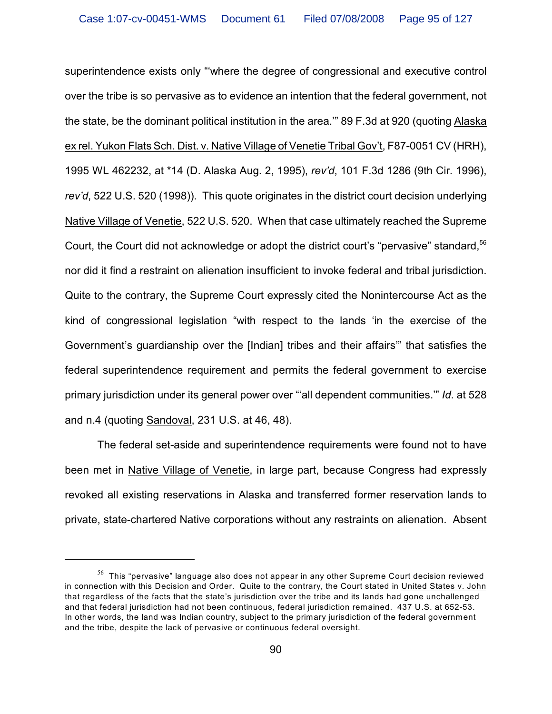superintendence exists only "'where the degree of congressional and executive control over the tribe is so pervasive as to evidence an intention that the federal government, not the state, be the dominant political institution in the area.'" 89 F.3d at 920 (quoting Alaska ex rel. Yukon Flats Sch. Dist. v. Native Village of Venetie Tribal Gov't, F87-0051 CV (HRH), 1995 WL 462232, at \*14 (D. Alaska Aug. 2, 1995), *rev'd*, 101 F.3d 1286 (9th Cir. 1996), *rev'd*, 522 U.S. 520 (1998)). This quote originates in the district court decision underlying Native Village of Venetie, 522 U.S. 520. When that case ultimately reached the Supreme Court, the Court did not acknowledge or adopt the district court's "pervasive" standard,<sup>56</sup> nor did it find a restraint on alienation insufficient to invoke federal and tribal jurisdiction. Quite to the contrary, the Supreme Court expressly cited the Nonintercourse Act as the kind of congressional legislation "with respect to the lands 'in the exercise of the Government's guardianship over the [Indian] tribes and their affairs'" that satisfies the federal superintendence requirement and permits the federal government to exercise primary jurisdiction under its general power over "'all dependent communities.'" *Id*. at 528 and n.4 (quoting Sandoval, 231 U.S. at 46, 48).

The federal set-aside and superintendence requirements were found not to have been met in Native Village of Venetie, in large part, because Congress had expressly revoked all existing reservations in Alaska and transferred former reservation lands to private, state-chartered Native corporations without any restraints on alienation. Absent

 $56$  This "pervasive" language also does not appear in any other Supreme Court decision reviewed in connection with this Decision and Order. Quite to the contrary, the Court stated in United States v. John that regardless of the facts that the state's jurisdiction over the tribe and its lands had gone unchallenged and that federal jurisdiction had not been continuous, federal jurisdiction remained. 437 U.S. at 652-53. In other words, the land was Indian country, subject to the primary jurisdiction of the federal government and the tribe, despite the lack of pervasive or continuous federal oversight.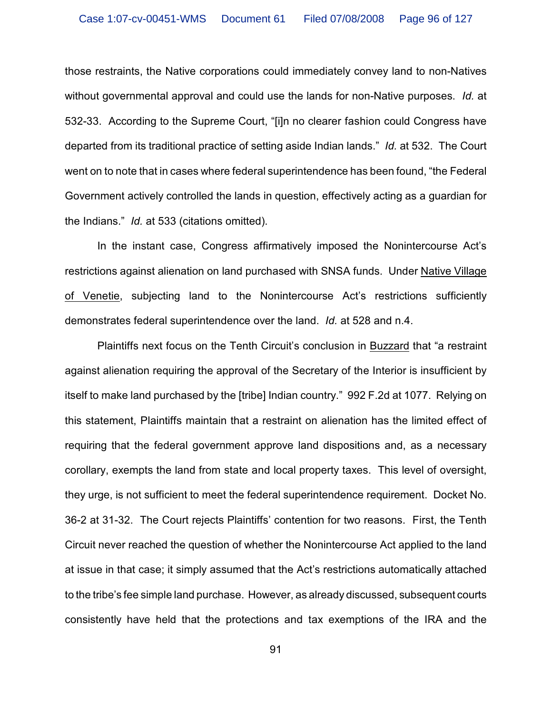those restraints, the Native corporations could immediately convey land to non-Natives without governmental approval and could use the lands for non-Native purposes. *Id.* at 532-33. According to the Supreme Court, "[i]n no clearer fashion could Congress have departed from its traditional practice of setting aside Indian lands." *Id.* at 532. The Court went on to note that in cases where federal superintendence has been found, "the Federal Government actively controlled the lands in question, effectively acting as a guardian for the Indians." *Id.* at 533 (citations omitted).

In the instant case, Congress affirmatively imposed the Nonintercourse Act's restrictions against alienation on land purchased with SNSA funds. Under Native Village of Venetie, subjecting land to the Nonintercourse Act's restrictions sufficiently demonstrates federal superintendence over the land. *Id.* at 528 and n.4.

Plaintiffs next focus on the Tenth Circuit's conclusion in Buzzard that "a restraint against alienation requiring the approval of the Secretary of the Interior is insufficient by itself to make land purchased by the [tribe] Indian country." 992 F.2d at 1077. Relying on this statement, Plaintiffs maintain that a restraint on alienation has the limited effect of requiring that the federal government approve land dispositions and, as a necessary corollary, exempts the land from state and local property taxes. This level of oversight, they urge, is not sufficient to meet the federal superintendence requirement. Docket No. 36-2 at 31-32. The Court rejects Plaintiffs' contention for two reasons. First, the Tenth Circuit never reached the question of whether the Nonintercourse Act applied to the land at issue in that case; it simply assumed that the Act's restrictions automatically attached to the tribe's fee simple land purchase. However, as already discussed, subsequent courts consistently have held that the protections and tax exemptions of the IRA and the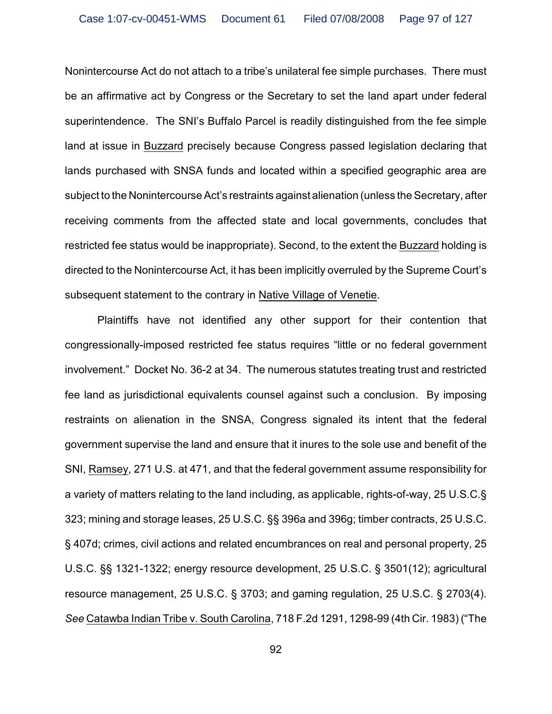Nonintercourse Act do not attach to a tribe's unilateral fee simple purchases. There must be an affirmative act by Congress or the Secretary to set the land apart under federal superintendence. The SNI's Buffalo Parcel is readily distinguished from the fee simple land at issue in Buzzard precisely because Congress passed legislation declaring that lands purchased with SNSA funds and located within a specified geographic area are subject to the Nonintercourse Act's restraints against alienation (unless the Secretary, after receiving comments from the affected state and local governments, concludes that restricted fee status would be inappropriate). Second, to the extent the Buzzard holding is directed to the Nonintercourse Act, it has been implicitly overruled by the Supreme Court's subsequent statement to the contrary in Native Village of Venetie.

Plaintiffs have not identified any other support for their contention that congressionally-imposed restricted fee status requires "little or no federal government involvement." Docket No. 36-2 at 34. The numerous statutes treating trust and restricted fee land as jurisdictional equivalents counsel against such a conclusion. By imposing restraints on alienation in the SNSA, Congress signaled its intent that the federal government supervise the land and ensure that it inures to the sole use and benefit of the SNI, Ramsey, 271 U.S. at 471, and that the federal government assume responsibility for a variety of matters relating to the land including, as applicable, rights-of-way, 25 U.S.C.§ 323; mining and storage leases, 25 U.S.C. §§ 396a and 396g; timber contracts, 25 U.S.C. § 407d; crimes, civil actions and related encumbrances on real and personal property, 25 U.S.C. §§ 1321-1322; energy resource development, 25 U.S.C. § 3501(12); agricultural resource management, 25 U.S.C. § 3703; and gaming regulation, 25 U.S.C. § 2703(4). *See* Catawba Indian Tribe v. South Carolina, 718 F.2d 1291, 1298-99 (4th Cir. 1983) ("The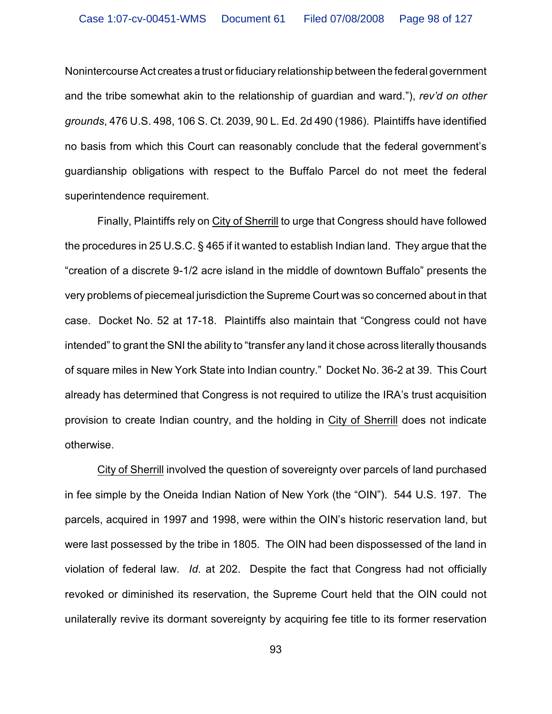Nonintercourse Act creates a trust or fiduciary relationship between the federal government and the tribe somewhat akin to the relationship of guardian and ward."), *rev'd on other grounds*, 476 U.S. 498, 106 S. Ct. 2039, 90 L. Ed. 2d 490 (1986). Plaintiffs have identified no basis from which this Court can reasonably conclude that the federal government's guardianship obligations with respect to the Buffalo Parcel do not meet the federal superintendence requirement.

Finally, Plaintiffs rely on City of Sherrill to urge that Congress should have followed the procedures in 25 U.S.C. § 465 if it wanted to establish Indian land. They argue that the "creation of a discrete 9-1/2 acre island in the middle of downtown Buffalo" presents the very problems of piecemeal jurisdiction the Supreme Court was so concerned about in that case. Docket No. 52 at 17-18. Plaintiffs also maintain that "Congress could not have intended" to grant the SNI the ability to "transfer any land it chose across literally thousands of square miles in New York State into Indian country." Docket No. 36-2 at 39. This Court already has determined that Congress is not required to utilize the IRA's trust acquisition provision to create Indian country, and the holding in City of Sherrill does not indicate otherwise.

City of Sherrill involved the question of sovereignty over parcels of land purchased in fee simple by the Oneida Indian Nation of New York (the "OIN"). 544 U.S. 197. The parcels, acquired in 1997 and 1998, were within the OIN's historic reservation land, but were last possessed by the tribe in 1805. The OIN had been dispossessed of the land in violation of federal law. *Id.* at 202. Despite the fact that Congress had not officially revoked or diminished its reservation, the Supreme Court held that the OIN could not unilaterally revive its dormant sovereignty by acquiring fee title to its former reservation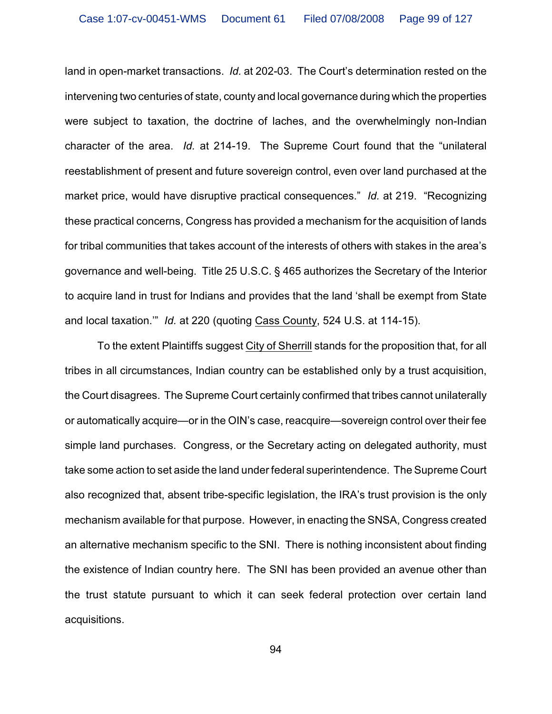land in open-market transactions. *Id.* at 202-03. The Court's determination rested on the intervening two centuries of state, county and local governance during which the properties were subject to taxation, the doctrine of laches, and the overwhelmingly non-Indian character of the area. *Id.* at 214-19. The Supreme Court found that the "unilateral reestablishment of present and future sovereign control, even over land purchased at the market price, would have disruptive practical consequences." *Id.* at 219. "Recognizing these practical concerns, Congress has provided a mechanism for the acquisition of lands for tribal communities that takes account of the interests of others with stakes in the area's governance and well-being. Title 25 U.S.C. § 465 authorizes the Secretary of the Interior to acquire land in trust for Indians and provides that the land 'shall be exempt from State and local taxation.'" *Id.* at 220 (quoting Cass County, 524 U.S. at 114-15).

To the extent Plaintiffs suggest City of Sherrill stands for the proposition that, for all tribes in all circumstances, Indian country can be established only by a trust acquisition, the Court disagrees. The Supreme Court certainly confirmed that tribes cannot unilaterally or automatically acquire—or in the OIN's case, reacquire—sovereign control over their fee simple land purchases. Congress, or the Secretary acting on delegated authority, must take some action to set aside the land under federal superintendence. The Supreme Court also recognized that, absent tribe-specific legislation, the IRA's trust provision is the only mechanism available for that purpose. However, in enacting the SNSA, Congress created an alternative mechanism specific to the SNI. There is nothing inconsistent about finding the existence of Indian country here. The SNI has been provided an avenue other than the trust statute pursuant to which it can seek federal protection over certain land acquisitions.

94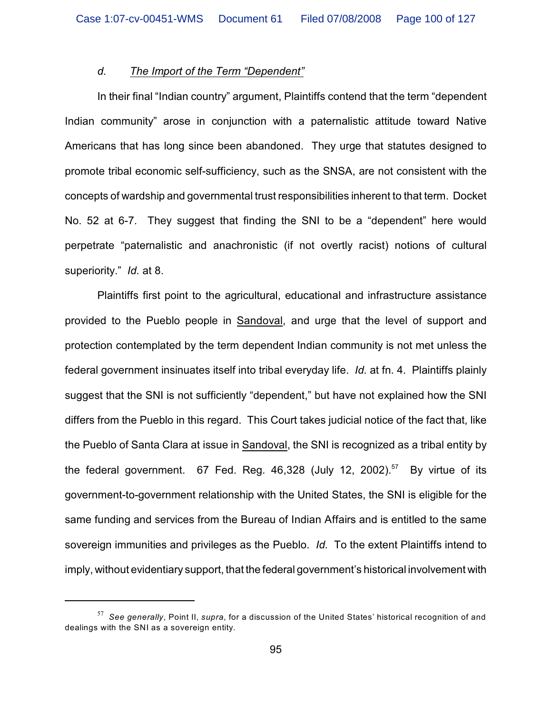### *d. The Import of the Term "Dependent"*

In their final "Indian country" argument, Plaintiffs contend that the term "dependent Indian community" arose in conjunction with a paternalistic attitude toward Native Americans that has long since been abandoned. They urge that statutes designed to promote tribal economic self-sufficiency, such as the SNSA, are not consistent with the concepts of wardship and governmental trust responsibilities inherent to that term. Docket No. 52 at 6-7. They suggest that finding the SNI to be a "dependent" here would perpetrate "paternalistic and anachronistic (if not overtly racist) notions of cultural superiority." *Id.* at 8.

Plaintiffs first point to the agricultural, educational and infrastructure assistance provided to the Pueblo people in Sandoval, and urge that the level of support and protection contemplated by the term dependent Indian community is not met unless the federal government insinuates itself into tribal everyday life. *Id.* at fn. 4. Plaintiffs plainly suggest that the SNI is not sufficiently "dependent," but have not explained how the SNI differs from the Pueblo in this regard. This Court takes judicial notice of the fact that, like the Pueblo of Santa Clara at issue in Sandoval, the SNI is recognized as a tribal entity by the federal government. 67 Fed. Reg. 46,328 (July 12, 2002).<sup>57</sup> By virtue of its government-to-government relationship with the United States, the SNI is eligible for the same funding and services from the Bureau of Indian Affairs and is entitled to the same sovereign immunities and privileges as the Pueblo. *Id.* To the extent Plaintiffs intend to imply, without evidentiary support, that the federal government's historical involvement with

*See generally*, Point II, *supra*, for a discussion of the United States' historical recognition of and <sup>57</sup> dealings with the SNI as a sovereign entity.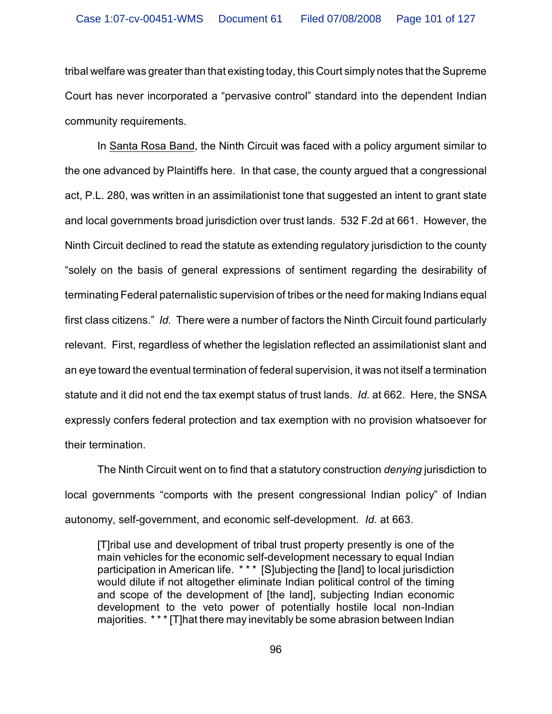tribal welfare was greater than that existing today, this Court simply notes that the Supreme Court has never incorporated a "pervasive control" standard into the dependent Indian community requirements.

In Santa Rosa Band, the Ninth Circuit was faced with a policy argument similar to the one advanced by Plaintiffs here. In that case, the county argued that a congressional act, P.L. 280, was written in an assimilationist tone that suggested an intent to grant state and local governments broad jurisdiction over trust lands. 532 F.2d at 661. However, the Ninth Circuit declined to read the statute as extending regulatory jurisdiction to the county "solely on the basis of general expressions of sentiment regarding the desirability of terminating Federal paternalistic supervision of tribes or the need for making Indians equal first class citizens." *Id.* There were a number of factors the Ninth Circuit found particularly relevant. First, regardless of whether the legislation reflected an assimilationist slant and an eye toward the eventual termination of federal supervision, it was not itself a termination statute and it did not end the tax exempt status of trust lands. *Id.* at 662. Here, the SNSA expressly confers federal protection and tax exemption with no provision whatsoever for their termination.

The Ninth Circuit went on to find that a statutory construction *denying* jurisdiction to local governments "comports with the present congressional Indian policy" of Indian autonomy, self-government, and economic self-development. *Id.* at 663.

[T]ribal use and development of tribal trust property presently is one of the main vehicles for the economic self-development necessary to equal Indian participation in American life. \* \* \* [S]ubjecting the [land] to local jurisdiction would dilute if not altogether eliminate Indian political control of the timing and scope of the development of [the land], subjecting Indian economic development to the veto power of potentially hostile local non-Indian majorities. \* \* \* [T]hat there may inevitably be some abrasion between Indian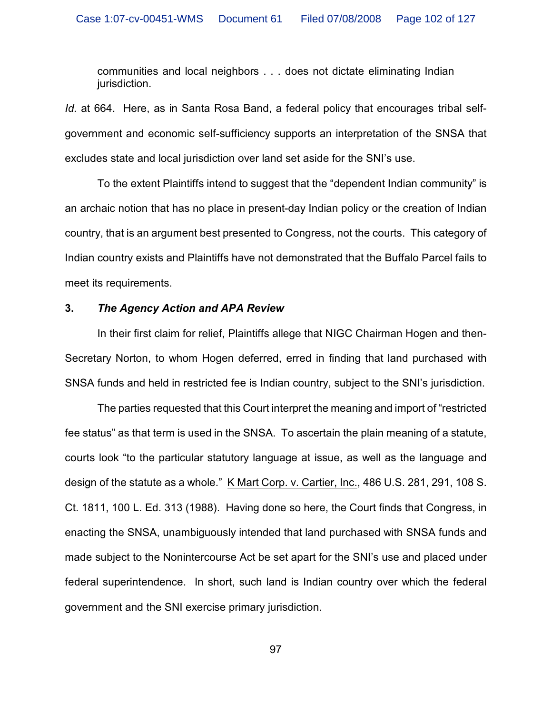communities and local neighbors . . . does not dictate eliminating Indian jurisdiction.

*Id.* at 664. Here, as in Santa Rosa Band, a federal policy that encourages tribal selfgovernment and economic self-sufficiency supports an interpretation of the SNSA that excludes state and local jurisdiction over land set aside for the SNI's use.

To the extent Plaintiffs intend to suggest that the "dependent Indian community" is an archaic notion that has no place in present-day Indian policy or the creation of Indian country, that is an argument best presented to Congress, not the courts. This category of Indian country exists and Plaintiffs have not demonstrated that the Buffalo Parcel fails to meet its requirements.

## **3.** *The Agency Action and APA Review*

In their first claim for relief, Plaintiffs allege that NIGC Chairman Hogen and then-Secretary Norton, to whom Hogen deferred, erred in finding that land purchased with SNSA funds and held in restricted fee is Indian country, subject to the SNI's jurisdiction.

The parties requested that this Court interpret the meaning and import of "restricted fee status" as that term is used in the SNSA. To ascertain the plain meaning of a statute, courts look "to the particular statutory language at issue, as well as the language and design of the statute as a whole." K Mart Corp. v. Cartier, Inc., 486 U.S. 281, 291, 108 S. Ct. 1811, 100 L. Ed. 313 (1988). Having done so here, the Court finds that Congress, in enacting the SNSA, unambiguously intended that land purchased with SNSA funds and made subject to the Nonintercourse Act be set apart for the SNI's use and placed under federal superintendence. In short, such land is Indian country over which the federal government and the SNI exercise primary jurisdiction.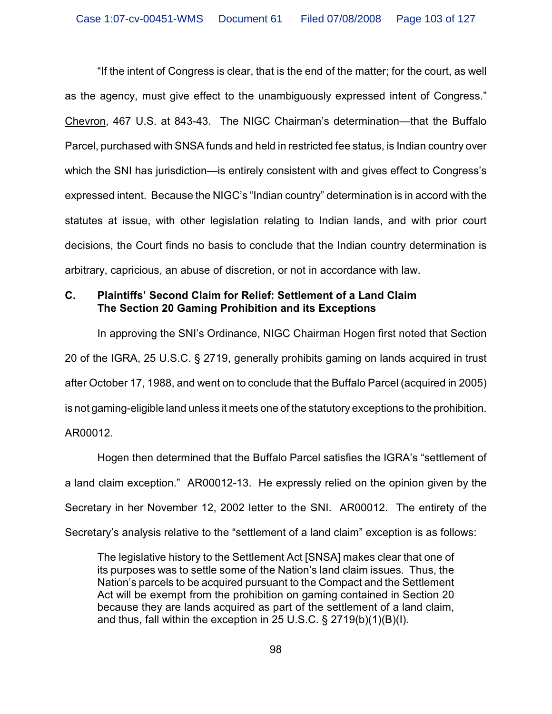"If the intent of Congress is clear, that is the end of the matter; for the court, as well as the agency, must give effect to the unambiguously expressed intent of Congress." Chevron, 467 U.S. at 843-43. The NIGC Chairman's determination—that the Buffalo Parcel, purchased with SNSA funds and held in restricted fee status, is Indian country over which the SNI has jurisdiction—is entirely consistent with and gives effect to Congress's expressed intent. Because the NIGC's "Indian country" determination is in accord with the statutes at issue, with other legislation relating to Indian lands, and with prior court decisions, the Court finds no basis to conclude that the Indian country determination is arbitrary, capricious, an abuse of discretion, or not in accordance with law.

## **C. Plaintiffs' Second Claim for Relief: Settlement of a Land Claim The Section 20 Gaming Prohibition and its Exceptions**

In approving the SNI's Ordinance, NIGC Chairman Hogen first noted that Section 20 of the IGRA, 25 U.S.C. § 2719, generally prohibits gaming on lands acquired in trust after October 17, 1988, and went on to conclude that the Buffalo Parcel (acquired in 2005) is not gaming-eligible land unless it meets one of the statutory exceptions to the prohibition. AR00012.

Hogen then determined that the Buffalo Parcel satisfies the IGRA's "settlement of a land claim exception." AR00012-13. He expressly relied on the opinion given by the Secretary in her November 12, 2002 letter to the SNI. AR00012. The entirety of the Secretary's analysis relative to the "settlement of a land claim" exception is as follows:

The legislative history to the Settlement Act [SNSA] makes clear that one of its purposes was to settle some of the Nation's land claim issues. Thus, the Nation's parcels to be acquired pursuant to the Compact and the Settlement Act will be exempt from the prohibition on gaming contained in Section 20 because they are lands acquired as part of the settlement of a land claim, and thus, fall within the exception in 25 U.S.C. § 2719(b)(1)(B)(I).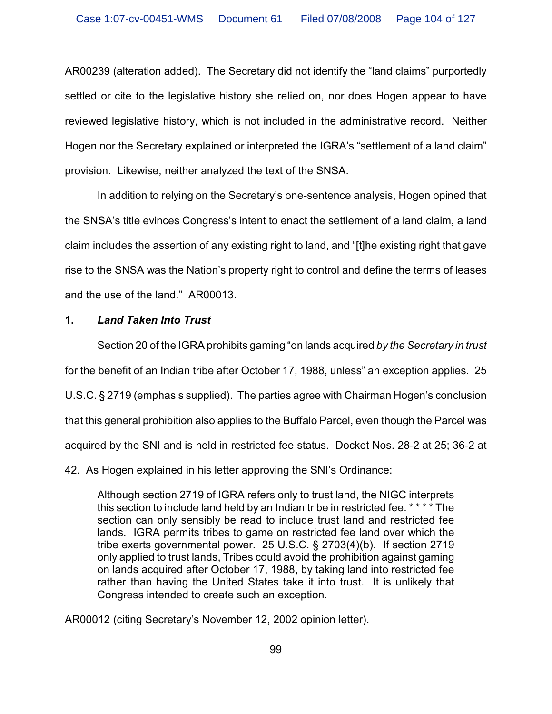AR00239 (alteration added). The Secretary did not identify the "land claims" purportedly settled or cite to the legislative history she relied on, nor does Hogen appear to have reviewed legislative history, which is not included in the administrative record. Neither Hogen nor the Secretary explained or interpreted the IGRA's "settlement of a land claim" provision. Likewise, neither analyzed the text of the SNSA.

In addition to relying on the Secretary's one-sentence analysis, Hogen opined that the SNSA's title evinces Congress's intent to enact the settlement of a land claim, a land claim includes the assertion of any existing right to land, and "[t]he existing right that gave rise to the SNSA was the Nation's property right to control and define the terms of leases and the use of the land." AR00013.

# **1.** *Land Taken Into Trust*

Section 20 of the IGRA prohibits gaming "on lands acquired *by the Secretary in trust* for the benefit of an Indian tribe after October 17, 1988, unless" an exception applies. 25 U.S.C. § 2719 (emphasis supplied). The parties agree with Chairman Hogen's conclusion that this general prohibition also applies to the Buffalo Parcel, even though the Parcel was acquired by the SNI and is held in restricted fee status. Docket Nos. 28-2 at 25; 36-2 at

42. As Hogen explained in his letter approving the SNI's Ordinance:

Although section 2719 of IGRA refers only to trust land, the NIGC interprets this section to include land held by an Indian tribe in restricted fee. \* \* \* \* The section can only sensibly be read to include trust land and restricted fee lands. IGRA permits tribes to game on restricted fee land over which the tribe exerts governmental power. 25 U.S.C. § 2703(4)(b). If section 2719 only applied to trust lands, Tribes could avoid the prohibition against gaming on lands acquired after October 17, 1988, by taking land into restricted fee rather than having the United States take it into trust. It is unlikely that Congress intended to create such an exception.

AR00012 (citing Secretary's November 12, 2002 opinion letter).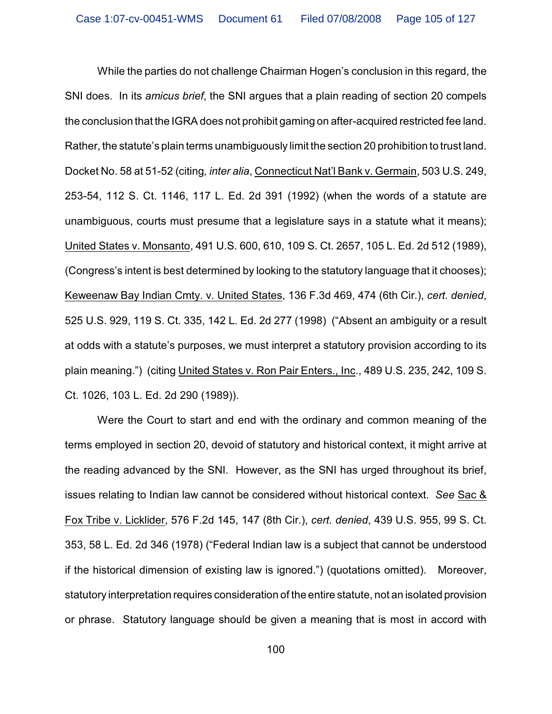While the parties do not challenge Chairman Hogen's conclusion in this regard, the SNI does. In its *amicus brief*, the SNI argues that a plain reading of section 20 compels the conclusion that the IGRA does not prohibit gaming on after-acquired restricted fee land. Rather, the statute's plain terms unambiguously limit the section 20 prohibition to trust land. Docket No. 58 at 51-52 (citing*, inter alia*, Connecticut Nat'l Bank v. Germain, 503 U.S. 249, 253-54, 112 S. Ct. 1146, 117 L. Ed. 2d 391 (1992) (when the words of a statute are unambiguous, courts must presume that a legislature says in a statute what it means); United States v. Monsanto, 491 U.S. 600, 610, 109 S. Ct. 2657, 105 L. Ed. 2d 512 (1989), (Congress's intent is best determined by looking to the statutory language that it chooses); Keweenaw Bay Indian Cmty. v. United States, 136 F.3d 469, 474 (6th Cir.), *cert. denied*, 525 U.S. 929, 119 S. Ct. 335, 142 L. Ed. 2d 277 (1998) ("Absent an ambiguity or a result at odds with a statute's purposes, we must interpret a statutory provision according to its plain meaning.") (citing United States v. Ron Pair Enters., Inc., 489 U.S. 235, 242, 109 S. Ct. 1026, 103 L. Ed. 2d 290 (1989)).

Were the Court to start and end with the ordinary and common meaning of the terms employed in section 20, devoid of statutory and historical context, it might arrive at the reading advanced by the SNI. However, as the SNI has urged throughout its brief, issues relating to Indian law cannot be considered without historical context. *See* Sac & Fox Tribe v. Licklider, 576 F.2d 145, 147 (8th Cir.), *cert. denied*, 439 U.S. 955, 99 S. Ct. 353, 58 L. Ed. 2d 346 (1978) ("Federal Indian law is a subject that cannot be understood if the historical dimension of existing law is ignored.") (quotations omitted). Moreover, statutory interpretation requires consideration of the entire statute, not an isolated provision or phrase. Statutory language should be given a meaning that is most in accord with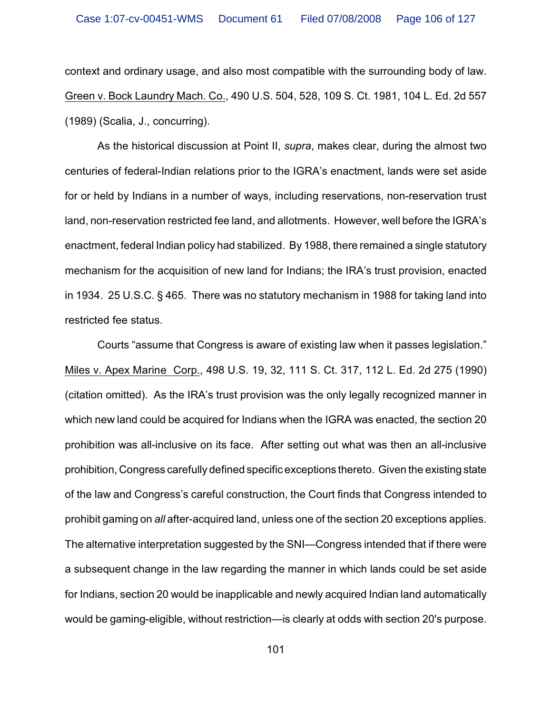context and ordinary usage, and also most compatible with the surrounding body of law. Green v. Bock Laundry Mach. Co., 490 U.S. 504, 528, 109 S. Ct. 1981, 104 L. Ed. 2d 557 (1989) (Scalia, J., concurring).

As the historical discussion at Point II, *supra*, makes clear, during the almost two centuries of federal-Indian relations prior to the IGRA's enactment, lands were set aside for or held by Indians in a number of ways, including reservations, non-reservation trust land, non-reservation restricted fee land, and allotments. However, well before the IGRA's enactment, federal Indian policy had stabilized. By 1988, there remained a single statutory mechanism for the acquisition of new land for Indians; the IRA's trust provision, enacted in 1934. 25 U.S.C. § 465. There was no statutory mechanism in 1988 for taking land into restricted fee status.

Courts "assume that Congress is aware of existing law when it passes legislation." Miles v. Apex Marine Corp., 498 U.S. 19, 32, 111 S. Ct. 317, 112 L. Ed. 2d 275 (1990) (citation omitted). As the IRA's trust provision was the only legally recognized manner in which new land could be acquired for Indians when the IGRA was enacted, the section 20 prohibition was all-inclusive on its face. After setting out what was then an all-inclusive prohibition, Congress carefully defined specific exceptions thereto. Given the existing state of the law and Congress's careful construction, the Court finds that Congress intended to prohibit gaming on *all* after-acquired land, unless one of the section 20 exceptions applies. The alternative interpretation suggested by the SNI—Congress intended that if there were a subsequent change in the law regarding the manner in which lands could be set aside for Indians, section 20 would be inapplicable and newly acquired Indian land automatically would be gaming-eligible, without restriction—is clearly at odds with section 20's purpose.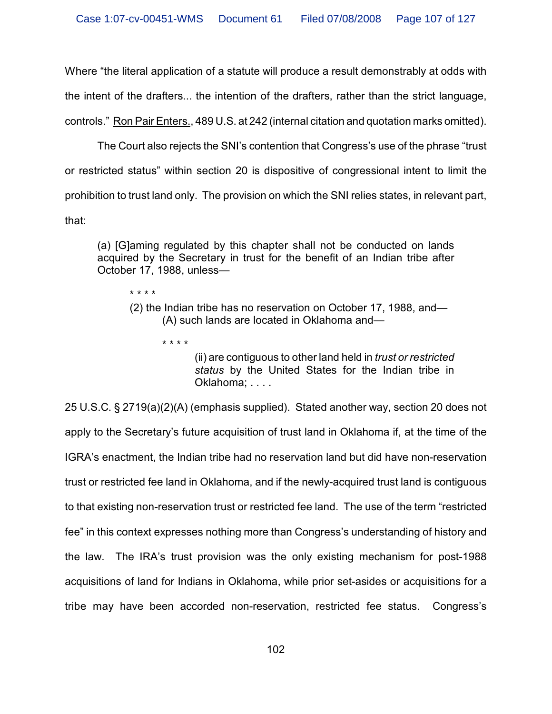Where "the literal application of a statute will produce a result demonstrably at odds with the intent of the drafters... the intention of the drafters, rather than the strict language, controls." Ron Pair Enters., 489 U.S. at 242 (internal citation and quotation marks omitted).

The Court also rejects the SNI's contention that Congress's use of the phrase "trust or restricted status" within section 20 is dispositive of congressional intent to limit the

prohibition to trust land only. The provision on which the SNI relies states, in relevant part,

that:

\* \* \* \*

\* \* \* \*

(a) [G]aming regulated by this chapter shall not be conducted on lands acquired by the Secretary in trust for the benefit of an Indian tribe after October 17, 1988, unless—

(2) the Indian tribe has no reservation on October 17, 1988, and— (A) such lands are located in Oklahoma and—

> (ii) are contiguous to other land held in *trust or restricted status* by the United States for the Indian tribe in Oklahoma; . . . .

25 U.S.C. § 2719(a)(2)(A) (emphasis supplied). Stated another way, section 20 does not apply to the Secretary's future acquisition of trust land in Oklahoma if, at the time of the IGRA's enactment, the Indian tribe had no reservation land but did have non-reservation trust or restricted fee land in Oklahoma, and if the newly-acquired trust land is contiguous to that existing non-reservation trust or restricted fee land. The use of the term "restricted fee" in this context expresses nothing more than Congress's understanding of history and the law. The IRA's trust provision was the only existing mechanism for post-1988 acquisitions of land for Indians in Oklahoma, while prior set-asides or acquisitions for a tribe may have been accorded non-reservation, restricted fee status. Congress's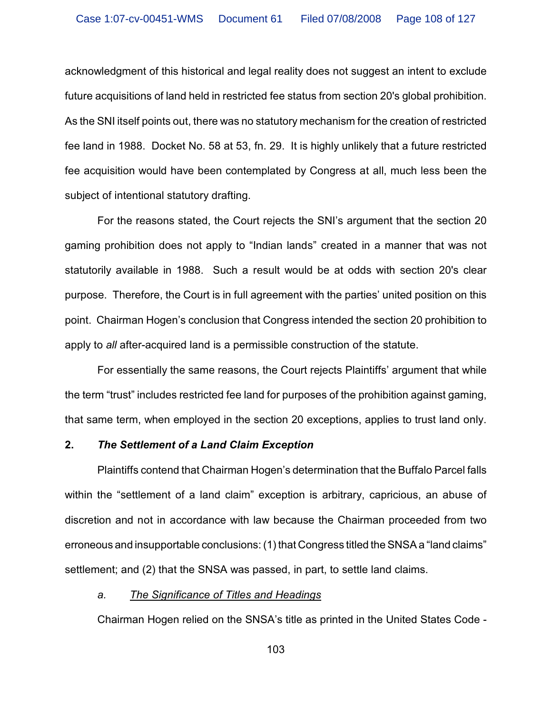acknowledgment of this historical and legal reality does not suggest an intent to exclude future acquisitions of land held in restricted fee status from section 20's global prohibition. As the SNI itself points out, there was no statutory mechanism for the creation of restricted fee land in 1988. Docket No. 58 at 53, fn. 29. It is highly unlikely that a future restricted fee acquisition would have been contemplated by Congress at all, much less been the subject of intentional statutory drafting.

For the reasons stated, the Court rejects the SNI's argument that the section 20 gaming prohibition does not apply to "Indian lands" created in a manner that was not statutorily available in 1988. Such a result would be at odds with section 20's clear purpose. Therefore, the Court is in full agreement with the parties' united position on this point. Chairman Hogen's conclusion that Congress intended the section 20 prohibition to apply to *all* after-acquired land is a permissible construction of the statute.

For essentially the same reasons, the Court rejects Plaintiffs' argument that while the term "trust" includes restricted fee land for purposes of the prohibition against gaming, that same term, when employed in the section 20 exceptions, applies to trust land only.

## **2.** *The Settlement of a Land Claim Exception*

Plaintiffs contend that Chairman Hogen's determination that the Buffalo Parcel falls within the "settlement of a land claim" exception is arbitrary, capricious, an abuse of discretion and not in accordance with law because the Chairman proceeded from two erroneous and insupportable conclusions: (1) that Congress titled the SNSA a "land claims" settlement; and (2) that the SNSA was passed, in part, to settle land claims.

## *a. The Significance of Titles and Headings*

Chairman Hogen relied on the SNSA's title as printed in the United States Code -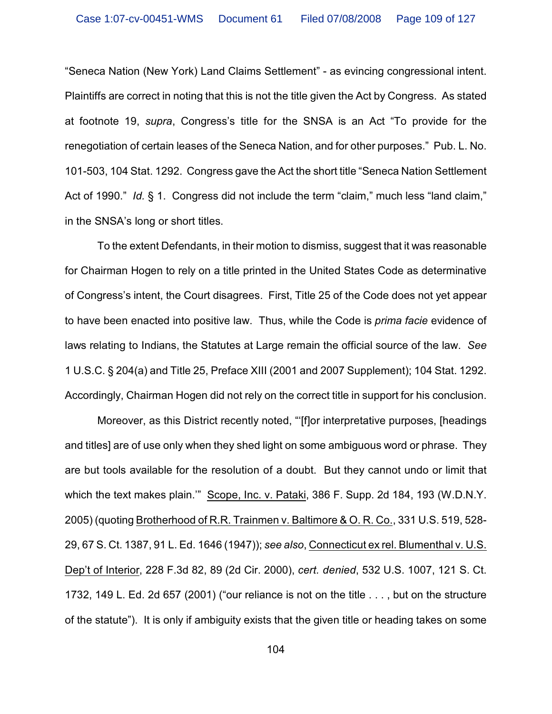"Seneca Nation (New York) Land Claims Settlement" - as evincing congressional intent. Plaintiffs are correct in noting that this is not the title given the Act by Congress. As stated at footnote 19, *supra*, Congress's title for the SNSA is an Act "To provide for the renegotiation of certain leases of the Seneca Nation, and for other purposes." Pub. L. No. 101-503, 104 Stat. 1292. Congress gave the Act the short title "Seneca Nation Settlement Act of 1990." *Id.* § 1. Congress did not include the term "claim," much less "land claim," in the SNSA's long or short titles.

To the extent Defendants, in their motion to dismiss, suggest that it was reasonable for Chairman Hogen to rely on a title printed in the United States Code as determinative of Congress's intent, the Court disagrees. First, Title 25 of the Code does not yet appear to have been enacted into positive law. Thus, while the Code is *prima facie* evidence of laws relating to Indians, the Statutes at Large remain the official source of the law. *See* 1 U.S.C. § 204(a) and Title 25, Preface XIII (2001 and 2007 Supplement); 104 Stat. 1292. Accordingly, Chairman Hogen did not rely on the correct title in support for his conclusion.

Moreover, as this District recently noted, "'[f]or interpretative purposes, [headings and titles] are of use only when they shed light on some ambiguous word or phrase. They are but tools available for the resolution of a doubt. But they cannot undo or limit that which the text makes plain.'" Scope, Inc. v. Pataki, 386 F. Supp. 2d 184, 193 (W.D.N.Y. 2005) (quoting Brotherhood of R.R. Trainmen v. Baltimore & O. R. Co., 331 U.S. 519, 528- 29, 67 S. Ct. 1387, 91 L. Ed. 1646 (1947)); *see also*, Connecticut ex rel. Blumenthal v. U.S. Dep't of Interior, 228 F.3d 82, 89 (2d Cir. 2000), *cert. denied*, 532 U.S. 1007, 121 S. Ct. 1732, 149 L. Ed. 2d 657 (2001) ("our reliance is not on the title . . . , but on the structure of the statute"). It is only if ambiguity exists that the given title or heading takes on some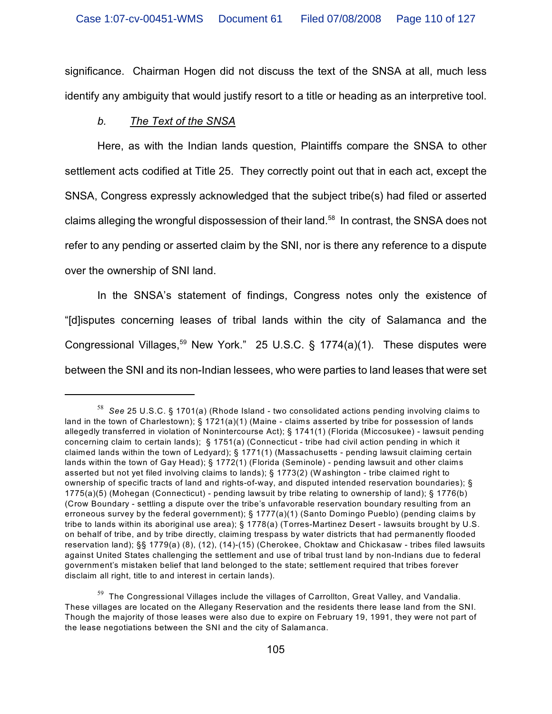significance. Chairman Hogen did not discuss the text of the SNSA at all, much less identify any ambiguity that would justify resort to a title or heading as an interpretive tool.

## *b. The Text of the SNSA*

Here, as with the Indian lands question, Plaintiffs compare the SNSA to other settlement acts codified at Title 25. They correctly point out that in each act, except the SNSA, Congress expressly acknowledged that the subject tribe(s) had filed or asserted claims alleging the wrongful dispossession of their land.<sup>58</sup> In contrast, the SNSA does not refer to any pending or asserted claim by the SNI, nor is there any reference to a dispute over the ownership of SNI land.

In the SNSA's statement of findings, Congress notes only the existence of "[d]isputes concerning leases of tribal lands within the city of Salamanca and the Congressional Villages,<sup>59</sup> New York." 25 U.S.C. § 1774(a)(1). These disputes were between the SNI and its non-Indian lessees, who were parties to land leases that were set

*See* 25 U.S.C. § 1701(a) (Rhode Island - two consolidated actions pending involving claims to <sup>58</sup> land in the town of Charlestown); § 1721(a)(1) (Maine - claims asserted by tribe for possession of lands allegedly transferred in violation of Nonintercourse Act); § 1741(1) (Florida (Miccosukee) - lawsuit pending concerning claim to certain lands); § 1751(a) (Connecticut - tribe had civil action pending in which it claimed lands within the town of Ledyard); § 1771(1) (Massachusetts - pending lawsuit claiming certain lands within the town of Gay Head); § 1772(1) (Florida (Seminole) - pending lawsuit and other claims asserted but not yet filed involving claims to lands); § 1773(2) (W ashington - tribe claimed right to ownership of specific tracts of land and rights-of-way, and disputed intended reservation boundaries); § 1775(a)(5) (Mohegan (Connecticut) - pending lawsuit by tribe relating to ownership of land); § 1776(b) (Crow Boundary - settling a dispute over the tribe's unfavorable reservation boundary resulting from an erroneous survey by the federal government); § 1777(a)(1) (Santo Domingo Pueblo) (pending claims by tribe to lands within its aboriginal use area); § 1778(a) (Torres-Martinez Desert - lawsuits brought by U.S. on behalf of tribe, and by tribe directly, claiming trespass by water districts that had permanently flooded reservation land); §§ 1779(a) (8), (12), (14)-(15) (Cherokee, Choktaw and Chickasaw - tribes filed lawsuits against United States challenging the settlement and use of tribal trust land by non-Indians due to federal government's mistaken belief that land belonged to the state; settlement required that tribes forever disclaim all right, title to and interest in certain lands).

 $^{59}$  The Congressional Villages include the villages of Carrollton, Great Valley, and Vandalia. These villages are located on the Allegany Reservation and the residents there lease land from the SNI. Though the majority of those leases were also due to expire on February 19, 1991, they were not part of the lease negotiations between the SNI and the city of Salamanca.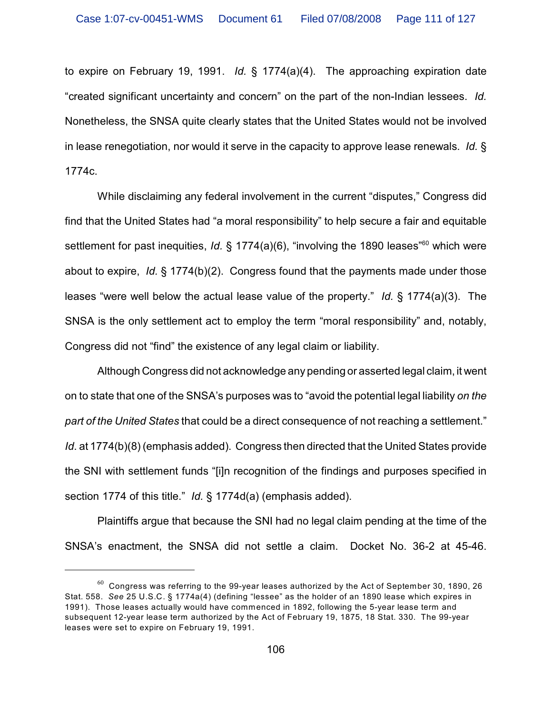to expire on February 19, 1991. *Id.* § 1774(a)(4). The approaching expiration date "created significant uncertainty and concern" on the part of the non-Indian lessees. *Id.* Nonetheless, the SNSA quite clearly states that the United States would not be involved in lease renegotiation, nor would it serve in the capacity to approve lease renewals. *Id.* § 1774c.

While disclaiming any federal involvement in the current "disputes," Congress did find that the United States had "a moral responsibility" to help secure a fair and equitable settlement for past inequities, *Id.* § 1774(a)(6), "involving the 1890 leases"<sup>60</sup> which were about to expire, *Id.* § 1774(b)(2). Congress found that the payments made under those leases "were well below the actual lease value of the property." *Id.* § 1774(a)(3). The SNSA is the only settlement act to employ the term "moral responsibility" and, notably, Congress did not "find" the existence of any legal claim or liability.

Although Congress did not acknowledge any pending or asserted legal claim, it went on to state that one of the SNSA's purposes was to "avoid the potential legal liability *on the part of the United States* that could be a direct consequence of not reaching a settlement." *Id*. at 1774(b)(8) (emphasis added). Congress then directed that the United States provide the SNI with settlement funds "[i]n recognition of the findings and purposes specified in section 1774 of this title." *Id.* § 1774d(a) (emphasis added).

Plaintiffs argue that because the SNI had no legal claim pending at the time of the SNSA's enactment, the SNSA did not settle a claim. Docket No. 36-2 at 45-46.

 $^{60}$  Congress was referring to the 99-year leases authorized by the Act of September 30, 1890, 26 Stat. 558. *See* 25 U.S.C. § 1774a(4) (defining "lessee" as the holder of an 1890 lease which expires in 1991). Those leases actually would have commenced in 1892, following the 5-year lease term and subsequent 12-year lease term authorized by the Act of February 19, 1875, 18 Stat. 330. The 99-year leases were set to expire on February 19, 1991.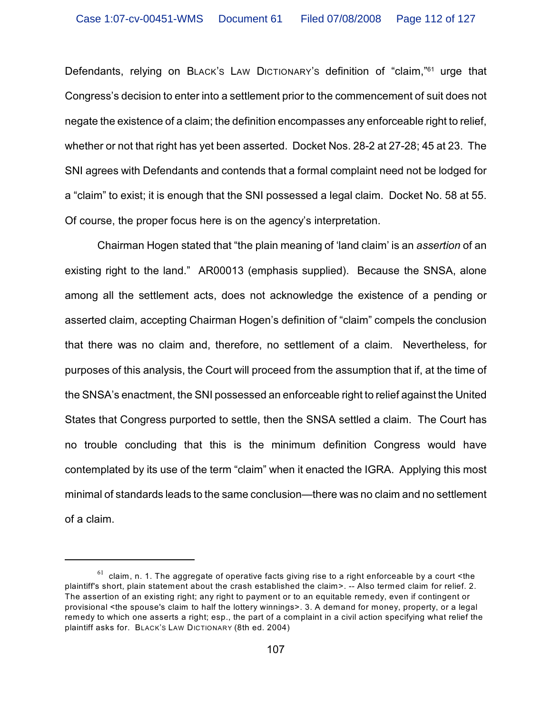Defendants, relying on BLACK's LAW DICTIONARY's definition of "claim,"<sup>61</sup> urge that Congress's decision to enter into a settlement prior to the commencement of suit does not negate the existence of a claim; the definition encompasses any enforceable right to relief, whether or not that right has yet been asserted. Docket Nos. 28-2 at 27-28; 45 at 23. The SNI agrees with Defendants and contends that a formal complaint need not be lodged for a "claim" to exist; it is enough that the SNI possessed a legal claim. Docket No. 58 at 55. Of course, the proper focus here is on the agency's interpretation.

Chairman Hogen stated that "the plain meaning of 'land claim' is an *assertion* of an existing right to the land." AR00013 (emphasis supplied). Because the SNSA, alone among all the settlement acts, does not acknowledge the existence of a pending or asserted claim, accepting Chairman Hogen's definition of "claim" compels the conclusion that there was no claim and, therefore, no settlement of a claim. Nevertheless, for purposes of this analysis, the Court will proceed from the assumption that if, at the time of the SNSA's enactment, the SNI possessed an enforceable right to relief against the United States that Congress purported to settle, then the SNSA settled a claim. The Court has no trouble concluding that this is the minimum definition Congress would have contemplated by its use of the term "claim" when it enacted the IGRA. Applying this most minimal of standards leads to the same conclusion—there was no claim and no settlement of a claim.

 $61$  claim, n. 1. The aggregate of operative facts giving rise to a right enforceable by a court <the plaintiff's short, plain statement about the crash established the claim>. -- Also termed claim for relief. 2. The assertion of an existing right; any right to payment or to an equitable remedy, even if contingent or provisional <the spouse's claim to half the lottery winnings>. 3. A demand for money, property, or a legal remedy to which one asserts a right; esp., the part of a complaint in a civil action specifying what relief the plaintiff asks for. BLACK'S LAW DICTIONARY (8th ed. 2004)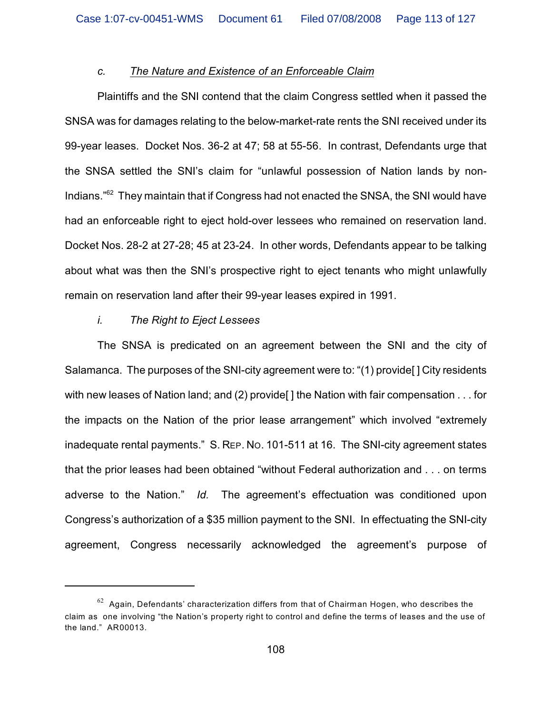## *c. The Nature and Existence of an Enforceable Claim*

Plaintiffs and the SNI contend that the claim Congress settled when it passed the SNSA was for damages relating to the below-market-rate rents the SNI received under its 99-year leases. Docket Nos. 36-2 at 47; 58 at 55-56. In contrast, Defendants urge that the SNSA settled the SNI's claim for "unlawful possession of Nation lands by non-Indians. $^{162}$  They maintain that if Congress had not enacted the SNSA, the SNI would have had an enforceable right to eject hold-over lessees who remained on reservation land. Docket Nos. 28-2 at 27-28; 45 at 23-24. In other words, Defendants appear to be talking about what was then the SNI's prospective right to eject tenants who might unlawfully remain on reservation land after their 99-year leases expired in 1991.

## *i. The Right to Eject Lessees*

The SNSA is predicated on an agreement between the SNI and the city of Salamanca. The purposes of the SNI-city agreement were to: "(1) provide [] City residents with new leases of Nation land; and (2) provide [] the Nation with fair compensation . . . for the impacts on the Nation of the prior lease arrangement" which involved "extremely inadequate rental payments." S. REP. NO. 101-511 at 16. The SNI-city agreement states that the prior leases had been obtained "without Federal authorization and . . . on terms adverse to the Nation." *Id.* The agreement's effectuation was conditioned upon Congress's authorization of a \$35 million payment to the SNI. In effectuating the SNI-city agreement, Congress necessarily acknowledged the agreement's purpose of

 $62$  Again, Defendants' characterization differs from that of Chairman Hogen, who describes the claim as one involving "the Nation's property right to control and define the terms of leases and the use of the land." AR00013.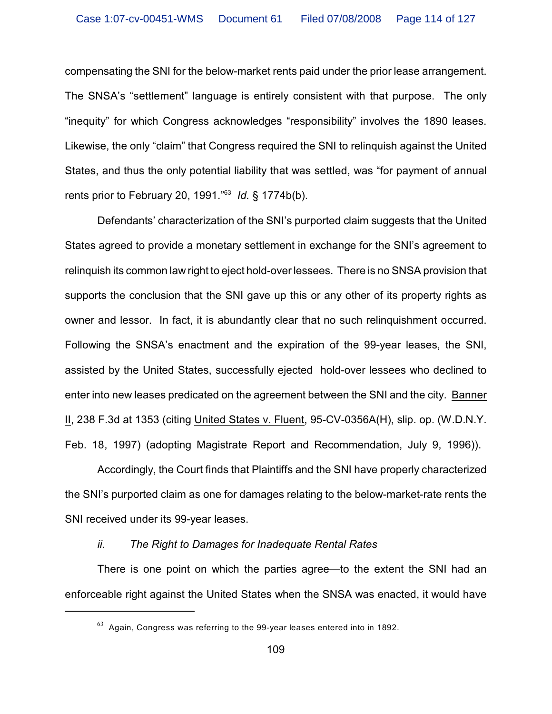compensating the SNI for the below-market rents paid under the prior lease arrangement. The SNSA's "settlement" language is entirely consistent with that purpose. The only "inequity" for which Congress acknowledges "responsibility" involves the 1890 leases. Likewise, the only "claim" that Congress required the SNI to relinquish against the United States, and thus the only potential liability that was settled, was "for payment of annual rents prior to February 20, 1991."<sup>63</sup> *Id.* § 1774b(b).

Defendants' characterization of the SNI's purported claim suggests that the United States agreed to provide a monetary settlement in exchange for the SNI's agreement to relinquish its common law right to eject hold-over lessees. There is no SNSA provision that supports the conclusion that the SNI gave up this or any other of its property rights as owner and lessor. In fact, it is abundantly clear that no such relinquishment occurred. Following the SNSA's enactment and the expiration of the 99-year leases, the SNI, assisted by the United States, successfully ejected hold-over lessees who declined to enter into new leases predicated on the agreement between the SNI and the city. Banner II, 238 F.3d at 1353 (citing United States v. Fluent, 95-CV-0356A(H), slip. op. (W.D.N.Y. Feb. 18, 1997) (adopting Magistrate Report and Recommendation, July 9, 1996)).

Accordingly, the Court finds that Plaintiffs and the SNI have properly characterized the SNI's purported claim as one for damages relating to the below-market-rate rents the SNI received under its 99-year leases.

## *ii. The Right to Damages for Inadequate Rental Rates*

There is one point on which the parties agree—to the extent the SNI had an enforceable right against the United States when the SNSA was enacted, it would have

 $63$  Again, Congress was referring to the 99-year leases entered into in 1892.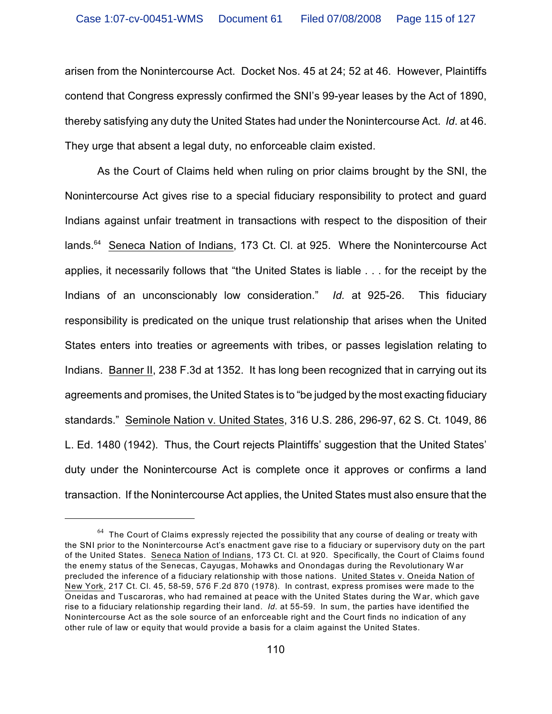arisen from the Nonintercourse Act. Docket Nos. 45 at 24; 52 at 46. However, Plaintiffs contend that Congress expressly confirmed the SNI's 99-year leases by the Act of 1890, thereby satisfying any duty the United States had under the Nonintercourse Act. *Id*. at 46. They urge that absent a legal duty, no enforceable claim existed.

As the Court of Claims held when ruling on prior claims brought by the SNI, the Nonintercourse Act gives rise to a special fiduciary responsibility to protect and guard Indians against unfair treatment in transactions with respect to the disposition of their lands. $64$  Seneca Nation of Indians, 173 Ct. Cl. at 925. Where the Nonintercourse Act applies, it necessarily follows that "the United States is liable . . . for the receipt by the Indians of an unconscionably low consideration." *Id.* at 925-26. This fiduciary responsibility is predicated on the unique trust relationship that arises when the United States enters into treaties or agreements with tribes, or passes legislation relating to Indians. Banner II, 238 F.3d at 1352. It has long been recognized that in carrying out its agreements and promises, the United States is to "be judged by the most exacting fiduciary standards." Seminole Nation v. United States, 316 U.S. 286, 296-97, 62 S. Ct. 1049, 86 L. Ed. 1480 (1942). Thus, the Court rejects Plaintiffs' suggestion that the United States' duty under the Nonintercourse Act is complete once it approves or confirms a land transaction. If the Nonintercourse Act applies, the United States must also ensure that the

 $64$  The Court of Claims expressly rejected the possibility that any course of dealing or treaty with the SNI prior to the Nonintercourse Act's enactment gave rise to a fiduciary or supervisory duty on the part of the United States. Seneca Nation of Indians, 173 Ct. Cl. at 920. Specifically, the Court of Claims found the enemy status of the Senecas, Cayugas, Mohawks and Onondagas during the Revolutionary W ar precluded the inference of a fiduciary relationship with those nations. United States v. Oneida Nation of New York, 217 Ct. Cl. 45, 58-59, 576 F.2d 870 (1978). In contrast, express promises were made to the Oneidas and Tuscaroras, who had remained at peace with the United States during the War, which gave rise to a fiduciary relationship regarding their land. *Id.* at 55-59. In sum, the parties have identified the Nonintercourse Act as the sole source of an enforceable right and the Court finds no indication of any other rule of law or equity that would provide a basis for a claim against the United States.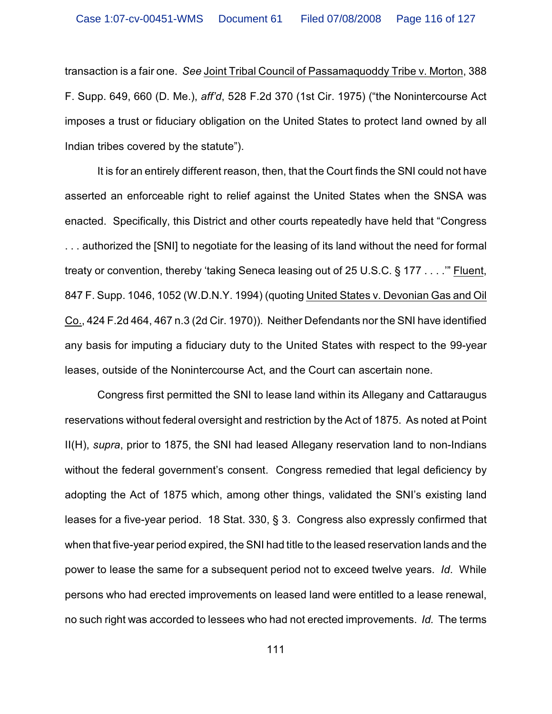transaction is a fair one. *See* Joint Tribal Council of Passamaquoddy Tribe v. Morton, 388 F. Supp. 649, 660 (D. Me.), *aff'd*, 528 F.2d 370 (1st Cir. 1975) ("the Nonintercourse Act imposes a trust or fiduciary obligation on the United States to protect land owned by all Indian tribes covered by the statute").

It is for an entirely different reason, then, that the Court finds the SNI could not have asserted an enforceable right to relief against the United States when the SNSA was enacted. Specifically, this District and other courts repeatedly have held that "Congress . . . authorized the [SNI] to negotiate for the leasing of its land without the need for formal treaty or convention, thereby 'taking Seneca leasing out of 25 U.S.C. § 177 . . . .'" Fluent, 847 F. Supp. 1046, 1052 (W.D.N.Y. 1994) (quoting United States v. Devonian Gas and Oil Co., 424 F.2d 464, 467 n.3 (2d Cir. 1970)). Neither Defendants nor the SNI have identified any basis for imputing a fiduciary duty to the United States with respect to the 99-year leases, outside of the Nonintercourse Act, and the Court can ascertain none.

Congress first permitted the SNI to lease land within its Allegany and Cattaraugus reservations without federal oversight and restriction by the Act of 1875. As noted at Point II(H), *supra*, prior to 1875, the SNI had leased Allegany reservation land to non-Indians without the federal government's consent. Congress remedied that legal deficiency by adopting the Act of 1875 which, among other things, validated the SNI's existing land leases for a five-year period. 18 Stat. 330, § 3. Congress also expressly confirmed that when that five-year period expired, the SNI had title to the leased reservation lands and the power to lease the same for a subsequent period not to exceed twelve years. *Id*. While persons who had erected improvements on leased land were entitled to a lease renewal, no such right was accorded to lessees who had not erected improvements. *Id.* The terms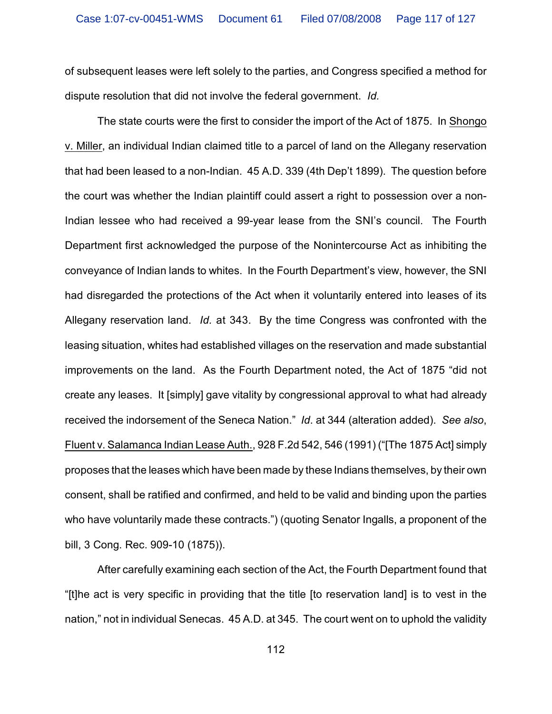of subsequent leases were left solely to the parties, and Congress specified a method for dispute resolution that did not involve the federal government. *Id.*

The state courts were the first to consider the import of the Act of 1875. In Shongo v. Miller, an individual Indian claimed title to a parcel of land on the Allegany reservation that had been leased to a non-Indian. 45 A.D. 339 (4th Dep't 1899). The question before the court was whether the Indian plaintiff could assert a right to possession over a non-Indian lessee who had received a 99-year lease from the SNI's council. The Fourth Department first acknowledged the purpose of the Nonintercourse Act as inhibiting the conveyance of Indian lands to whites. In the Fourth Department's view, however, the SNI had disregarded the protections of the Act when it voluntarily entered into leases of its Allegany reservation land. *Id.* at 343. By the time Congress was confronted with the leasing situation, whites had established villages on the reservation and made substantial improvements on the land. As the Fourth Department noted, the Act of 1875 "did not create any leases. It [simply] gave vitality by congressional approval to what had already received the indorsement of the Seneca Nation." *Id*. at 344 (alteration added). *See also*, Fluent v. Salamanca Indian Lease Auth., 928 F.2d 542, 546 (1991) ("[The 1875 Act] simply proposes that the leases which have been made by these Indians themselves, by their own consent, shall be ratified and confirmed, and held to be valid and binding upon the parties who have voluntarily made these contracts.") (quoting Senator Ingalls, a proponent of the bill, 3 Cong. Rec. 909-10 (1875)).

After carefully examining each section of the Act, the Fourth Department found that "[t]he act is very specific in providing that the title [to reservation land] is to vest in the nation," not in individual Senecas. 45 A.D. at 345. The court went on to uphold the validity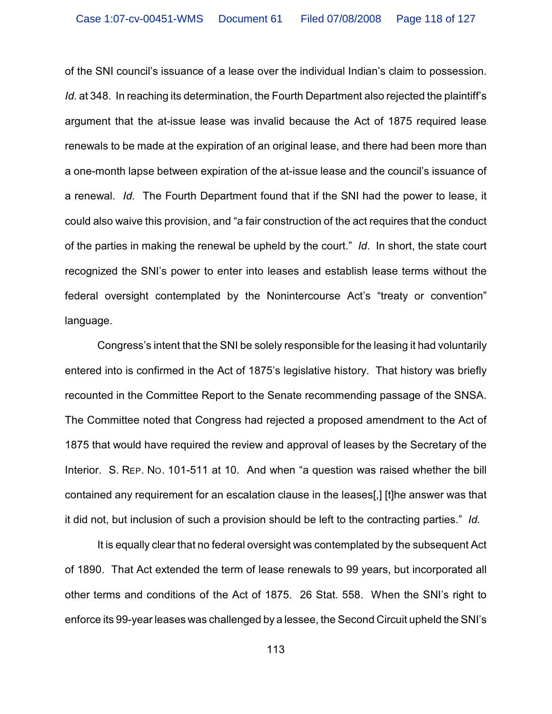of the SNI council's issuance of a lease over the individual Indian's claim to possession. *Id.* at 348. In reaching its determination, the Fourth Department also rejected the plaintiff's argument that the at-issue lease was invalid because the Act of 1875 required lease renewals to be made at the expiration of an original lease, and there had been more than a one-month lapse between expiration of the at-issue lease and the council's issuance of a renewal. *Id.* The Fourth Department found that if the SNI had the power to lease, it could also waive this provision, and "a fair construction of the act requires that the conduct of the parties in making the renewal be upheld by the court." *Id*. In short, the state court recognized the SNI's power to enter into leases and establish lease terms without the federal oversight contemplated by the Nonintercourse Act's "treaty or convention" language.

Congress's intent that the SNI be solely responsible for the leasing it had voluntarily entered into is confirmed in the Act of 1875's legislative history. That history was briefly recounted in the Committee Report to the Senate recommending passage of the SNSA. The Committee noted that Congress had rejected a proposed amendment to the Act of 1875 that would have required the review and approval of leases by the Secretary of the Interior. S. REP. NO. 101-511 at 10. And when "a question was raised whether the bill contained any requirement for an escalation clause in the leases[,] [t]he answer was that it did not, but inclusion of such a provision should be left to the contracting parties." *Id.*

It is equally clear that no federal oversight was contemplated by the subsequent Act of 1890. That Act extended the term of lease renewals to 99 years, but incorporated all other terms and conditions of the Act of 1875. 26 Stat. 558. When the SNI's right to enforce its 99-year leases was challenged by a lessee, the Second Circuit upheld the SNI's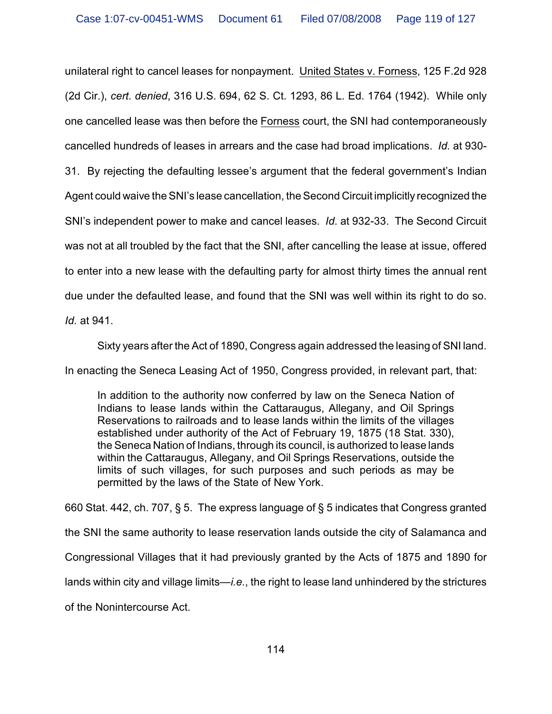unilateral right to cancel leases for nonpayment. United States v. Forness, 125 F.2d 928 (2d Cir.), *cert. denied*, 316 U.S. 694, 62 S. Ct. 1293, 86 L. Ed. 1764 (1942). While only one cancelled lease was then before the Forness court, the SNI had contemporaneously cancelled hundreds of leases in arrears and the case had broad implications. *Id.* at 930- 31. By rejecting the defaulting lessee's argument that the federal government's Indian Agent could waive the SNI's lease cancellation, the Second Circuit implicitly recognized the SNI's independent power to make and cancel leases. *Id*. at 932-33. The Second Circuit was not at all troubled by the fact that the SNI, after cancelling the lease at issue, offered to enter into a new lease with the defaulting party for almost thirty times the annual rent due under the defaulted lease, and found that the SNI was well within its right to do so. *Id.* at 941.

Sixty years after the Act of 1890, Congress again addressed the leasing of SNI land.

In enacting the Seneca Leasing Act of 1950, Congress provided, in relevant part, that:

In addition to the authority now conferred by law on the Seneca Nation of Indians to lease lands within the Cattaraugus, Allegany, and Oil Springs Reservations to railroads and to lease lands within the limits of the villages established under authority of the Act of February 19, 1875 (18 Stat. 330), the Seneca Nation of Indians, through its council, is authorized to lease lands within the Cattaraugus, Allegany, and Oil Springs Reservations, outside the limits of such villages, for such purposes and such periods as may be permitted by the laws of the State of New York.

660 Stat. 442, ch. 707, § 5. The express language of § 5 indicates that Congress granted the SNI the same authority to lease reservation lands outside the city of Salamanca and Congressional Villages that it had previously granted by the Acts of 1875 and 1890 for lands within city and village limits—*i.e.*, the right to lease land unhindered by the strictures

of the Nonintercourse Act.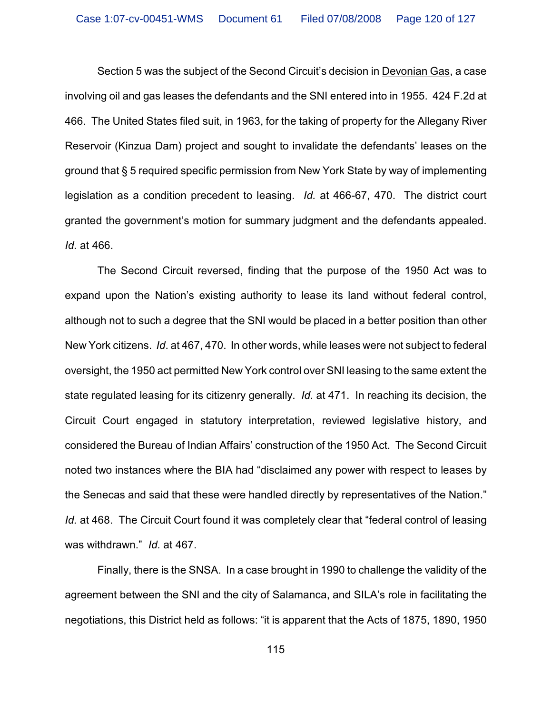Section 5 was the subject of the Second Circuit's decision in Devonian Gas, a case involving oil and gas leases the defendants and the SNI entered into in 1955. 424 F.2d at 466. The United States filed suit, in 1963, for the taking of property for the Allegany River Reservoir (Kinzua Dam) project and sought to invalidate the defendants' leases on the ground that § 5 required specific permission from New York State by way of implementing legislation as a condition precedent to leasing. *Id.* at 466-67, 470. The district court granted the government's motion for summary judgment and the defendants appealed. *Id.* at 466.

The Second Circuit reversed, finding that the purpose of the 1950 Act was to expand upon the Nation's existing authority to lease its land without federal control, although not to such a degree that the SNI would be placed in a better position than other New York citizens. *Id*. at 467, 470. In other words, while leases were not subject to federal oversight, the 1950 act permitted New York control over SNI leasing to the same extent the state regulated leasing for its citizenry generally. *Id.* at 471. In reaching its decision, the Circuit Court engaged in statutory interpretation, reviewed legislative history, and considered the Bureau of Indian Affairs' construction of the 1950 Act. The Second Circuit noted two instances where the BIA had "disclaimed any power with respect to leases by the Senecas and said that these were handled directly by representatives of the Nation." *Id.* at 468. The Circuit Court found it was completely clear that "federal control of leasing was withdrawn." *Id.* at 467.

Finally, there is the SNSA. In a case brought in 1990 to challenge the validity of the agreement between the SNI and the city of Salamanca, and SILA's role in facilitating the negotiations, this District held as follows: "it is apparent that the Acts of 1875, 1890, 1950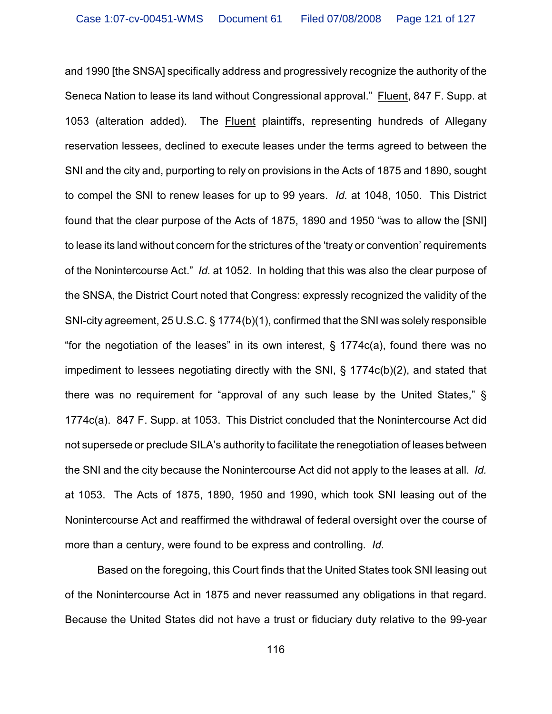and 1990 [the SNSA] specifically address and progressively recognize the authority of the Seneca Nation to lease its land without Congressional approval." Fluent, 847 F. Supp. at 1053 (alteration added). The Fluent plaintiffs, representing hundreds of Allegany reservation lessees, declined to execute leases under the terms agreed to between the SNI and the city and, purporting to rely on provisions in the Acts of 1875 and 1890, sought to compel the SNI to renew leases for up to 99 years. *Id.* at 1048, 1050. This District found that the clear purpose of the Acts of 1875, 1890 and 1950 "was to allow the [SNI] to lease its land without concern for the strictures of the 'treaty or convention' requirements of the Nonintercourse Act." *Id.* at 1052. In holding that this was also the clear purpose of the SNSA, the District Court noted that Congress: expressly recognized the validity of the SNI-city agreement, 25 U.S.C. § 1774(b)(1), confirmed that the SNI was solely responsible "for the negotiation of the leases" in its own interest,  $\S$  1774 $c(a)$ , found there was no impediment to lessees negotiating directly with the SNI, § 1774c(b)(2), and stated that there was no requirement for "approval of any such lease by the United States," § 1774c(a). 847 F. Supp. at 1053. This District concluded that the Nonintercourse Act did not supersede or preclude SILA's authority to facilitate the renegotiation of leases between the SNI and the city because the Nonintercourse Act did not apply to the leases at all. *Id.* at 1053. The Acts of 1875, 1890, 1950 and 1990, which took SNI leasing out of the Nonintercourse Act and reaffirmed the withdrawal of federal oversight over the course of more than a century, were found to be express and controlling. *Id.* 

Based on the foregoing, this Court finds that the United States took SNI leasing out of the Nonintercourse Act in 1875 and never reassumed any obligations in that regard. Because the United States did not have a trust or fiduciary duty relative to the 99-year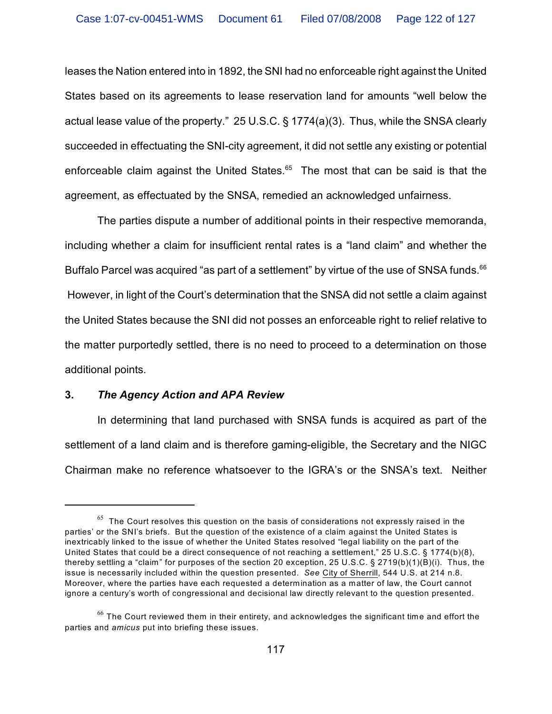leases the Nation entered into in 1892, the SNI had no enforceable right against the United States based on its agreements to lease reservation land for amounts "well below the actual lease value of the property." 25 U.S.C. § 1774(a)(3). Thus, while the SNSA clearly succeeded in effectuating the SNI-city agreement, it did not settle any existing or potential enforceable claim against the United States. $65$  The most that can be said is that the agreement, as effectuated by the SNSA, remedied an acknowledged unfairness.

The parties dispute a number of additional points in their respective memoranda, including whether a claim for insufficient rental rates is a "land claim" and whether the Buffalo Parcel was acquired "as part of a settlement" by virtue of the use of SNSA funds.<sup>66</sup> However, in light of the Court's determination that the SNSA did not settle a claim against the United States because the SNI did not posses an enforceable right to relief relative to the matter purportedly settled, there is no need to proceed to a determination on those additional points.

## **3.** *The Agency Action and APA Review*

In determining that land purchased with SNSA funds is acquired as part of the settlement of a land claim and is therefore gaming-eligible, the Secretary and the NIGC Chairman make no reference whatsoever to the IGRA's or the SNSA's text. Neither

 $65$  The Court resolves this question on the basis of considerations not expressly raised in the parties' or the SNI's briefs. But the question of the existence of a claim against the United States is inextricably linked to the issue of whether the United States resolved "legal liability on the part of the United States that could be a direct consequence of not reaching a settlement," 25 U.S.C. § 1774(b)(8), thereby settling a "claim" for purposes of the section 20 exception, 25 U.S.C. § 2719(b)(1)(B)(i). Thus, the issue is necessarily included within the question presented. *See* City of Sherrill, 544 U.S. at 214 n.8. Moreover, where the parties have each requested a determination as a matter of law, the Court cannot ignore a century's worth of congressional and decisional law directly relevant to the question presented.

 $66$  The Court reviewed them in their entirety, and acknowledges the significant time and effort the parties and *amicus* put into briefing these issues.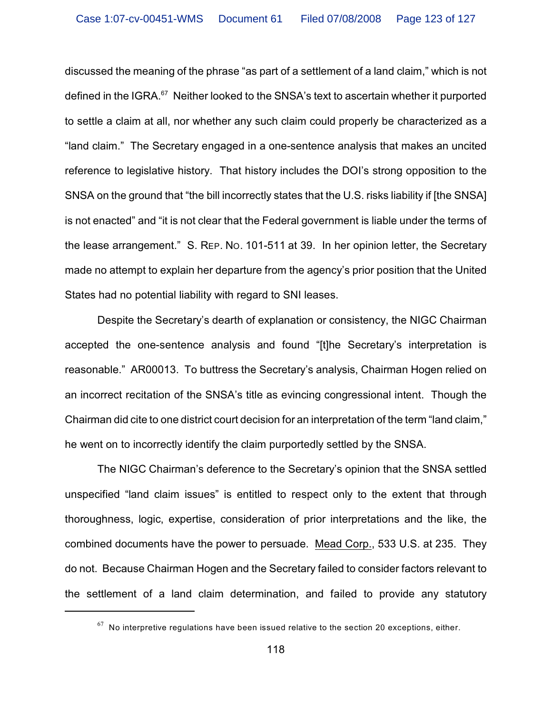discussed the meaning of the phrase "as part of a settlement of a land claim," which is not defined in the IGRA. $67$  Neither looked to the SNSA's text to ascertain whether it purported to settle a claim at all, nor whether any such claim could properly be characterized as a "land claim." The Secretary engaged in a one-sentence analysis that makes an uncited reference to legislative history. That history includes the DOI's strong opposition to the SNSA on the ground that "the bill incorrectly states that the U.S. risks liability if [the SNSA] is not enacted" and "it is not clear that the Federal government is liable under the terms of the lease arrangement." S. REP. NO. 101-511 at 39. In her opinion letter, the Secretary made no attempt to explain her departure from the agency's prior position that the United States had no potential liability with regard to SNI leases.

Despite the Secretary's dearth of explanation or consistency, the NIGC Chairman accepted the one-sentence analysis and found "[t]he Secretary's interpretation is reasonable." AR00013. To buttress the Secretary's analysis, Chairman Hogen relied on an incorrect recitation of the SNSA's title as evincing congressional intent. Though the Chairman did cite to one district court decision for an interpretation of the term "land claim," he went on to incorrectly identify the claim purportedly settled by the SNSA.

The NIGC Chairman's deference to the Secretary's opinion that the SNSA settled unspecified "land claim issues" is entitled to respect only to the extent that through thoroughness, logic, expertise, consideration of prior interpretations and the like, the combined documents have the power to persuade. Mead Corp., 533 U.S. at 235. They do not. Because Chairman Hogen and the Secretary failed to consider factors relevant to the settlement of a land claim determination, and failed to provide any statutory

 $^{67}$  No interpretive regulations have been issued relative to the section 20 exceptions, either.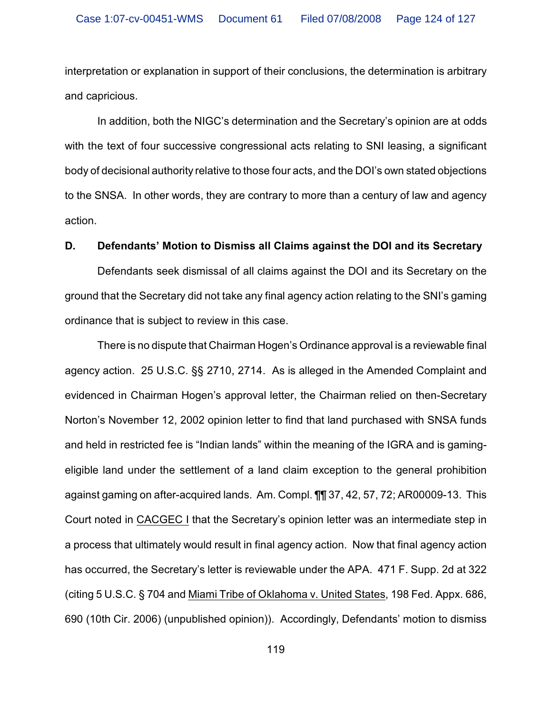interpretation or explanation in support of their conclusions, the determination is arbitrary and capricious.

In addition, both the NIGC's determination and the Secretary's opinion are at odds with the text of four successive congressional acts relating to SNI leasing, a significant body of decisional authority relative to those four acts, and the DOI's own stated objections to the SNSA. In other words, they are contrary to more than a century of law and agency action.

#### **D. Defendants' Motion to Dismiss all Claims against the DOI and its Secretary**

Defendants seek dismissal of all claims against the DOI and its Secretary on the ground that the Secretary did not take any final agency action relating to the SNI's gaming ordinance that is subject to review in this case.

There is no dispute that Chairman Hogen's Ordinance approval is a reviewable final agency action. 25 U.S.C. §§ 2710, 2714. As is alleged in the Amended Complaint and evidenced in Chairman Hogen's approval letter, the Chairman relied on then-Secretary Norton's November 12, 2002 opinion letter to find that land purchased with SNSA funds and held in restricted fee is "Indian lands" within the meaning of the IGRA and is gamingeligible land under the settlement of a land claim exception to the general prohibition against gaming on after-acquired lands. Am. Compl. ¶¶ 37, 42, 57, 72; AR00009-13. This Court noted in CACGEC I that the Secretary's opinion letter was an intermediate step in a process that ultimately would result in final agency action. Now that final agency action has occurred, the Secretary's letter is reviewable under the APA. 471 F. Supp. 2d at 322 (citing 5 U.S.C. § 704 and Miami Tribe of Oklahoma v. United States, 198 Fed. Appx. 686, 690 (10th Cir. 2006) (unpublished opinion)). Accordingly, Defendants' motion to dismiss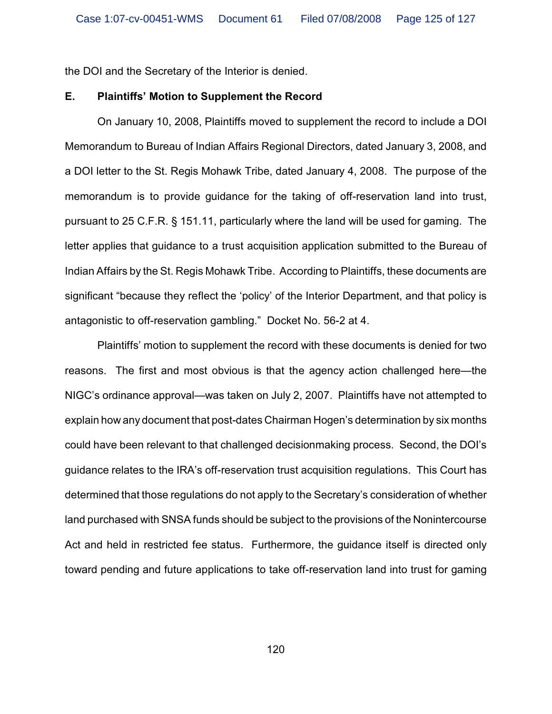the DOI and the Secretary of the Interior is denied.

### **E. Plaintiffs' Motion to Supplement the Record**

On January 10, 2008, Plaintiffs moved to supplement the record to include a DOI Memorandum to Bureau of Indian Affairs Regional Directors, dated January 3, 2008, and a DOI letter to the St. Regis Mohawk Tribe, dated January 4, 2008. The purpose of the memorandum is to provide guidance for the taking of off-reservation land into trust, pursuant to 25 C.F.R. § 151.11, particularly where the land will be used for gaming. The letter applies that guidance to a trust acquisition application submitted to the Bureau of Indian Affairs by the St. Regis Mohawk Tribe. According to Plaintiffs, these documents are significant "because they reflect the 'policy' of the Interior Department, and that policy is antagonistic to off-reservation gambling." Docket No. 56-2 at 4.

Plaintiffs' motion to supplement the record with these documents is denied for two reasons. The first and most obvious is that the agency action challenged here—the NIGC's ordinance approval—was taken on July 2, 2007. Plaintiffs have not attempted to explain how any document that post-dates Chairman Hogen's determination by six months could have been relevant to that challenged decisionmaking process. Second, the DOI's guidance relates to the IRA's off-reservation trust acquisition regulations. This Court has determined that those regulations do not apply to the Secretary's consideration of whether land purchased with SNSA funds should be subject to the provisions of the Nonintercourse Act and held in restricted fee status. Furthermore, the guidance itself is directed only toward pending and future applications to take off-reservation land into trust for gaming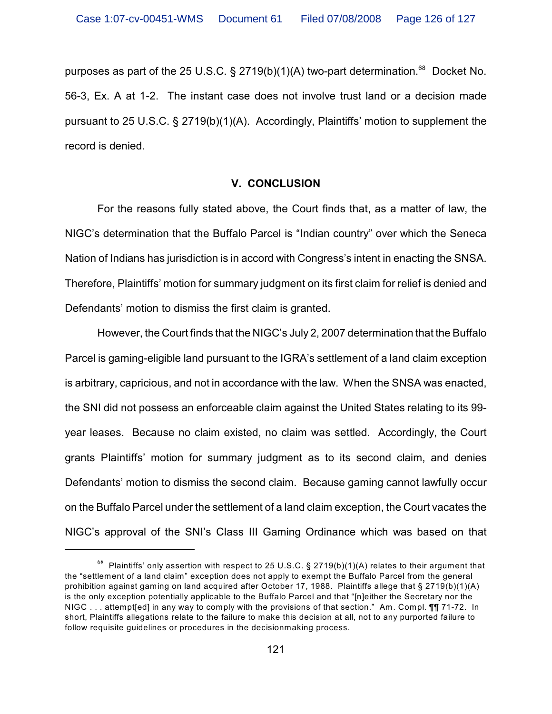purposes as part of the 25 U.S.C. § 2719(b)(1)(A) two-part determination.<sup>68</sup> Docket No. 56-3, Ex. A at 1-2. The instant case does not involve trust land or a decision made pursuant to 25 U.S.C. § 2719(b)(1)(A). Accordingly, Plaintiffs' motion to supplement the record is denied.

## **V. CONCLUSION**

For the reasons fully stated above, the Court finds that, as a matter of law, the NIGC's determination that the Buffalo Parcel is "Indian country" over which the Seneca Nation of Indians has jurisdiction is in accord with Congress's intent in enacting the SNSA. Therefore, Plaintiffs' motion for summary judgment on its first claim for relief is denied and Defendants' motion to dismiss the first claim is granted.

However, the Court finds that the NIGC's July 2, 2007 determination that the Buffalo Parcel is gaming-eligible land pursuant to the IGRA's settlement of a land claim exception is arbitrary, capricious, and not in accordance with the law. When the SNSA was enacted, the SNI did not possess an enforceable claim against the United States relating to its 99 year leases. Because no claim existed, no claim was settled. Accordingly, the Court grants Plaintiffs' motion for summary judgment as to its second claim, and denies Defendants' motion to dismiss the second claim. Because gaming cannot lawfully occur on the Buffalo Parcel under the settlement of a land claim exception, the Court vacates the NIGC's approval of the SNI's Class III Gaming Ordinance which was based on that

 $^{68}$  Plaintiffs' only assertion with respect to 25 U.S.C. § 2719(b)(1)(A) relates to their argument that the "settlement of a land claim" exception does not apply to exempt the Buffalo Parcel from the general prohibition against gaming on land acquired after October 17, 1988. Plaintiffs allege that § 2719(b)(1)(A) is the only exception potentially applicable to the Buffalo Parcel and that "[n]either the Secretary nor the NIGC . . . attempt[ed] in any way to comply with the provisions of that section." Am. Compl. ¶¶ 71-72. In short, Plaintiffs allegations relate to the failure to make this decision at all, not to any purported failure to follow requisite guidelines or procedures in the decisionmaking process.